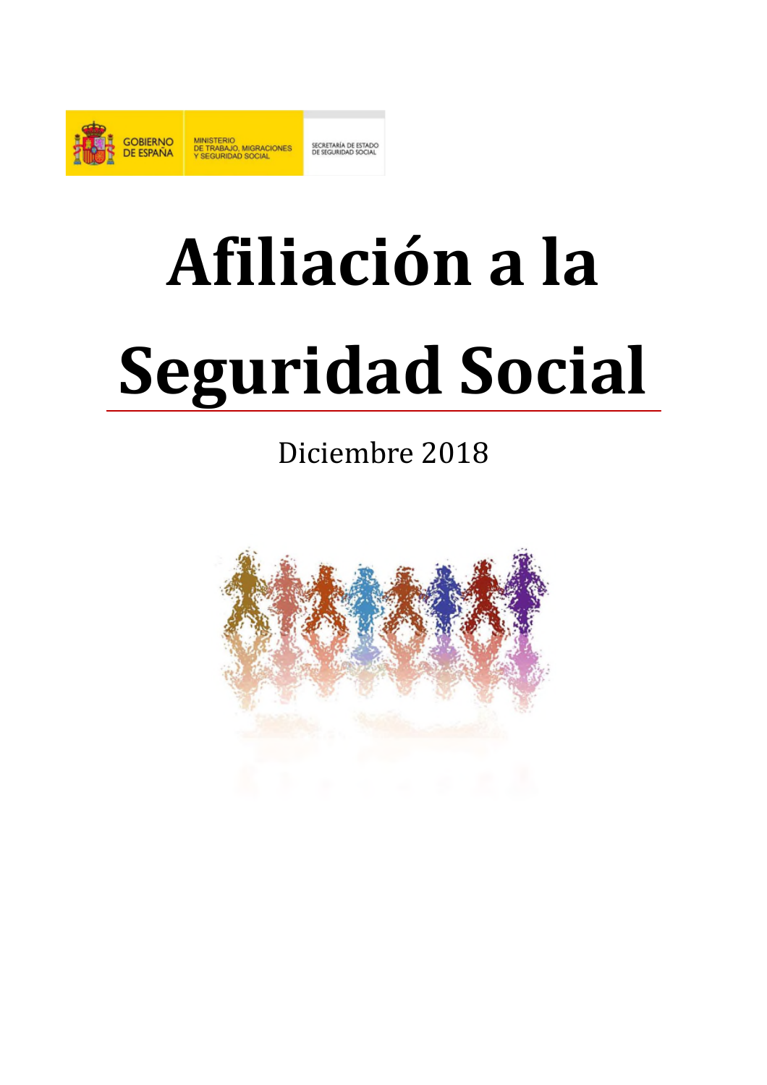

# Afiliación a la **Seguridad Social**

# Diciembre 2018

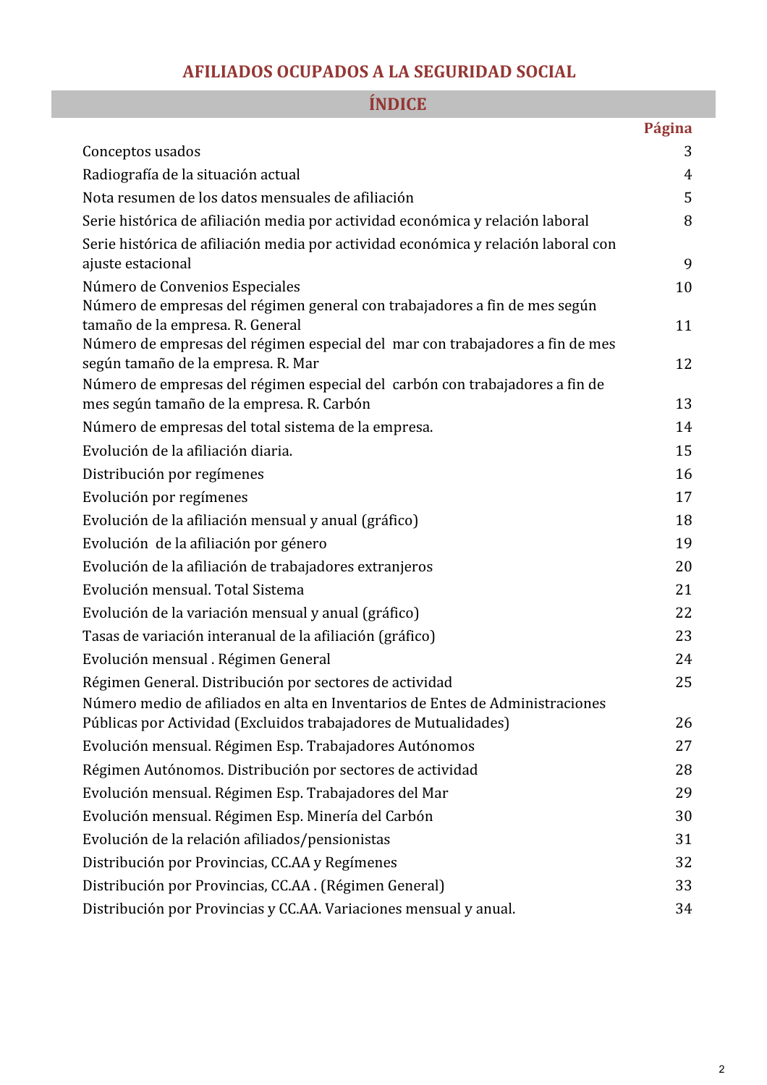# AFILIADOS OCUPADOS A LA SEGURIDAD SOCIAL

|                                                                                                                   | Página |
|-------------------------------------------------------------------------------------------------------------------|--------|
| Conceptos usados                                                                                                  | 3      |
| Radiografía de la situación actual                                                                                | 4      |
| Nota resumen de los datos mensuales de afiliación                                                                 | 5      |
| Serie histórica de afiliación media por actividad económica y relación laboral                                    | 8      |
| Serie histórica de afiliación media por actividad económica y relación laboral con                                |        |
| ajuste estacional                                                                                                 | 9      |
| Número de Convenios Especiales                                                                                    | 10     |
| Número de empresas del régimen general con trabajadores a fin de mes según                                        |        |
| tamaño de la empresa. R. General<br>Número de empresas del régimen especial del mar con trabajadores a fin de mes | 11     |
| según tamaño de la empresa. R. Mar                                                                                | 12     |
| Número de empresas del régimen especial del carbón con trabajadores a fin de                                      |        |
| mes según tamaño de la empresa. R. Carbón                                                                         | 13     |
| Número de empresas del total sistema de la empresa.                                                               | 14     |
| Evolución de la afiliación diaria.                                                                                | 15     |
| Distribución por regímenes                                                                                        | 16     |
| Evolución por regímenes                                                                                           | 17     |
| Evolución de la afiliación mensual y anual (gráfico)                                                              | 18     |
| Evolución de la afiliación por género                                                                             | 19     |
| Evolución de la afiliación de trabajadores extranjeros                                                            | 20     |
| Evolución mensual. Total Sistema                                                                                  | 21     |
| Evolución de la variación mensual y anual (gráfico)                                                               | 22     |
| Tasas de variación interanual de la afiliación (gráfico)                                                          | 23     |
| Evolución mensual . Régimen General                                                                               | 24     |
| Régimen General. Distribución por sectores de actividad                                                           | 25     |
| Número medio de afiliados en alta en Inventarios de Entes de Administraciones                                     |        |
| Públicas por Actividad (Excluidos trabajadores de Mutualidades)                                                   | 26     |
| Evolución mensual. Régimen Esp. Trabajadores Autónomos                                                            | 27     |
| Régimen Autónomos. Distribución por sectores de actividad                                                         | 28     |
| Evolución mensual. Régimen Esp. Trabajadores del Mar                                                              | 29     |
| Evolución mensual. Régimen Esp. Minería del Carbón                                                                | 30     |
| Evolución de la relación afiliados/pensionistas                                                                   | 31     |
| Distribución por Provincias, CC.AA y Regímenes                                                                    | 32     |
| Distribución por Provincias, CC.AA. (Régimen General)                                                             | 33     |
| Distribución por Provincias y CC.AA. Variaciones mensual y anual.                                                 | 34     |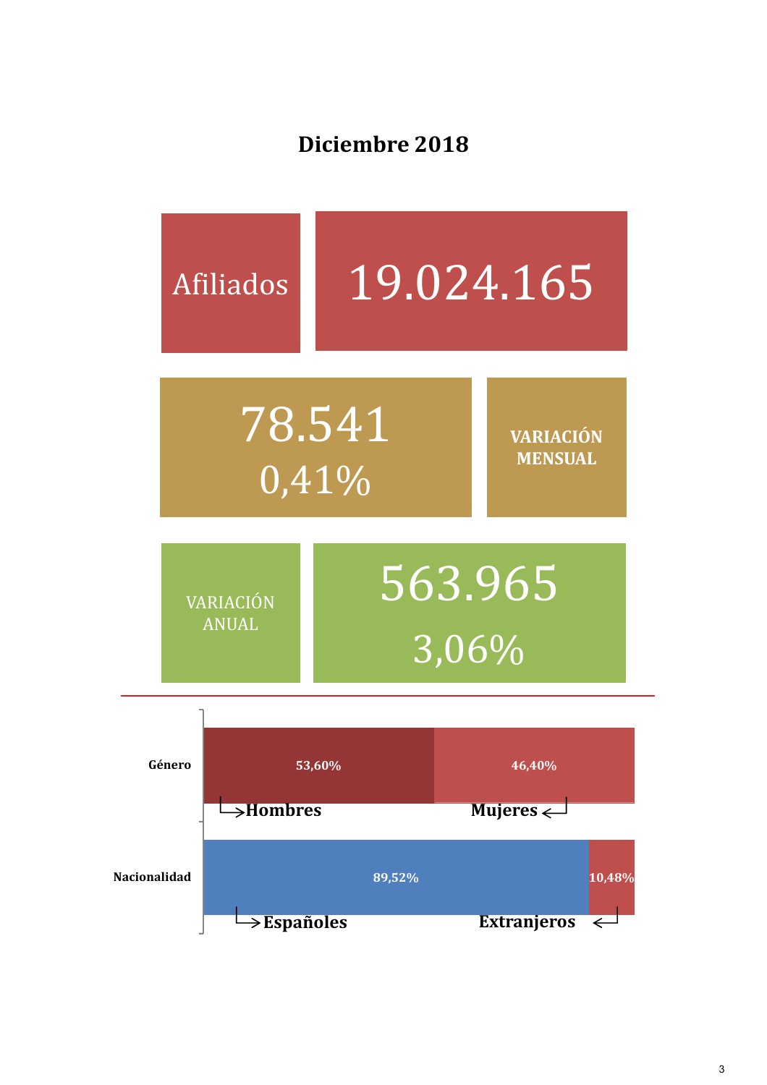Diciembre 2018

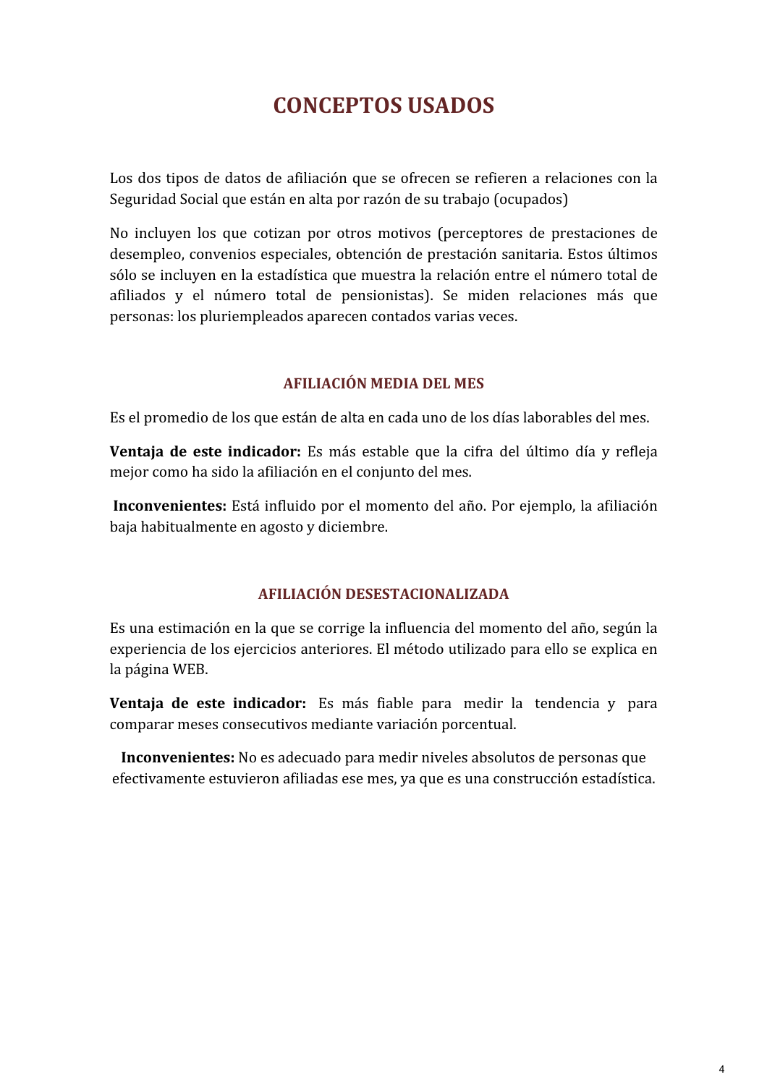# **CONCEPTOS USADOS**

Los dos tipos de datos de afiliación que se ofrecen se refieren a relaciones con la Seguridad Social que están en alta por razón de su trabajo (ocupados)

No incluven los que cotizan por otros motivos (perceptores de prestaciones de desempleo, convenios especiales, obtención de prestación sanitaria. Estos últimos sólo se incluven en la estadística que muestra la relación entre el número total de afiliados y el número total de pensionistas). Se miden relaciones más que personas: los pluriempleados aparecen contados varias veces.

### AFILIACIÓN MEDIA DEL MES

Es el promedio de los que están de alta en cada uno de los días laborables del mes.

Ventaja de este indicador: Es más estable que la cifra del último día y refleja mejor como ha sido la afiliación en el conjunto del mes.

Inconvenientes: Está influido por el momento del año. Por ejemplo, la afiliación baja habitualmente en agosto y diciembre.

### AFILIACIÓN DESESTACIONALIZADA

Es una estimación en la que se corrige la influencia del momento del año, según la experiencia de los ejercicios anteriores. El método utilizado para ello se explica en la página WEB.

Ventaja de este indicador: Es más fiable para medir la tendencia y para comparar meses consecutivos mediante variación porcentual.

Inconvenientes: No es adecuado para medir niveles absolutos de personas que efectivamente estuvieron afiliadas ese mes, ya que es una construcción estadística.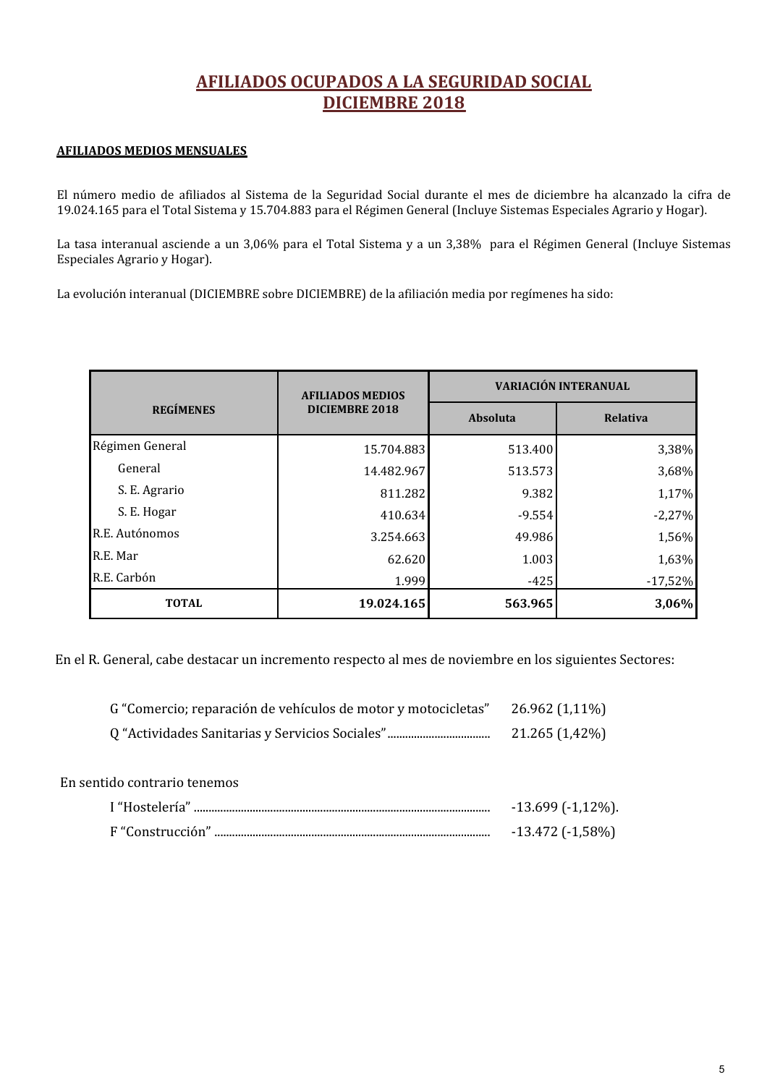# AFILIADOS OCUPADOS A LA SEGURIDAD SOCIAL **DICIEMBRE 2018**

### AFILIADOS MEDIOS MENSUALES

El número medio de afiliados al Sistema de la Seguridad Social durante el mes de diciembre ha alcanzado la cifra de 19.024.165 para el Total Sistema y 15.704.883 para el Régimen General (Incluye Sistemas Especiales Agrario y Hogar).

La tasa interanual asciende a un 3,06% para el Total Sistema y a un 3,38% para el Régimen General (Incluye Sistemas Especiales Agrario y Hogar).

La evolución interanual (DICIEMBRE sobre DICIEMBRE) de la afiliación media por regímenes ha sido:

|                  | <b>AFILIADOS MEDIOS</b> | VARIACIÓN INTERANUAL |                 |  |  |
|------------------|-------------------------|----------------------|-----------------|--|--|
| <b>REGÍMENES</b> | <b>DICIEMBRE 2018</b>   | <b>Absoluta</b>      | <b>Relativa</b> |  |  |
| Régimen General  | 15.704.883              | 513.400              | 3,38%           |  |  |
| General          | 14.482.967              | 513.573              | 3,68%           |  |  |
| S. E. Agrario    | 811.282                 | 9.382                | 1,17%           |  |  |
| S. E. Hogar      | 410.634                 | $-9.554$             | $-2,27%$        |  |  |
| R.E. Autónomos   | 3.254.663               | 49.986               | 1,56%           |  |  |
| R.E. Mar         | 62.620                  | 1.003                | 1,63%           |  |  |
| R.E. Carbón      | 1.999                   | $-425$               | $-17,52%$       |  |  |
| <b>TOTAL</b>     | 19.024.165              | 563.965              | 3,06%           |  |  |

En el R. General, cabe destacar un incremento respecto al mes de noviembre en los siguientes Sectores:

| G "Comercio; reparación de vehículos de motor y motocicletas" | 26.962 (1,11%) |
|---------------------------------------------------------------|----------------|
|                                                               | 21.265 (1,42%) |

| $-13.699$ ( $-1,12\%$ ). |
|--------------------------|
| $-13.472$ ( $-1,58\%$ )  |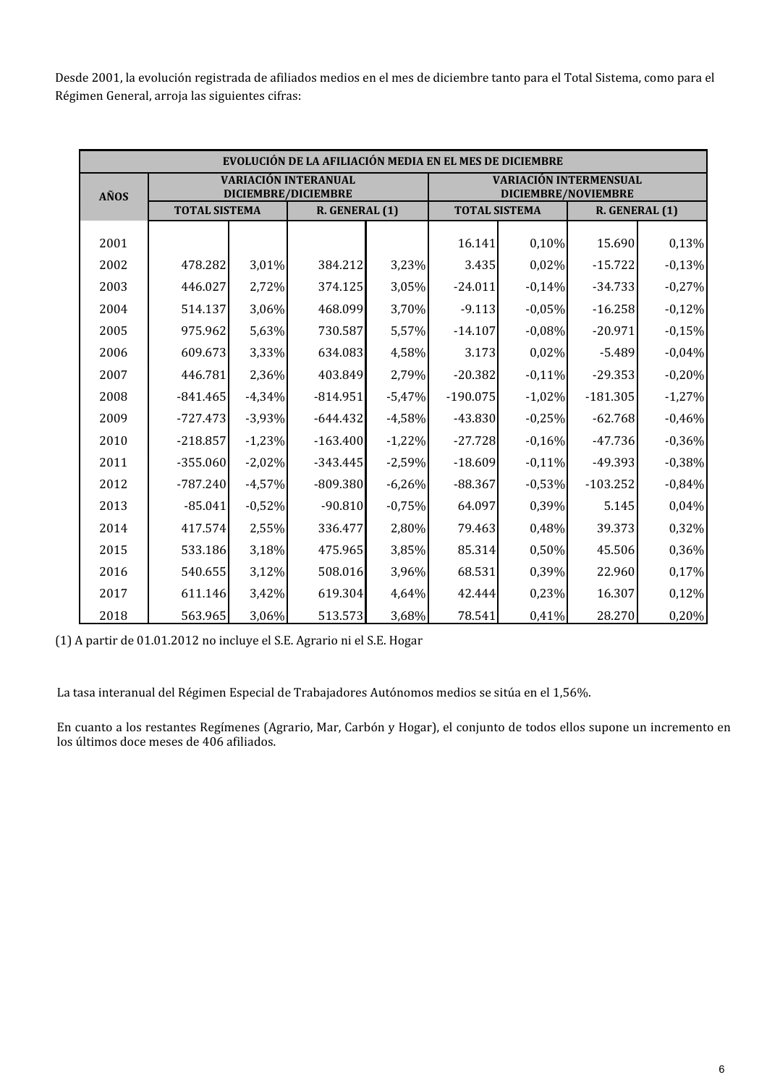Desde 2001, la evolución registrada de afiliados medios en el mes de diciembre tanto para el Total Sistema, como para el Régimen General, arroja las siguientes cifras:

| EVOLUCIÓN DE LA AFILIACIÓN MEDIA EN EL MES DE DICIEMBRE |                      |                                                           |                |                                                      |                      |          |                |          |
|---------------------------------------------------------|----------------------|-----------------------------------------------------------|----------------|------------------------------------------------------|----------------------|----------|----------------|----------|
| AÑOS                                                    |                      | <b>VARIACIÓN INTERANUAL</b><br><b>DICIEMBRE/DICIEMBRE</b> |                | <b>VARIACIÓN INTERMENSUAL</b><br>DICIEMBRE/NOVIEMBRE |                      |          |                |          |
|                                                         | <b>TOTAL SISTEMA</b> |                                                           | R. GENERAL (1) |                                                      | <b>TOTAL SISTEMA</b> |          | R. GENERAL (1) |          |
| 2001                                                    |                      |                                                           |                |                                                      | 16.141               | 0,10%    | 15.690         | 0,13%    |
| 2002                                                    | 478.282              | 3,01%                                                     | 384.212        | 3,23%                                                | 3.435                | 0,02%    | $-15.722$      | $-0,13%$ |
| 2003                                                    | 446.027              | 2,72%                                                     | 374.125        | 3,05%                                                | $-24.011$            | $-0,14%$ | $-34.733$      | $-0,27%$ |
| 2004                                                    | 514.137              | 3,06%                                                     | 468.099        | 3,70%                                                | $-9.113$             | $-0.05%$ | $-16.258$      | $-0,12%$ |
| 2005                                                    | 975.962              | 5,63%                                                     | 730.587        | 5,57%                                                | $-14.107$            | $-0,08%$ | $-20.971$      | $-0,15%$ |
| 2006                                                    | 609.673              | 3,33%                                                     | 634.083        | 4,58%                                                | 3.173                | 0,02%    | $-5.489$       | $-0,04%$ |
| 2007                                                    | 446.781              | 2,36%                                                     | 403.849        | 2,79%                                                | $-20.382$            | $-0,11%$ | $-29.353$      | $-0,20%$ |
| 2008                                                    | $-841.465$           | $-4,34%$                                                  | $-814.951$     | $-5,47%$                                             | $-190.075$           | $-1,02%$ | $-181.305$     | $-1,27%$ |
| 2009                                                    | $-727.473$           | $-3,93%$                                                  | $-644.432$     | $-4,58%$                                             | $-43.830$            | $-0,25%$ | $-62.768$      | $-0,46%$ |
| 2010                                                    | $-218.857$           | $-1,23%$                                                  | $-163.400$     | $-1,22%$                                             | $-27.728$            | $-0,16%$ | $-47.736$      | $-0,36%$ |
| 2011                                                    | $-355.060$           | $-2,02%$                                                  | $-343.445$     | $-2,59%$                                             | $-18.609$            | $-0,11%$ | $-49.393$      | $-0,38%$ |
| 2012                                                    | $-787.240$           | $-4,57%$                                                  | $-809.380$     | $-6,26%$                                             | $-88.367$            | $-0,53%$ | $-103.252$     | $-0,84%$ |
| 2013                                                    | $-85.041$            | $-0,52%$                                                  | $-90.810$      | $-0,75%$                                             | 64.097               | 0,39%    | 5.145          | 0,04%    |
| 2014                                                    | 417.574              | 2,55%                                                     | 336.477        | 2,80%                                                | 79.463               | 0,48%    | 39.373         | 0,32%    |
| 2015                                                    | 533.186              | 3,18%                                                     | 475.965        | 3,85%                                                | 85.314               | 0,50%    | 45.506         | 0,36%    |
| 2016                                                    | 540.655              | 3,12%                                                     | 508.016        | 3,96%                                                | 68.531               | 0,39%    | 22.960         | 0,17%    |
| 2017                                                    | 611.146              | 3,42%                                                     | 619.304        | 4,64%                                                | 42.444               | 0,23%    | 16.307         | 0,12%    |
| 2018                                                    | 563.965              | 3,06%                                                     | 513.573        | 3,68%                                                | 78.541               | 0,41%    | 28.270         | 0,20%    |

(1) A partir de 01.01.2012 no incluye el S.E. Agrario ni el S.E. Hogar

La tasa interanual del Régimen Especial de Trabajadores Autónomos medios se sitúa en el 1,56%.

En cuanto a los restantes Regímenes (Agrario, Mar, Carbón y Hogar), el conjunto de todos ellos supone un incremento en los últimos doce meses de 406 afiliados.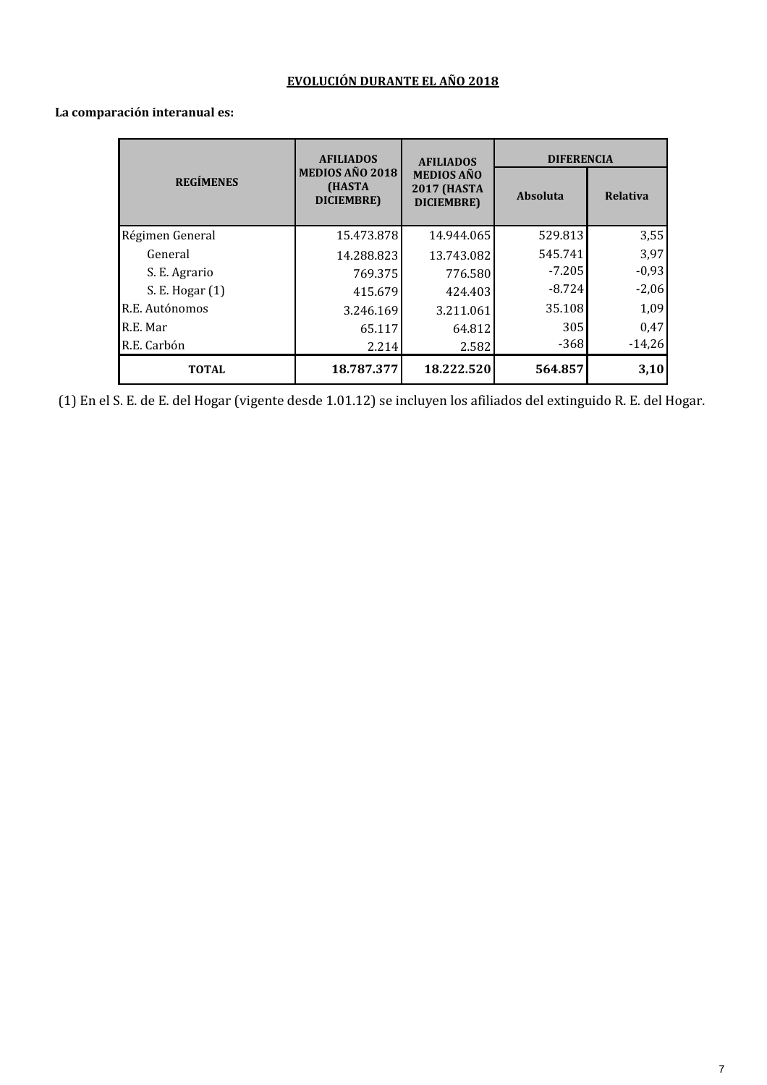### EVOLUCIÓN DURANTE EL AÑO 2018

|                  | <b>AFILIADOS</b>                        | <b>AFILIADOS</b>                                      | <b>DIFERENCIA</b> |                 |  |
|------------------|-----------------------------------------|-------------------------------------------------------|-------------------|-----------------|--|
| <b>REGÍMENES</b> | MEDIOS AÑO 2018<br>(HASTA<br>DICIEMBRE) | <b>MEDIOS AÑO</b><br><b>2017 (HASTA</b><br>DICIEMBRE) | <b>Absoluta</b>   | <b>Relativa</b> |  |
| Régimen General  | 15.473.878                              | 14.944.065                                            | 529.813           | 3,55            |  |
| General          | 14.288.823                              | 13.743.082                                            | 545.741           | 3,97            |  |
| S. E. Agrario    | 769.375                                 | 776.580                                               | $-7.205$          | $-0,93$         |  |
| S. E. Hogar (1)  | 415.679                                 | 424.403                                               | $-8.724$          | $-2,06$         |  |
| R.E. Autónomos   | 3.246.169                               | 3.211.061                                             | 35.108            | 1,09            |  |
| R.E. Mar         | 65.117                                  | 64.812                                                | 305               | 0,47            |  |
| R.E. Carbón      | 2.214                                   | 2.582                                                 | $-368$            | $-14,26$        |  |
| <b>TOTAL</b>     | 18.787.377                              | 18.222.520                                            | 564.857           | 3,10            |  |

### La comparación interanual es:

(1) En el S. E. de E. del Hogar (vigente desde 1.01.12) se incluyen los afiliados del extinguido R. E. del Hogar.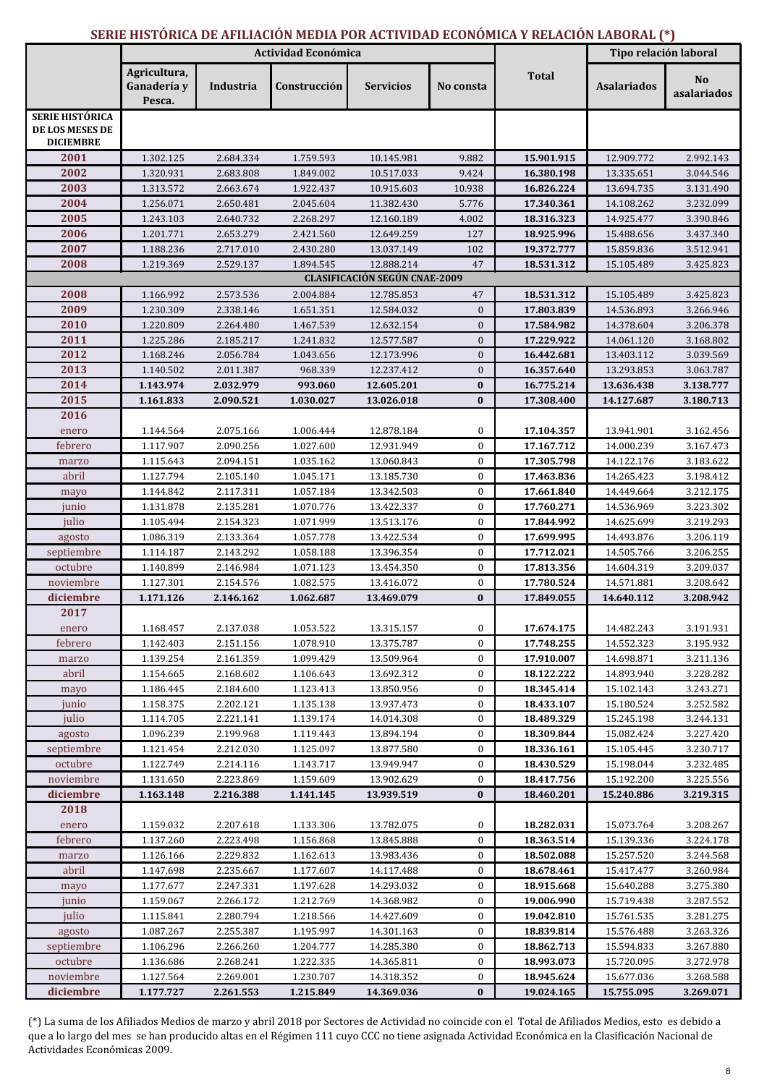### SERIE HISTÓRICA DE AFILIACIÓN MEDIA POR ACTIVIDAD ECONÓMICA Y RELACIÓN LABORAL (\*)

|                                                               | Actividad Económica                   |                        |                        |                                                    |              |                          | Tipo relación laboral    |                               |
|---------------------------------------------------------------|---------------------------------------|------------------------|------------------------|----------------------------------------------------|--------------|--------------------------|--------------------------|-------------------------------|
|                                                               | Agricultura,<br>Ganadería y<br>Pesca. | Industria              | Construcción           | <b>Servicios</b>                                   | No consta    | <b>Total</b>             | <b>Asalariados</b>       | N <sub>o</sub><br>asalariados |
| <b>SERIE HISTÓRICA</b><br>DE LOS MESES DE<br><b>DICIEMBRE</b> |                                       |                        |                        |                                                    |              |                          |                          |                               |
| 2001                                                          | 1.302.125                             | 2.684.334              | 1.759.593              | 10.145.981                                         | 9.882        | 15.901.915               | 12.909.772               | 2.992.143                     |
| 2002                                                          | 1.320.931                             | 2.683.808              | 1.849.002              | 10.517.033                                         | 9.424        | 16.380.198               | 13.335.651               | 3.044.546                     |
| 2003                                                          | 1.313.572                             | 2.663.674              | 1.922.437              | 10.915.603                                         | 10.938       | 16.826.224               | 13.694.735               | 3.131.490                     |
| 2004                                                          | 1.256.071                             | 2.650.481              | 2.045.604              | 11.382.430                                         | 5.776        | 17.340.361               | 14.108.262               | 3.232.099                     |
| 2005                                                          | 1.243.103                             | 2.640.732              | 2.268.297              | 12.160.189                                         | 4.002        | 18.316.323               | 14.925.477               | 3.390.846                     |
| 2006                                                          | 1.201.771                             | 2.653.279              | 2.421.560              | 12.649.259                                         | 127          | 18.925.996               | 15.488.656               | 3.437.340                     |
| 2007<br>2008                                                  | 1.188.236                             | 2.717.010              | 2.430.280              | 13.037.149                                         | 102<br>47    | 19.372.777               | 15.859.836               | 3.512.941                     |
|                                                               | 1.219.369                             | 2.529.137              | 1.894.545              | 12.888.214<br><b>CLASIFICACIÓN SEGÚN CNAE-2009</b> |              | 18.531.312               | 15.105.489               | 3.425.823                     |
| 2008                                                          | 1.166.992                             | 2.573.536              | 2.004.884              | 12.785.853                                         | 47           | 18.531.312               | 15.105.489               | 3.425.823                     |
| 2009                                                          | 1.230.309                             | 2.338.146              | 1.651.351              | 12.584.032                                         | $\mathbf{0}$ | 17.803.839               | 14.536.893               | 3.266.946                     |
| 2010                                                          | 1.220.809                             | 2.264.480              | 1.467.539              | 12.632.154                                         | $\mathbf{0}$ | 17.584.982               | 14.378.604               | 3.206.378                     |
| 2011                                                          | 1.225.286                             | 2.185.217              | 1.241.832              | 12.577.587                                         | $\mathbf{0}$ | 17.229.922               | 14.061.120               | 3.168.802                     |
| 2012                                                          | 1.168.246                             | 2.056.784              | 1.043.656              | 12.173.996                                         | $\mathbf{0}$ | 16.442.681               | 13.403.112               | 3.039.569                     |
| 2013                                                          | 1.140.502                             | 2.011.387              | 968.339                | 12.237.412                                         | $\mathbf{0}$ | 16.357.640               | 13.293.853               | 3.063.787                     |
| 2014                                                          | 1.143.974                             | 2.032.979              | 993.060                | 12.605.201                                         | $\bf{0}$     | 16.775.214               | 13.636.438               | 3.138.777                     |
| 2015                                                          | 1.161.833                             | 2.090.521              | 1.030.027              | 13.026.018                                         | $\bf{0}$     | 17.308.400               | 14.127.687               | 3.180.713                     |
| 2016                                                          |                                       |                        |                        |                                                    |              |                          |                          |                               |
| enero                                                         | 1.144.564                             | 2.075.166              | 1.006.444              | 12.878.184                                         | $\bf{0}$     | 17.104.357               | 13.941.901               | 3.162.456                     |
| febrero                                                       | 1.117.907                             | 2.090.256              | 1.027.600              | 12.931.949                                         | $\bf{0}$     | 17.167.712               | 14.000.239               | 3.167.473                     |
| marzo                                                         | 1.115.643                             | 2.094.151              | 1.035.162              | 13.060.843                                         | $\bf{0}$     | 17.305.798               | 14.122.176               | 3.183.622                     |
| abril                                                         | 1.127.794                             | 2.105.140              | 1.045.171              | 13.185.730                                         | $\bf{0}$     | 17.463.836               | 14.265.423               | 3.198.412                     |
| mayo                                                          | 1.144.842                             | 2.117.311              | 1.057.184              | 13.342.503                                         | $\mathbf{0}$ | 17.661.840               | 14.449.664               | 3.212.175                     |
| junio                                                         | 1.131.878                             | 2.135.281              | 1.070.776              | 13.422.337                                         | $\mathbf{0}$ | 17.760.271               | 14.536.969               | 3.223.302                     |
| julio                                                         | 1.105.494                             | 2.154.323              | 1.071.999              | 13.513.176                                         | $\mathbf{0}$ | 17.844.992               | 14.625.699               | 3.219.293                     |
| agosto                                                        | 1.086.319                             | 2.133.364              | 1.057.778              | 13.422.534                                         | $\mathbf{0}$ | 17.699.995               | 14.493.876               | 3.206.119                     |
| septiembre                                                    | 1.114.187                             | 2.143.292              | 1.058.188              | 13.396.354                                         | $\mathbf{0}$ | 17.712.021               | 14.505.766               | 3.206.255                     |
| octubre                                                       | 1.140.899                             | 2.146.984              | 1.071.123              | 13.454.350                                         | $\mathbf{0}$ | 17.813.356               | 14.604.319               | 3.209.037                     |
| noviembre                                                     | 1.127.301                             | 2.154.576              | 1.082.575              | 13.416.072                                         | $\mathbf{0}$ | 17.780.524               | 14.571.881               | 3.208.642                     |
| diciembre                                                     | 1.171.126                             | 2.146.162              | 1.062.687              | 13.469.079                                         | $\bf{0}$     | 17.849.055               | 14.640.112               | 3.208.942                     |
| 2017                                                          |                                       |                        |                        |                                                    |              |                          |                          |                               |
| enero                                                         | 1.168.457                             | 2.137.038              | 1.053.522              | 13.315.157                                         | $\bf{0}$     | 17.674.175               | 14.482.243               | 3.191.931                     |
| febrero                                                       | 1.142.403                             | 2.151.156              | 1.078.910              | 13.375.787                                         | 0            | 17.748.255               | 14.552.323               | 3.195.932                     |
| marzo                                                         | 1.139.254                             | 2.161.359              | 1.099.429              | 13.509.964                                         | $\bf{0}$     | 17.910.007               | 14.698.871               | 3.211.136                     |
| abril                                                         | 1.154.665                             | 2.168.602              | 1.106.643              | 13.692.312                                         | 0            | 18.122.222               | 14.893.940               | 3.228.282                     |
| mayo                                                          | 1.186.445                             | 2.184.600              | 1.123.413              | 13.850.956                                         | $\bf{0}$     | 18.345.414               | 15.102.143               | 3.243.271                     |
| junio                                                         | 1.158.375                             | 2.202.121              | 1.135.138              | 13.937.473                                         | 0            | 18.433.107               | 15.180.524               | 3.252.582                     |
| julio                                                         | 1.114.705<br>1.096.239                | 2.221.141<br>2.199.968 | 1.139.174<br>1.119.443 | 14.014.308<br>13.894.194                           | 0<br>0       | 18.489.329<br>18.309.844 | 15.245.198<br>15.082.424 | 3.244.131<br>3.227.420        |
| agosto<br>septiembre                                          | 1.121.454                             | 2.212.030              | 1.125.097              | 13.877.580                                         | 0            | 18.336.161               | 15.105.445               | 3.230.717                     |
| octubre                                                       | 1.122.749                             | 2.214.116              | 1.143.717              | 13.949.947                                         | 0            | 18.430.529               | 15.198.044               | 3.232.485                     |
| noviembre                                                     | 1.131.650                             | 2.223.869              | 1.159.609              | 13.902.629                                         | 0            | 18.417.756               | 15.192.200               | 3.225.556                     |
| diciembre                                                     | 1.163.148                             | 2.216.388              | 1.141.145              | 13.939.519                                         | $\bf{0}$     | 18.460.201               | 15.240.886               | 3.219.315                     |
| 2018                                                          |                                       |                        |                        |                                                    |              |                          |                          |                               |
| enero                                                         | 1.159.032                             | 2.207.618              | 1.133.306              | 13.782.075                                         | 0            | 18.282.031               | 15.073.764               | 3.208.267                     |
| febrero                                                       | 1.137.260                             | 2.223.498              | 1.156.868              | 13.845.888                                         | 0            | 18.363.514               | 15.139.336               | 3.224.178                     |
| marzo                                                         | 1.126.166                             | 2.229.832              | 1.162.613              | 13.983.436                                         | 0            | 18.502.088               | 15.257.520               | 3.244.568                     |
| abril                                                         | 1.147.698                             | 2.235.667              | 1.177.607              | 14.117.488                                         | 0            | 18.678.461               | 15.417.477               | 3.260.984                     |
| mayo                                                          | 1.177.677                             | 2.247.331              | 1.197.628              | 14.293.032                                         | 0            | 18.915.668               | 15.640.288               | 3.275.380                     |
| junio                                                         | 1.159.067                             | 2.266.172              | 1.212.769              | 14.368.982                                         | 0            | 19.006.990               | 15.719.438               | 3.287.552                     |
| julio                                                         | 1.115.841                             | 2.280.794              | 1.218.566              | 14.427.609                                         | 0            | 19.042.810               | 15.761.535               | 3.281.275                     |
| agosto                                                        | 1.087.267                             | 2.255.387              | 1.195.997              | 14.301.163                                         | 0            | 18.839.814               | 15.576.488               | 3.263.326                     |
| septiembre                                                    | 1.106.296                             | 2.266.260              | 1.204.777              | 14.285.380                                         | 0            | 18.862.713               | 15.594.833               | 3.267.880                     |
| octubre                                                       | 1.136.686                             | 2.268.241              | 1.222.335              | 14.365.811                                         | 0            | 18.993.073               | 15.720.095               | 3.272.978                     |
| noviembre                                                     | 1.127.564                             | 2.269.001              | 1.230.707              | 14.318.352                                         | 0            | 18.945.624               | 15.677.036               | 3.268.588                     |
| diciembre                                                     | 1.177.727                             | 2.261.553              | 1.215.849              | 14.369.036                                         | $\bf{0}$     | 19.024.165               | 15.755.095               | 3.269.071                     |

(\*) La suma de los Afiliados Medios de marzo y abril 2018 por Sectores de Actividad no coincide con el Total de Afiliados Medios, esto es debido a rve a lo largo del mes se han producido altas en el Régimen 111 cuyo CCC no tiene asignada Actividad Económica en la Clasificación Nacional de Actividades Económicas 2009.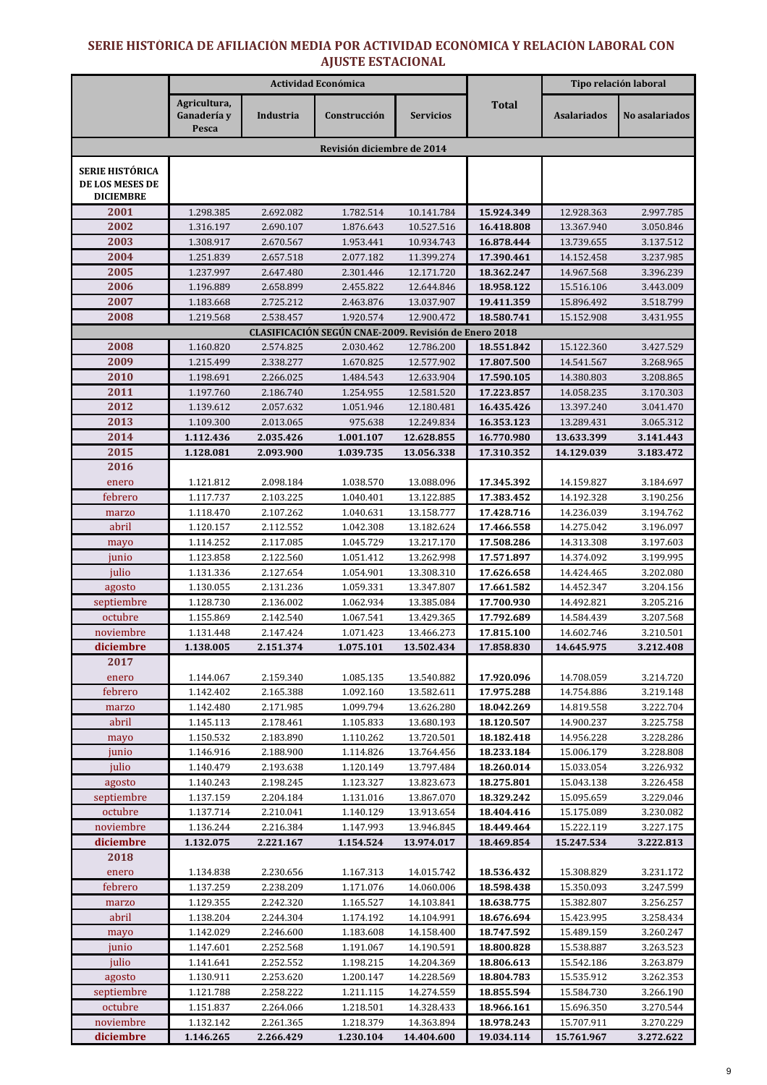### SERIE HISTORICA DE AFILIACIÓN MEDIA POR ACTIVIDAD ECONÓMICA Y RELACIÓN LABORAL CON AJUSTE ESTACIONAL

|                                                               | Actividad Económica                  |                        |                                                                    |                          |                          | Tipo relación laboral    |                        |
|---------------------------------------------------------------|--------------------------------------|------------------------|--------------------------------------------------------------------|--------------------------|--------------------------|--------------------------|------------------------|
|                                                               | Agricultura,<br>Ganadería y<br>Pesca | Industria              | Construcción                                                       | <b>Servicios</b>         | <b>Total</b>             | <b>Asalariados</b>       | No asalariados         |
|                                                               |                                      |                        | Revisión diciembre de 2014                                         |                          |                          |                          |                        |
| <b>SERIE HISTÓRICA</b><br>DE LOS MESES DE<br><b>DICIEMBRE</b> |                                      |                        |                                                                    |                          |                          |                          |                        |
| 2001                                                          | 1.298.385                            | 2.692.082              | 1.782.514                                                          | 10.141.784               | 15.924.349               | 12.928.363               | 2.997.785              |
| 2002                                                          | 1.316.197                            | 2.690.107              | 1.876.643                                                          | 10.527.516               | 16.418.808               | 13.367.940               | 3.050.846              |
| 2003                                                          | 1.308.917                            | 2.670.567              | 1.953.441                                                          | 10.934.743               | 16.878.444               | 13.739.655               | 3.137.512              |
| 2004                                                          | 1.251.839                            | 2.657.518              | 2.077.182                                                          | 11.399.274               | 17.390.461               | 14.152.458               | 3.237.985              |
| 2005                                                          | 1.237.997                            | 2.647.480              | 2.301.446                                                          | 12.171.720               | 18.362.247               | 14.967.568               | 3.396.239              |
| 2006                                                          | 1.196.889                            | 2.658.899              | 2.455.822                                                          | 12.644.846               | 18.958.122               | 15.516.106               | 3.443.009              |
| 2007                                                          | 1.183.668                            | 2.725.212              | 2.463.876                                                          | 13.037.907               | 19.411.359               | 15.896.492               | 3.518.799              |
| 2008                                                          | 1.219.568                            | 2.538.457              | 1.920.574<br>CLASIFICACIÓN SEGÚN CNAE-2009. Revisión de Enero 2018 | 12.900.472               | 18.580.741               | 15.152.908               | 3.431.955              |
| 2008                                                          | 1.160.820                            | 2.574.825              | 2.030.462                                                          | 12.786.200               | 18.551.842               | 15.122.360               | 3.427.529              |
| 2009                                                          | 1.215.499                            | 2.338.277              | 1.670.825                                                          | 12.577.902               | 17.807.500               | 14.541.567               | 3.268.965              |
| 2010                                                          | 1.198.691                            | 2.266.025              | 1.484.543                                                          | 12.633.904               | 17.590.105               | 14.380.803               | 3.208.865              |
| 2011                                                          | 1.197.760                            | 2.186.740              | 1.254.955                                                          | 12.581.520               | 17.223.857               | 14.058.235               | 3.170.303              |
| 2012                                                          | 1.139.612                            | 2.057.632              | 1.051.946                                                          | 12.180.481               | 16.435.426               | 13.397.240               | 3.041.470              |
| 2013                                                          | 1.109.300                            | 2.013.065              | 975.638                                                            | 12.249.834               | 16.353.123               | 13.289.431               | 3.065.312              |
| 2014                                                          | 1.112.436                            | 2.035.426              | 1.001.107                                                          | 12.628.855               | 16.770.980               | 13.633.399               | 3.141.443              |
| 2015                                                          | 1.128.081                            | 2.093.900              | 1.039.735                                                          | 13.056.338               | 17.310.352               | 14.129.039               | 3.183.472              |
| 2016                                                          |                                      |                        |                                                                    |                          |                          |                          |                        |
| enero                                                         | 1.121.812                            | 2.098.184              | 1.038.570                                                          | 13.088.096               | 17.345.392               | 14.159.827               | 3.184.697              |
| febrero                                                       | 1.117.737                            | 2.103.225              | 1.040.401                                                          | 13.122.885               | 17.383.452               | 14.192.328               | 3.190.256              |
| marzo                                                         | 1.118.470                            | 2.107.262              | 1.040.631                                                          | 13.158.777               | 17.428.716               | 14.236.039               | 3.194.762              |
| abril                                                         | 1.120.157                            | 2.112.552              | 1.042.308                                                          | 13.182.624               | 17.466.558               | 14.275.042               | 3.196.097              |
| mayo                                                          | 1.114.252                            | 2.117.085              | 1.045.729                                                          | 13.217.170               | 17.508.286               | 14.313.308               | 3.197.603              |
| junio                                                         | 1.123.858                            | 2.122.560              | 1.051.412                                                          | 13.262.998               | 17.571.897               | 14.374.092               | 3.199.995              |
| julio                                                         | 1.131.336                            | 2.127.654              | 1.054.901                                                          | 13.308.310               | 17.626.658               | 14.424.465               | 3.202.080              |
| agosto                                                        | 1.130.055                            | 2.131.236              | 1.059.331                                                          | 13.347.807               | 17.661.582               | 14.452.347               | 3.204.156              |
| septiembre<br>octubre                                         | 1.128.730<br>1.155.869               | 2.136.002              | 1.062.934                                                          | 13.385.084               | 17.700.930<br>17.792.689 | 14.492.821               | 3.205.216<br>3.207.568 |
| noviembre                                                     | 1.131.448                            | 2.142.540<br>2.147.424 | 1.067.541<br>1.071.423                                             | 13.429.365<br>13.466.273 | 17.815.100               | 14.584.439<br>14.602.746 | 3.210.501              |
| diciembre                                                     | 1.138.005                            | 2.151.374              | 1.075.101                                                          | 13.502.434               | 17.858.830               | 14.645.975               | 3.212.408              |
| 2017                                                          |                                      |                        |                                                                    |                          |                          |                          |                        |
| enero                                                         | 1.144.067                            | 2.159.340              | 1.085.135                                                          | 13.540.882               | 17.920.096               | 14.708.059               | 3.214.720              |
| febrero                                                       | 1.142.402                            | 2.165.388              | 1.092.160                                                          | 13.582.611               | 17.975.288               | 14.754.886               | 3.219.148              |
| marzo                                                         | 1.142.480                            | 2.171.985              | 1.099.794                                                          | 13.626.280               | 18.042.269               | 14.819.558               | 3.222.704              |
| abril                                                         | 1.145.113                            | 2.178.461              | 1.105.833                                                          | 13.680.193               | 18.120.507               | 14.900.237               | 3.225.758              |
| mayo                                                          | 1.150.532                            | 2.183.890              | 1.110.262                                                          | 13.720.501               | 18.182.418               | 14.956.228               | 3.228.286              |
| junio                                                         | 1.146.916                            | 2.188.900              | 1.114.826                                                          | 13.764.456               | 18.233.184               | 15.006.179               | 3.228.808              |
| julio                                                         | 1.140.479                            | 2.193.638              | 1.120.149                                                          | 13.797.484               | 18.260.014               | 15.033.054               | 3.226.932              |
| agosto                                                        | 1.140.243                            | 2.198.245              | 1.123.327                                                          | 13.823.673               | 18.275.801               | 15.043.138               | 3.226.458              |
| septiembre                                                    | 1.137.159                            | 2.204.184              | 1.131.016                                                          | 13.867.070               | 18.329.242               | 15.095.659               | 3.229.046              |
| octubre                                                       | 1.137.714                            | 2.210.041              | 1.140.129                                                          | 13.913.654               | 18.404.416               | 15.175.089               | 3.230.082              |
| noviembre<br>diciembre                                        | 1.136.244                            | 2.216.384              | 1.147.993                                                          | 13.946.845               | 18.449.464               | 15.222.119               | 3.227.175              |
| 2018                                                          | 1.132.075                            | 2.221.167              | 1.154.524                                                          | 13.974.017               | 18.469.854               | 15.247.534               | 3.222.813              |
| enero                                                         | 1.134.838                            | 2.230.656              | 1.167.313                                                          | 14.015.742               | 18.536.432               | 15.308.829               | 3.231.172              |
| febrero                                                       | 1.137.259                            | 2.238.209              | 1.171.076                                                          | 14.060.006               | 18.598.438               | 15.350.093               | 3.247.599              |
| marzo                                                         | 1.129.355                            | 2.242.320              | 1.165.527                                                          | 14.103.841               | 18.638.775               | 15.382.807               | 3.256.257              |
| abril                                                         | 1.138.204                            | 2.244.304              | 1.174.192                                                          | 14.104.991               | 18.676.694               | 15.423.995               | 3.258.434              |
| mayo                                                          | 1.142.029                            | 2.246.600              | 1.183.608                                                          | 14.158.400               | 18.747.592               | 15.489.159               | 3.260.247              |
| junio                                                         | 1.147.601                            | 2.252.568              | 1.191.067                                                          | 14.190.591               | 18.800.828               | 15.538.887               | 3.263.523              |
| julio                                                         | 1.141.641                            | 2.252.552              | 1.198.215                                                          | 14.204.369               | 18.806.613               | 15.542.186               | 3.263.879              |
| agosto                                                        | 1.130.911                            | 2.253.620              | 1.200.147                                                          | 14.228.569               | 18.804.783               | 15.535.912               | 3.262.353              |
| septiembre                                                    | 1.121.788                            | 2.258.222              | 1.211.115                                                          | 14.274.559               | 18.855.594               | 15.584.730               | 3.266.190              |
| octubre                                                       | 1.151.837                            | 2.264.066              | 1.218.501                                                          | 14.328.433               | 18.966.161               | 15.696.350               | 3.270.544              |
| noviembre                                                     | 1.132.142                            | 2.261.365              | 1.218.379                                                          | 14.363.894               | 18.978.243               | 15.707.911               | 3.270.229              |
| diciembre                                                     | 1.146.265                            | 2.266.429              | 1.230.104                                                          | 14.404.600               | 19.034.114               | 15.761.967               | 3.272.622              |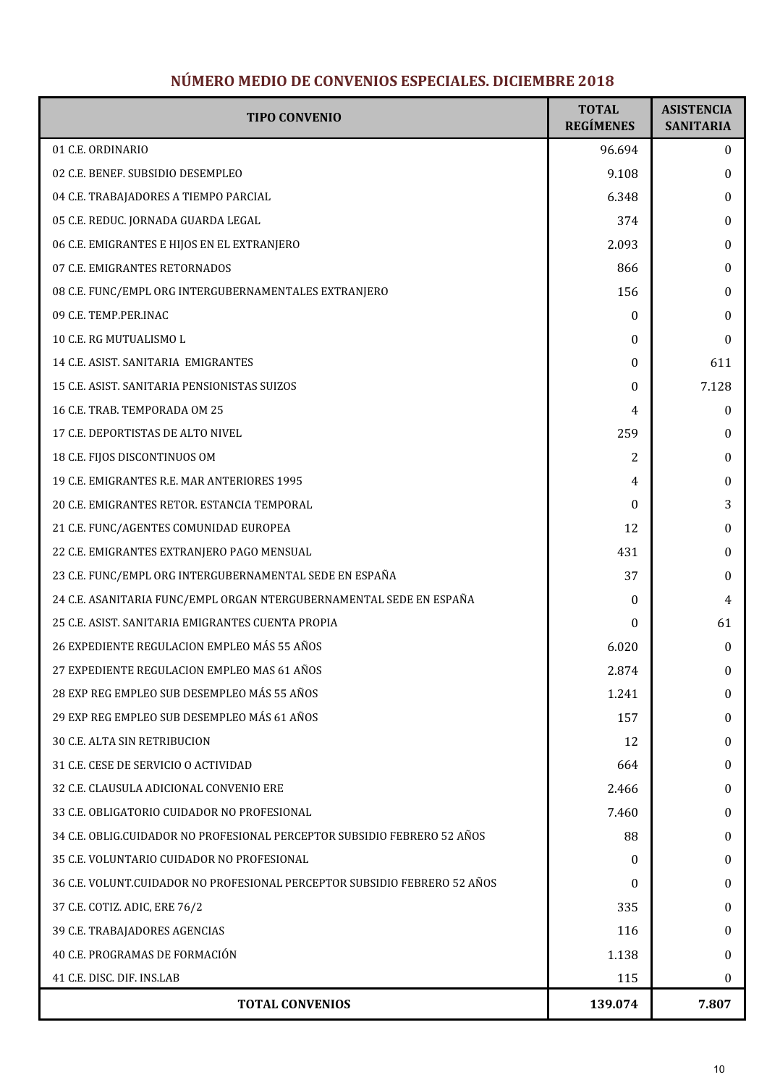# NÚMERO MEDIO DE CONVENIOS ESPECIALES. DICIEMBRE 2018

| <b>TIPO CONVENIO</b>                                                      | <b>TOTAL</b><br><b>REGÍMENES</b> | <b>ASISTENCIA</b><br><b>SANITARIA</b> |
|---------------------------------------------------------------------------|----------------------------------|---------------------------------------|
| 01 C.E. ORDINARIO                                                         | 96.694                           | $\mathbf{0}$                          |
| 02 C.E. BENEF. SUBSIDIO DESEMPLEO                                         | 9.108                            | $\bf{0}$                              |
| 04 C.E. TRABAJADORES A TIEMPO PARCIAL                                     | 6.348                            | $\mathbf{0}$                          |
| 05 C.E. REDUC. JORNADA GUARDA LEGAL                                       | 374                              | $\mathbf{0}$                          |
| 06 C.E. EMIGRANTES E HIJOS EN EL EXTRANJERO                               | 2.093                            | $\mathbf{0}$                          |
| 07 C.E. EMIGRANTES RETORNADOS                                             | 866                              | 0                                     |
| 08 C.E. FUNC/EMPL ORG INTERGUBERNAMENTALES EXTRANJERO                     | 156                              | $\mathbf{0}$                          |
| 09 C.E. TEMP.PER.INAC                                                     | $\theta$                         | $\mathbf{0}$                          |
| 10 C.E. RG MUTUALISMO L                                                   | $\theta$                         | $\mathbf{0}$                          |
| 14 C.E. ASIST. SANITARIA EMIGRANTES                                       | $\theta$                         | 611                                   |
| 15 C.E. ASIST. SANITARIA PENSIONISTAS SUIZOS                              | $\theta$                         | 7.128                                 |
| 16 C.E. TRAB. TEMPORADA OM 25                                             | 4                                | $\bf{0}$                              |
| 17 C.E. DEPORTISTAS DE ALTO NIVEL                                         | 259                              | $\mathbf{0}$                          |
| 18 C.E. FIJOS DISCONTINUOS OM                                             | 2                                | 0                                     |
| 19 C.E. EMIGRANTES R.E. MAR ANTERIORES 1995                               | 4                                | $\mathbf{0}$                          |
| 20 C.E. EMIGRANTES RETOR. ESTANCIA TEMPORAL                               | $\theta$                         | 3                                     |
| 21 C.E. FUNC/AGENTES COMUNIDAD EUROPEA                                    | 12                               | $\bf{0}$                              |
| 22 C.E. EMIGRANTES EXTRANJERO PAGO MENSUAL                                | 431                              | $\bf{0}$                              |
| 23 C.E. FUNC/EMPL ORG INTERGUBERNAMENTAL SEDE EN ESPAÑA                   | 37                               | $\bf{0}$                              |
| 24 C.E. ASANITARIA FUNC/EMPL ORGAN NTERGUBERNAMENTAL SEDE EN ESPAÑA       | $\theta$                         | 4                                     |
| 25 C.E. ASIST, SANITARIA EMIGRANTES CUENTA PROPIA                         | $\theta$                         | 61                                    |
| 26 EXPEDIENTE REGULACION EMPLEO MÁS 55 AÑOS                               | 6.020                            | $\mathbf{0}$                          |
| 27 EXPEDIENTE REGULACION EMPLEO MAS 61 AÑOS                               | 2.874                            | $\mathbf{0}$                          |
| 28 EXP REG EMPLEO SUB DESEMPLEO MÁS 55 AÑOS                               | 1.241                            | $\mathbf{0}$                          |
| 29 EXP REG EMPLEO SUB DESEMPLEO MÁS 61 AÑOS                               | 157                              | $\mathbf{0}$                          |
| <b>30 C.E. ALTA SIN RETRIBUCION</b>                                       | 12                               | $\mathbf{0}$                          |
| 31 C.E. CESE DE SERVICIO O ACTIVIDAD                                      | 664                              | $\mathbf{0}$                          |
| 32 C.E. CLAUSULA ADICIONAL CONVENIO ERE                                   | 2.466                            | $\mathbf{0}$                          |
| 33 C.E. OBLIGATORIO CUIDADOR NO PROFESIONAL                               | 7.460                            | $\mathbf{0}$                          |
| 34 C.E. OBLIG.CUIDADOR NO PROFESIONAL PERCEPTOR SUBSIDIO FEBRERO 52 AÑOS  | 88                               | 0                                     |
| 35 C.E. VOLUNTARIO CUIDADOR NO PROFESIONAL                                | $\theta$                         | $\mathbf{0}$                          |
| 36 C.E. VOLUNT.CUIDADOR NO PROFESIONAL PERCEPTOR SUBSIDIO FEBRERO 52 AÑOS | $\theta$                         | $\mathbf{0}$                          |
| 37 C.E. COTIZ. ADIC, ERE 76/2                                             | 335                              | $\mathbf{0}$                          |
| 39 C.E. TRABAJADORES AGENCIAS                                             | 116                              | $\mathbf{0}$                          |
| 40 C.E. PROGRAMAS DE FORMACIÓN                                            | 1.138                            | $\mathbf{0}$                          |
| 41 C.E. DISC. DIF. INS.LAB                                                | 115                              | $\bf{0}$                              |
| <b>TOTAL CONVENIOS</b>                                                    | 139.074                          | 7.807                                 |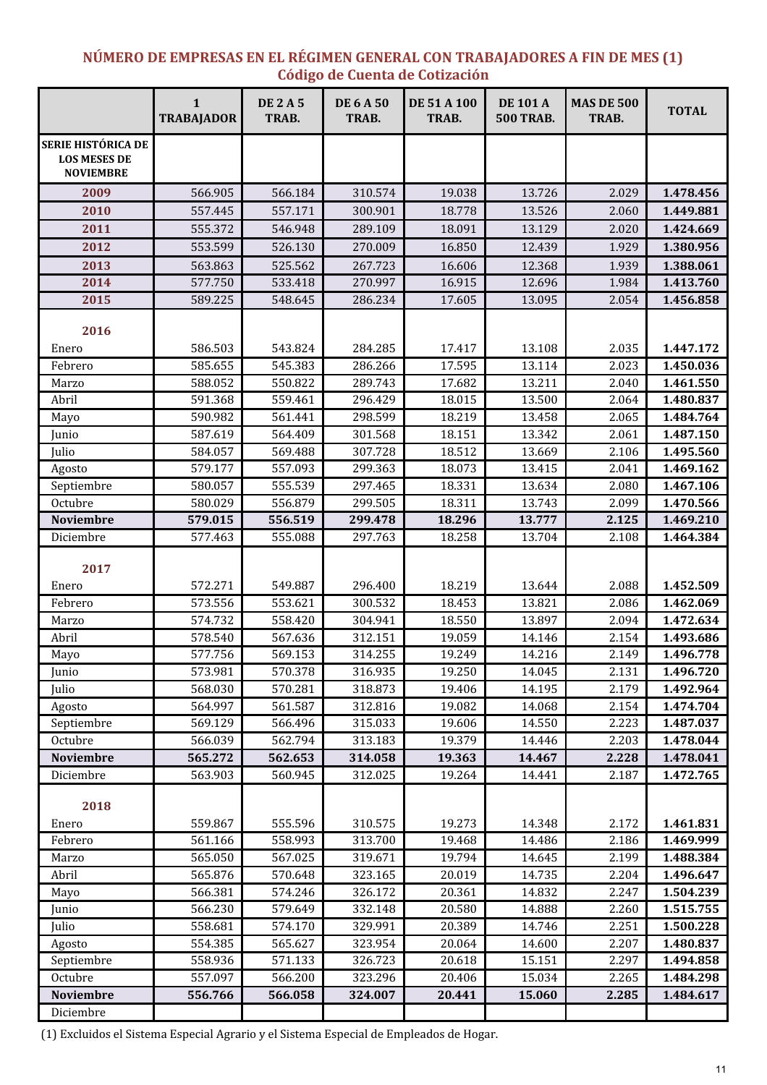### NÚMERO DE EMPRESAS EN EL RÉGIMEN GENERAL CON TRABAJADORES A FIN DE MES (1) Código de Cuenta de Cotización

|                                                                      | $\mathbf{1}$<br><b>TRABAJADOR</b> | <b>DE 2 A 5</b><br>TRAB. | <b>DE 6 A 50</b><br>TRAB. | <b>DE 51 A 100</b><br>TRAB. | <b>DE 101 A</b><br><b>500 TRAB.</b> | <b>MAS DE 500</b><br>TRAB. | <b>TOTAL</b> |
|----------------------------------------------------------------------|-----------------------------------|--------------------------|---------------------------|-----------------------------|-------------------------------------|----------------------------|--------------|
| <b>SERIE HISTÓRICA DE</b><br><b>LOS MESES DE</b><br><b>NOVIEMBRE</b> |                                   |                          |                           |                             |                                     |                            |              |
| 2009                                                                 | 566.905                           | 566.184                  | 310.574                   | 19.038                      | 13.726                              | 2.029                      | 1.478.456    |
| 2010                                                                 | 557.445                           | 557.171                  | 300.901                   | 18.778                      | 13.526                              | 2.060                      | 1.449.881    |
| 2011                                                                 | 555.372                           | 546.948                  | 289.109                   | 18.091                      | 13.129                              | 2.020                      | 1.424.669    |
| 2012                                                                 | 553.599                           | 526.130                  | 270.009                   | 16.850                      | 12.439                              | 1.929                      | 1.380.956    |
| 2013                                                                 | 563.863                           | 525.562                  | 267.723                   | 16.606                      | 12.368                              | 1.939                      | 1.388.061    |
| 2014                                                                 | 577.750                           | 533.418                  | 270.997                   | 16.915                      | 12.696                              | 1.984                      | 1.413.760    |
| 2015                                                                 | 589.225                           | 548.645                  | 286.234                   | 17.605                      | 13.095                              | 2.054                      | 1.456.858    |
| 2016                                                                 |                                   |                          |                           |                             |                                     |                            |              |
| Enero                                                                | 586.503                           | 543.824                  | 284.285                   | 17.417                      | 13.108                              | 2.035                      | 1.447.172    |
| Febrero                                                              | 585.655                           | 545.383                  | 286.266                   | 17.595                      | 13.114                              | 2.023                      | 1.450.036    |
| Marzo                                                                | 588.052                           | 550.822                  | 289.743                   | 17.682                      | 13.211                              | 2.040                      | 1.461.550    |
| Abril                                                                | 591.368                           | 559.461                  | 296.429                   | 18.015                      | 13.500                              | 2.064                      | 1.480.837    |
| Mayo                                                                 | 590.982                           | 561.441                  | 298.599                   | 18.219                      | 13.458                              | 2.065                      | 1.484.764    |
| Junio                                                                | 587.619                           | 564.409                  | 301.568                   | 18.151                      | 13.342                              | 2.061                      | 1.487.150    |
| Julio                                                                | 584.057                           | 569.488                  | 307.728                   | 18.512                      | 13.669                              | 2.106                      | 1.495.560    |
| Agosto                                                               | 579.177                           | 557.093                  | 299.363                   | 18.073                      | 13.415                              | 2.041                      | 1.469.162    |
| Septiembre                                                           | 580.057                           | 555.539                  | 297.465                   | 18.331                      | 13.634                              | 2.080                      | 1.467.106    |
| Octubre                                                              | 580.029                           | 556.879                  | 299.505                   | 18.311                      | 13.743                              | 2.099                      | 1.470.566    |
| <b>Noviembre</b>                                                     | 579.015                           | 556.519                  | 299.478                   | 18.296                      | 13.777                              | 2.125                      | 1.469.210    |
| Diciembre                                                            | 577.463                           | 555.088                  | 297.763                   | 18.258                      | 13.704                              | 2.108                      | 1.464.384    |
| 2017<br>Enero                                                        | 572.271                           | 549.887                  | 296.400                   | 18.219                      | 13.644                              | 2.088                      | 1.452.509    |
| Febrero                                                              | 573.556                           | 553.621                  | 300.532                   | 18.453                      | 13.821                              | 2.086                      | 1.462.069    |
| Marzo                                                                | 574.732                           | 558.420                  | 304.941                   | 18.550                      | 13.897                              | 2.094                      | 1.472.634    |
| Abril                                                                | 578.540                           | 567.636                  | 312.151                   | 19.059                      | 14.146                              | 2.154                      | 1.493.686    |
| Mayo                                                                 | 577.756                           | 569.153                  | 314.255                   | 19.249                      | 14.216                              | 2.149                      | 1.496.778    |
| Junio                                                                | 573.981                           | 570.378                  | 316.935                   | 19.250                      | 14.045                              | 2.131                      | 1.496.720    |
| Julio                                                                | 568.030                           | 570.281                  | 318.873                   | 19.406                      | 14.195                              | 2.179                      | 1.492.964    |
| Agosto                                                               | 564.997                           | 561.587                  | 312.816                   | 19.082                      | 14.068                              | 2.154                      | 1.474.704    |
| Septiembre                                                           | 569.129                           | 566.496                  | 315.033                   | 19.606                      | 14.550                              | 2.223                      | 1.487.037    |
| Octubre                                                              | 566.039                           | 562.794                  | 313.183                   | 19.379                      | 14.446                              | 2.203                      | 1.478.044    |
| <b>Noviembre</b>                                                     | 565.272                           | 562.653                  | 314.058                   | 19.363                      | 14.467                              | 2.228                      | 1.478.041    |
| Diciembre                                                            | 563.903                           | 560.945                  | 312.025                   | 19.264                      | 14.441                              | 2.187                      | 1.472.765    |
| 2018                                                                 |                                   |                          |                           |                             |                                     |                            |              |
| Enero                                                                | 559.867                           | 555.596                  | 310.575                   | 19.273                      | 14.348                              | 2.172                      | 1.461.831    |
| Febrero                                                              | 561.166                           | 558.993                  | 313.700                   | 19.468                      | 14.486                              | 2.186                      | 1.469.999    |
| Marzo                                                                | 565.050                           | 567.025                  | 319.671                   | 19.794                      | 14.645                              | 2.199                      | 1.488.384    |
| Abril                                                                | 565.876                           | 570.648                  | 323.165                   | 20.019                      | 14.735                              | 2.204                      | 1.496.647    |
| Mayo                                                                 | 566.381                           | 574.246                  | 326.172                   | 20.361                      | 14.832                              | 2.247                      | 1.504.239    |
| Junio                                                                | 566.230                           | 579.649                  | 332.148                   | 20.580                      | 14.888                              | 2.260                      | 1.515.755    |
| Julio                                                                | 558.681                           | 574.170                  | 329.991                   | 20.389                      | 14.746                              | 2.251                      | 1.500.228    |
| Agosto                                                               | 554.385                           | 565.627                  | 323.954                   | 20.064                      | 14.600                              | 2.207                      | 1.480.837    |
| Septiembre                                                           | 558.936                           | 571.133                  | 326.723                   | 20.618                      | 15.151                              | 2.297                      | 1.494.858    |
| Octubre                                                              | 557.097                           | 566.200                  | 323.296                   | 20.406                      | 15.034                              | 2.265                      | 1.484.298    |
| <b>Noviembre</b>                                                     | 556.766                           | 566.058                  | 324.007                   | 20.441                      | 15.060                              | 2.285                      | 1.484.617    |
| Diciembre                                                            |                                   |                          |                           |                             |                                     |                            |              |

(1) Excluidos el Sistema Especial Agrario y el Sistema Especial de Empleados de Hogar.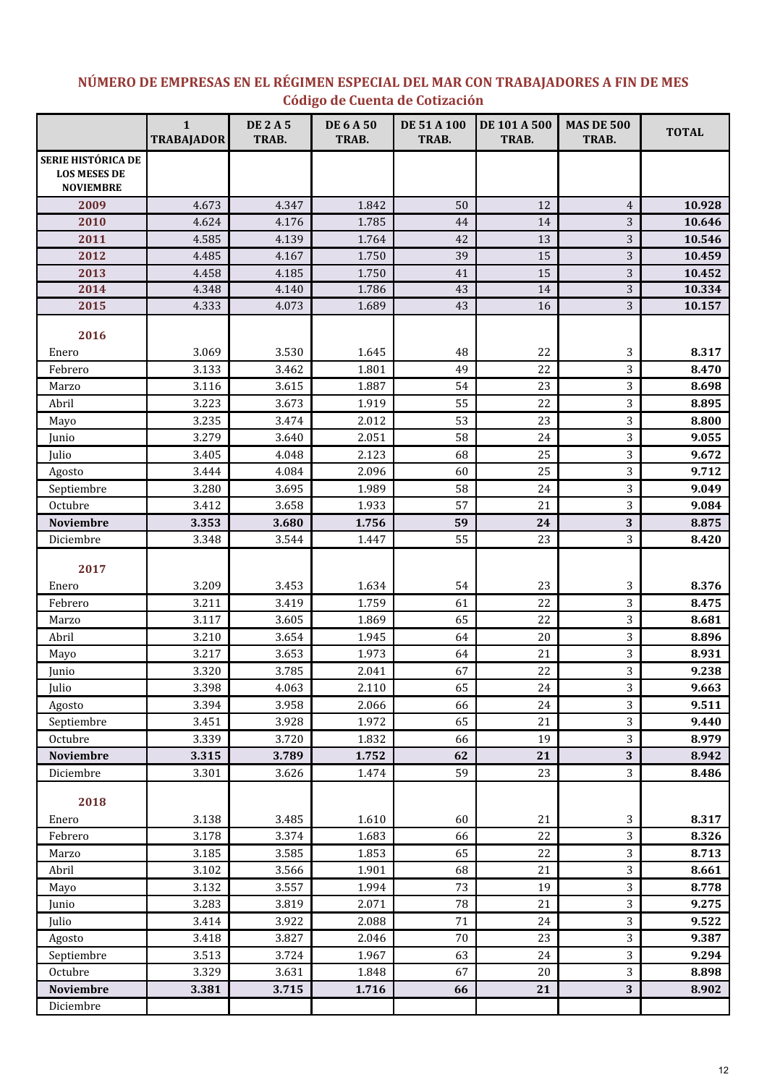# NÚMERO DE EMPRESAS EN EL RÉGIMEN ESPECIAL DEL MAR CON TRABAJADORES A FIN DE MES Código de Cuenta de Cotización

|                                                               | $\mathbf{1}$<br><b>TRABAJADOR</b> | <b>DE 2 A 5</b><br>TRAB. | <b>DE 6 A 50</b><br>TRAB. | <b>DE 51 A 100</b><br>TRAB. | DE 101 A 500<br>TRAB. | <b>MAS DE 500</b><br>TRAB.   | <b>TOTAL</b>   |
|---------------------------------------------------------------|-----------------------------------|--------------------------|---------------------------|-----------------------------|-----------------------|------------------------------|----------------|
| SERIE HISTÓRICA DE<br><b>LOS MESES DE</b><br><b>NOVIEMBRE</b> |                                   |                          |                           |                             |                       |                              |                |
| 2009                                                          | 4.673                             | 4.347                    | 1.842                     | 50                          | 12                    | $\overline{4}$               | 10.928         |
| 2010                                                          | 4.624                             | 4.176                    | 1.785                     | 44                          | 14                    | 3                            | 10.646         |
| 2011                                                          | 4.585                             | 4.139                    | 1.764                     | 42                          | 13                    | 3                            | 10.546         |
| 2012                                                          | 4.485                             | 4.167                    | 1.750                     | 39                          | 15                    | 3                            | 10.459         |
| 2013                                                          | 4.458                             | 4.185                    | 1.750                     | 41                          | 15                    | 3                            | 10.452         |
| 2014                                                          | 4.348                             | 4.140                    | 1.786                     | 43                          | 14                    | 3                            | 10.334         |
| 2015                                                          | 4.333                             | 4.073                    | 1.689                     | 43                          | 16                    | 3                            | 10.157         |
| 2016                                                          |                                   |                          |                           |                             |                       |                              |                |
| Enero                                                         | 3.069                             | 3.530                    | 1.645                     | 48                          | 22                    | 3                            | 8.317          |
| Febrero                                                       | 3.133                             | 3.462                    | 1.801                     | 49                          | 22                    | 3                            | 8.470          |
| Marzo                                                         | 3.116                             | 3.615                    | 1.887                     | 54                          | 23                    | 3                            | 8.698          |
| Abril                                                         | 3.223                             | 3.673                    | 1.919                     | 55                          | 22                    | 3                            | 8.895          |
| Mayo                                                          | 3.235                             | 3.474                    | 2.012                     | 53                          | 23                    | 3                            | 8.800          |
| Junio                                                         | 3.279                             | 3.640                    | 2.051                     | 58                          | 24                    | 3                            | 9.055          |
| Julio                                                         | 3.405                             | 4.048                    | 2.123                     | 68                          | 25                    | 3                            | 9.672          |
| Agosto                                                        | 3.444                             | 4.084                    | 2.096                     | 60                          | 25                    | 3                            | 9.712          |
| Septiembre                                                    | 3.280                             | 3.695                    | 1.989                     | 58                          | 24                    | 3                            | 9.049          |
| Octubre                                                       | 3.412                             | 3.658                    | 1.933                     | 57                          | 21                    | 3                            | 9.084          |
| Noviembre                                                     | 3.353                             | 3.680                    | 1.756                     | 59                          | 24                    | 3                            | 8.875          |
| Diciembre                                                     | 3.348                             | 3.544                    | 1.447                     | 55                          | 23                    | 3                            | 8.420          |
| 2017                                                          |                                   |                          |                           |                             |                       |                              |                |
| Enero                                                         | 3.209                             | 3.453                    | 1.634                     | 54                          | 23                    | 3                            | 8.376          |
| Febrero                                                       | 3.211                             | 3.419                    | 1.759                     | 61                          | 22                    | 3                            | 8.475          |
| Marzo                                                         | 3.117                             | 3.605                    | 1.869                     | 65                          | 22                    | 3                            | 8.681          |
| Abril                                                         | 3.210                             | 3.654                    | 1.945                     | 64                          | 20                    | 3                            | 8.896          |
| Mayo                                                          | 3.217                             | 3.653                    | 1.973                     | 64                          | 21                    | 3                            | 8.931          |
| Junio                                                         | 3.320                             | 3.785                    | 2.041                     | 67                          | 22                    | 3                            | 9.238          |
| Julio                                                         | 3.398                             | 4.063                    | 2.110                     | 65                          | 24                    | 3                            | 9.663          |
| Agosto                                                        | 3.394                             | 3.958                    | 2.066                     | 66                          | 24                    | 3                            | 9.511          |
| Septiembre                                                    | 3.451                             | 3.928                    | 1.972                     | 65                          | 21                    | 3                            | 9.440          |
| Octubre<br><b>Noviembre</b>                                   | 3.339                             | 3.720<br>3.789           | 1.832<br>1.752            | 66<br>62                    | 19<br>21              | 3<br>$\overline{\mathbf{3}}$ | 8.979<br>8.942 |
| Diciembre                                                     | 3.315<br>3.301                    | 3.626                    | 1.474                     | 59                          | 23                    | $\overline{3}$               | 8.486          |
| 2018                                                          |                                   |                          |                           |                             |                       |                              |                |
|                                                               | 3.138                             | 3.485                    | 1.610                     | 60                          | 21                    |                              | 8.317          |
| Enero<br>Febrero                                              | 3.178                             | 3.374                    | 1.683                     | 66                          | 22                    | 3<br>$\overline{3}$          | 8.326          |
|                                                               | 3.185                             |                          |                           |                             | 22                    |                              |                |
| Marzo                                                         |                                   | 3.585                    | 1.853                     | 65                          |                       | 3                            | 8.713          |
| Abril                                                         | 3.102                             | 3.566                    | 1.901                     | 68                          | $21\,$                | 3                            | 8.661          |
| Mayo                                                          | 3.132<br>3.283                    | 3.557<br>3.819           | 1.994<br>2.071            | 73<br>78                    | 19<br>21              | 3<br>3                       | 8.778<br>9.275 |
| Junio                                                         | 3.414                             | 3.922                    | 2.088                     | 71                          | 24                    | $\overline{3}$               | 9.522          |
| Julio                                                         |                                   |                          |                           |                             | 23                    |                              |                |
| Agosto                                                        | 3.418                             | 3.827                    | 2.046                     | 70                          |                       | 3                            | 9.387          |
| Septiembre                                                    | 3.513                             | 3.724                    | 1.967                     | 63                          | 24                    | 3                            | 9.294          |
| Octubre                                                       | 3.329                             | 3.631                    | 1.848                     | 67                          | 20                    | 3<br>3                       | 8.898          |
| Noviembre                                                     | 3.381                             | 3.715                    | 1.716                     | 66                          | 21                    |                              | 8.902          |
| Diciembre                                                     |                                   |                          |                           |                             |                       |                              |                |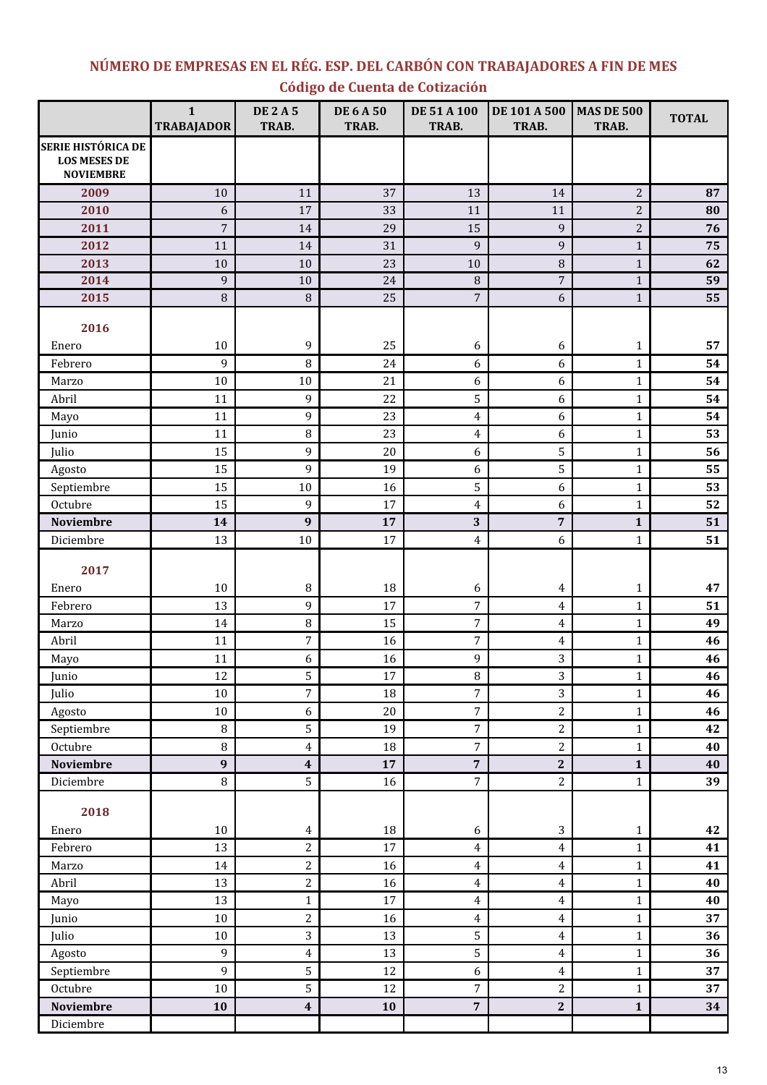# NÚMERO DE EMPRESAS EN EL RÉG. ESP. DEL CARBÓN CON TRABAJADORES A FIN DE MES Código de Cuenta de Cotización

|                                                                      | $\mathbf{1}$<br><b>TRABAJADOR</b> | <b>DE2A5</b><br>TRAB. | <b>DE 6 A 50</b><br>TRAB. | DE 51 A 100<br>TRAB.    | DE 101 A 500<br>TRAB. | <b>MAS DE 500</b><br>TRAB. | <b>TOTAL</b> |
|----------------------------------------------------------------------|-----------------------------------|-----------------------|---------------------------|-------------------------|-----------------------|----------------------------|--------------|
| <b>SERIE HISTÓRICA DE</b><br><b>LOS MESES DE</b><br><b>NOVIEMBRE</b> |                                   |                       |                           |                         |                       |                            |              |
| 2009                                                                 | 10                                | 11                    | 37                        | 13                      | 14                    | $\overline{2}$             | 87           |
| 2010                                                                 | 6                                 | 17                    | 33                        | 11                      | 11                    | $\overline{a}$             | 80           |
| 2011                                                                 | $\overline{7}$                    | 14                    | 29                        | 15                      | $\overline{9}$        | $\overline{c}$             | 76           |
| 2012                                                                 | 11                                | 14                    | 31                        | 9                       | 9                     | $\mathbf{1}$               | 75           |
| 2013                                                                 | 10                                | 10                    | 23                        | $10\,$                  | $\, 8$                | $\mathbf{1}$               | 62           |
| 2014                                                                 | 9                                 | 10                    | 24                        | 8                       | $\sqrt{ }$            | $\mathbf{1}$               | 59           |
| 2015                                                                 | $\, 8$                            | $\, 8$                | 25                        | $\overline{7}$          | $6\,$                 | $\mathbf 1$                | 55           |
| 2016                                                                 |                                   |                       |                           |                         |                       |                            |              |
| Enero                                                                | $10\,$                            | 9                     | 25                        | 6                       | 6                     | 1                          | 57           |
| Febrero                                                              | 9                                 | 8                     | 24                        | 6                       | 6                     | $\mathbf{1}$               | 54           |
| Marzo                                                                | $10\,$                            | 10                    | 21                        | 6                       | 6                     | $\mathbf{1}$               | 54           |
| Abril                                                                | 11                                | 9                     | 22                        | 5                       | 6                     | $\mathbf{1}$               | 54           |
| Mayo                                                                 | 11                                | 9                     | 23                        | $\overline{4}$          | 6                     | $\mathbf{1}$               | 54           |
| Junio                                                                | 11                                | 8                     | 23                        | 4                       | 6                     | $\mathbf{1}$               | 53           |
| Julio                                                                | 15                                | 9                     | 20                        | 6                       | $\mathsf S$           | $\mathbf{1}$               | 56           |
| Agosto                                                               | 15                                | 9                     | 19                        | 6                       | $\mathsf S$           | $\mathbf{1}$               | 55           |
| Septiembre                                                           | 15                                | 10                    | 16                        | 5                       | 6                     | $\mathbf{1}$               | 53           |
| Octubre                                                              | 15                                | 9                     | 17                        | 4                       | 6                     | $\mathbf{1}$               | 52           |
| <b>Noviembre</b>                                                     | 14                                | 9                     | 17                        | 3                       | 7                     | $\mathbf{1}$               | 51           |
| Diciembre                                                            | 13                                | 10                    | 17                        | 4                       | 6                     | $\mathbf{1}$               | 51           |
| 2017                                                                 |                                   |                       |                           |                         |                       |                            |              |
| Enero                                                                | $10\,$                            | 8                     | 18                        | 6                       | 4                     | $\mathbf{1}$               | 47           |
| Febrero                                                              | 13                                | 9                     | 17                        | 7                       | $\overline{4}$        | $\mathbf{1}$               | 51           |
| Marzo                                                                | 14                                | 8                     | 15                        | $\boldsymbol{7}$        | $\overline{4}$        | $\mathbf{1}$               | 49           |
| Abril                                                                | 11                                | 7                     | 16                        | $\sqrt{ }$              | $\overline{4}$        | $\mathbf{1}$               | 46           |
| Mayo                                                                 | 11                                | 6                     | 16                        | 9                       | 3                     | $\mathbf{1}$               | 46           |
| Junio                                                                | 12                                | 5                     | 17                        | 8                       | $\overline{3}$        | $\mathbf{1}$               | 46           |
| Julio                                                                | $10\,$                            | 7                     | 18                        | $\boldsymbol{7}$        | 3                     | $\mathbf{1}$               | 46           |
| Agosto                                                               | $10\,$                            | 6                     | $20\,$                    | $\overline{7}$          | $\sqrt{2}$            | $\mathbf{1}$               | 46           |
| Septiembre                                                           | $\, 8$                            | 5                     | 19                        | $\overline{7}$          | $\overline{2}$        | $\mathbf{1}$               | 42           |
| Octubre                                                              | $\, 8$                            | 4                     | 18                        | $\overline{7}$          | $\sqrt{2}$            | $\mathbf{1}$               | 40           |
| <b>Noviembre</b>                                                     | $\boldsymbol{9}$                  | $\boldsymbol{4}$      | 17                        | $\overline{\mathbf{7}}$ | $\bf 2$               | $\mathbf{1}$               | 40           |
| Diciembre                                                            | $\, 8$                            | 5                     | 16                        | $\overline{7}$          | $\sqrt{2}$            | $\mathbf{1}$               | 39           |
| 2018                                                                 |                                   |                       |                           |                         |                       |                            |              |
| Enero                                                                | $10\,$                            | $\overline{4}$        | 18                        | 6                       | 3                     | $\mathbf{1}$               | 42           |
| Febrero                                                              | 13                                | 2                     | 17                        | $\overline{4}$          | $\overline{4}$        | $\mathbf 1$                | 41           |
| Marzo                                                                | 14                                | 2                     | 16                        | $\overline{4}$          | $\pmb{4}$             | $\mathbf{1}$               | 41           |
| Abril                                                                | 13                                | $\overline{c}$        | 16                        | $\overline{4}$          | $\overline{4}$        | $\mathbf{1}$               | 40           |
| Mayo                                                                 | 13                                | $\mathbf{1}$          | 17                        | $\overline{4}$          | $\overline{4}$        | $\mathbf{1}$               | 40           |
| Junio                                                                | $10\,$                            | $\overline{c}$        | 16                        | $\overline{4}$          | $\overline{4}$        | $\mathbf{1}$               | 37           |
| Julio                                                                | $10\,$                            | 3                     | 13                        | 5                       | 4                     | $\mathbf{1}$               | 36           |
| Agosto                                                               | 9                                 | 4                     | 13                        | 5                       | $\overline{4}$        | $\mathbf{1}$               | 36           |
| Septiembre                                                           | 9                                 | 5                     | 12                        | 6                       | $\pmb{4}$             | $\mathbf{1}$               | 37           |
| Octubre                                                              | $10\,$                            | 5                     | 12                        | $\sqrt{2}$              | $\sqrt{2}$            | $\mathbf{1}$               | 37           |
| <b>Noviembre</b>                                                     | 10                                | 4                     | 10                        | 7                       | $\bf 2$               | $\mathbf{1}$               | 34           |
| Diciembre                                                            |                                   |                       |                           |                         |                       |                            |              |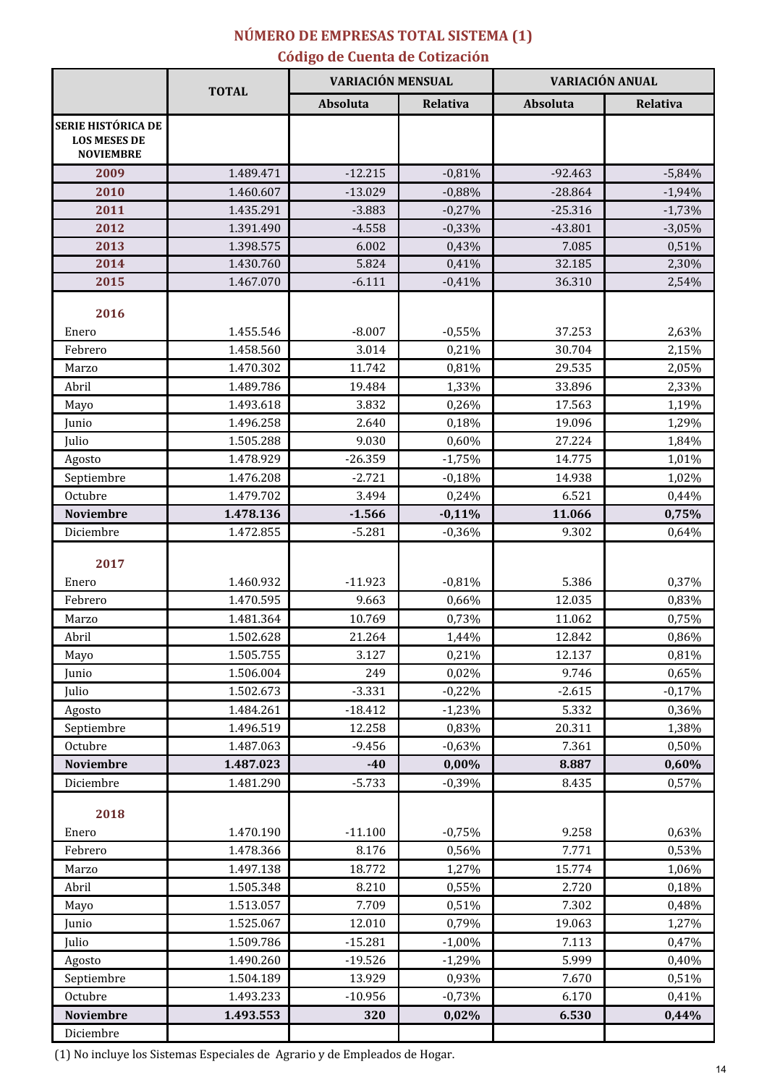# NÚMERO DE EMPRESAS TOTAL SISTEMA (1)

# Código de Cuenta de Cotización

|                                                                      |                        | <b>VARIACIÓN MENSUAL</b> |                |                  | <b>VARIACIÓN ANUAL</b> |  |
|----------------------------------------------------------------------|------------------------|--------------------------|----------------|------------------|------------------------|--|
|                                                                      | <b>TOTAL</b>           | Absoluta                 | Relativa       | <b>Absoluta</b>  | Relativa               |  |
| <b>SERIE HISTÓRICA DE</b><br><b>LOS MESES DE</b><br><b>NOVIEMBRE</b> |                        |                          |                |                  |                        |  |
| 2009                                                                 | 1.489.471              | $-12.215$                | $-0,81%$       | $-92.463$        | $-5,84%$               |  |
| 2010                                                                 | 1.460.607              | $-13.029$                | $-0,88%$       | $-28.864$        | $-1,94%$               |  |
| 2011                                                                 | 1.435.291              | $-3.883$                 | $-0,27%$       | $-25.316$        | $-1,73%$               |  |
| 2012                                                                 | 1.391.490              | $-4.558$                 | $-0,33%$       | $-43.801$        | $-3,05%$               |  |
| 2013                                                                 | 1.398.575              | 6.002                    | 0,43%          | 7.085            | 0,51%                  |  |
| 2014                                                                 | 1.430.760              | 5.824                    | 0,41%          | 32.185           | 2,30%                  |  |
| 2015                                                                 | 1.467.070              | $-6.111$                 | $-0,41%$       | 36.310           | 2,54%                  |  |
| 2016                                                                 |                        |                          |                |                  |                        |  |
| Enero                                                                | 1.455.546              | $-8.007$                 | $-0,55%$       | 37.253           | 2,63%                  |  |
| Febrero                                                              | 1.458.560              | 3.014                    | 0,21%          | 30.704           | 2,15%                  |  |
| Marzo<br>Abril                                                       | 1.470.302<br>1.489.786 | 11.742<br>19.484         | 0,81%          | 29.535<br>33.896 | 2,05%                  |  |
|                                                                      | 1.493.618              | 3.832                    | 1,33%<br>0,26% | 17.563           | 2,33%<br>1,19%         |  |
| Mayo<br>Junio                                                        | 1.496.258              | 2.640                    | 0,18%          | 19.096           | 1,29%                  |  |
| Julio                                                                | 1.505.288              | 9.030                    | 0,60%          | 27.224           | 1,84%                  |  |
| Agosto                                                               | 1.478.929              | $-26.359$                | $-1,75%$       | 14.775           | 1,01%                  |  |
| Septiembre                                                           | 1.476.208              | $-2.721$                 | $-0,18%$       | 14.938           | 1,02%                  |  |
| Octubre                                                              | 1.479.702              | 3.494                    | 0,24%          | 6.521            | 0,44%                  |  |
| <b>Noviembre</b>                                                     | 1.478.136              | $-1.566$                 | $-0,11%$       | 11.066           | 0,75%                  |  |
| Diciembre                                                            | 1.472.855              | $-5.281$                 | $-0,36%$       | 9.302            | 0,64%                  |  |
| 2017                                                                 |                        |                          |                |                  |                        |  |
| Enero                                                                | 1.460.932              | $-11.923$                | $-0,81%$       | 5.386            | 0,37%                  |  |
| Febrero                                                              | 1.470.595              | 9.663                    | 0,66%          | 12.035           | 0,83%                  |  |
| Marzo                                                                | 1.481.364              | 10.769                   | 0,73%          | 11.062           | 0,75%                  |  |
| Abril                                                                | 1.502.628              | 21.264                   | 1,44%          | 12.842           | 0,86%                  |  |
| Mayo                                                                 | 1.505.755              | 3.127                    | 0,21%          | 12.137           | 0,81%                  |  |
| Junio                                                                | 1.506.004              | 249                      | 0,02%          | 9.746            | 0,65%                  |  |
| Julio                                                                | 1.502.673              | $-3.331$                 | $-0,22%$       | $-2.615$         | $-0,17%$               |  |
| Agosto                                                               | 1.484.261              | $-18.412$                | $-1,23%$       | 5.332            | 0,36%                  |  |
| Septiembre                                                           | 1.496.519              | 12.258                   | 0,83%          | 20.311           | 1,38%                  |  |
| Octubre                                                              | 1.487.063              | $-9.456$                 | $-0,63%$       | 7.361            | 0,50%                  |  |
| <b>Noviembre</b>                                                     | 1.487.023              | $-40$                    | 0,00%          | 8.887            | 0,60%                  |  |
| Diciembre                                                            | 1.481.290              | $-5.733$                 | $-0,39%$       | 8.435            | 0,57%                  |  |
| 2018                                                                 |                        |                          |                |                  |                        |  |
| Enero                                                                | 1.470.190              | $-11.100$                | $-0,75%$       | 9.258            | 0,63%                  |  |
| Febrero                                                              | 1.478.366              | 8.176                    | 0,56%          | 7.771            | 0,53%                  |  |
| Marzo                                                                | 1.497.138              | 18.772                   | 1,27%          | 15.774           | 1,06%                  |  |
| Abril                                                                | 1.505.348              | 8.210                    | 0,55%          | 2.720            | 0,18%                  |  |
| Mayo                                                                 | 1.513.057              | 7.709                    | 0,51%          | 7.302            | 0,48%                  |  |
| Junio                                                                | 1.525.067              | 12.010                   | 0,79%          | 19.063           | 1,27%                  |  |
| Julio                                                                | 1.509.786              | $-15.281$                | $-1,00%$       | 7.113            | 0,47%                  |  |
| Agosto                                                               | 1.490.260              | $-19.526$                | $-1,29%$       | 5.999            | 0,40%                  |  |
| Septiembre                                                           | 1.504.189              | 13.929                   | 0,93%          | 7.670            | 0,51%                  |  |
| Octubre                                                              | 1.493.233              | $-10.956$                | $-0,73%$       | 6.170            | 0,41%                  |  |
| Noviembre                                                            | 1.493.553              | 320                      | 0,02%          | 6.530            | 0,44%                  |  |
| Diciembre                                                            |                        |                          |                |                  |                        |  |

(1) No incluye los Sistemas Especiales de Agrario y de Empleados de Hogar.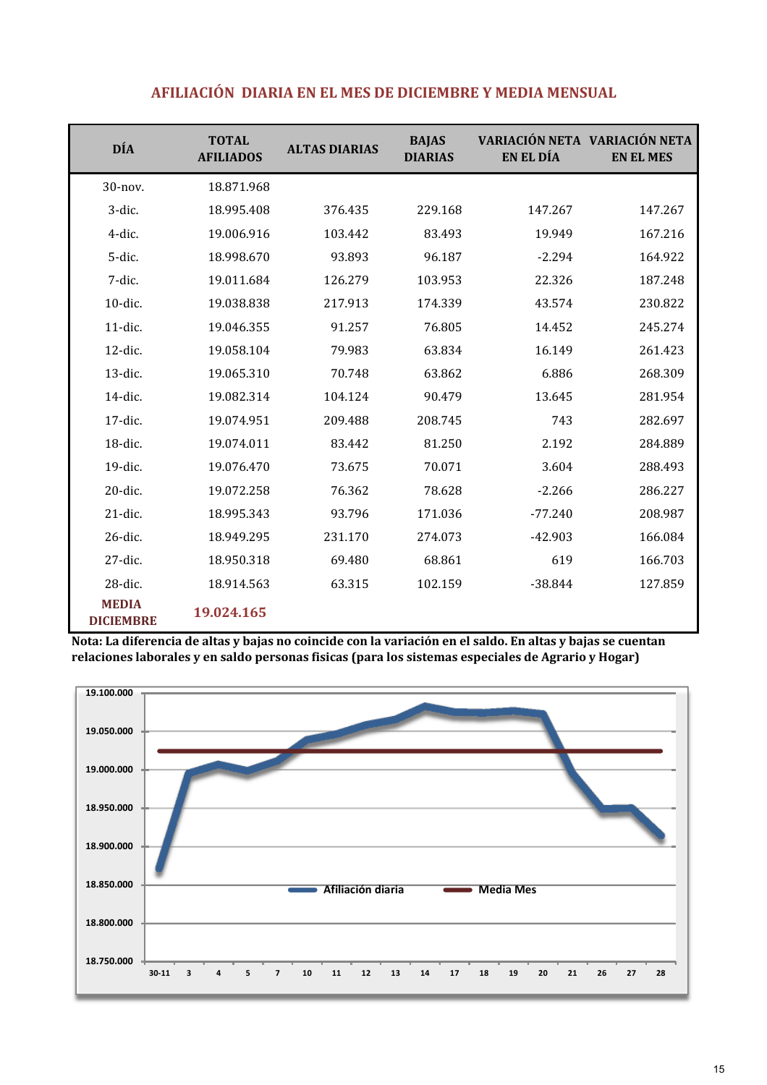| <b>DÍA</b>                       | <b>TOTAL</b><br><b>AFILIADOS</b> | <b>ALTAS DIARIAS</b> | <b>BAJAS</b><br><b>DIARIAS</b> | EN EL DÍA | VARIACIÓN NETA VARIACIÓN NETA<br><b>EN EL MES</b> |
|----------------------------------|----------------------------------|----------------------|--------------------------------|-----------|---------------------------------------------------|
| 30-nov.                          | 18.871.968                       |                      |                                |           |                                                   |
| 3-dic.                           | 18.995.408                       | 376.435              | 229.168                        | 147.267   | 147.267                                           |
| 4-dic.                           | 19.006.916                       | 103.442              | 83.493                         | 19.949    | 167.216                                           |
| 5-dic.                           | 18.998.670                       | 93.893               | 96.187                         | $-2.294$  | 164.922                                           |
| 7-dic.                           | 19.011.684                       | 126.279              | 103.953                        | 22.326    | 187.248                                           |
| 10-dic.                          | 19.038.838                       | 217.913              | 174.339                        | 43.574    | 230.822                                           |
| 11-dic.                          | 19.046.355                       | 91.257               | 76.805                         | 14.452    | 245.274                                           |
| 12-dic.                          | 19.058.104                       | 79.983               | 63.834                         | 16.149    | 261.423                                           |
| 13-dic.                          | 19.065.310                       | 70.748               | 63.862                         | 6.886     | 268.309                                           |
| 14-dic.                          | 19.082.314                       | 104.124              | 90.479                         | 13.645    | 281.954                                           |
| 17-dic.                          | 19.074.951                       | 209.488              | 208.745                        | 743       | 282.697                                           |
| 18-dic.                          | 19.074.011                       | 83.442               | 81.250                         | 2.192     | 284.889                                           |
| 19-dic.                          | 19.076.470                       | 73.675               | 70.071                         | 3.604     | 288.493                                           |
| 20-dic.                          | 19.072.258                       | 76.362               | 78.628                         | $-2.266$  | 286.227                                           |
| 21-dic.                          | 18.995.343                       | 93.796               | 171.036                        | $-77.240$ | 208.987                                           |
| 26-dic.                          | 18.949.295                       | 231.170              | 274.073                        | $-42.903$ | 166.084                                           |
| 27-dic.                          | 18.950.318                       | 69.480               | 68.861                         | 619       | 166.703                                           |
| 28-dic.                          | 18.914.563                       | 63.315               | 102.159                        | $-38.844$ | 127.859                                           |
| <b>MEDIA</b><br><b>DICIEMBRE</b> | 19.024.165                       |                      |                                |           |                                                   |

### AFILIACIÓN DIARIA EN EL MES DE DICIEMBRE Y MEDIA MENSUAL

.<br>Nota: La diferencia de altas y bajas no coincide con la variación en el saldo. En altas y bajas se cuentan relaciones laborales y en saldo personas fisicas (para los sistemas especiales de Agrario y Hogar)

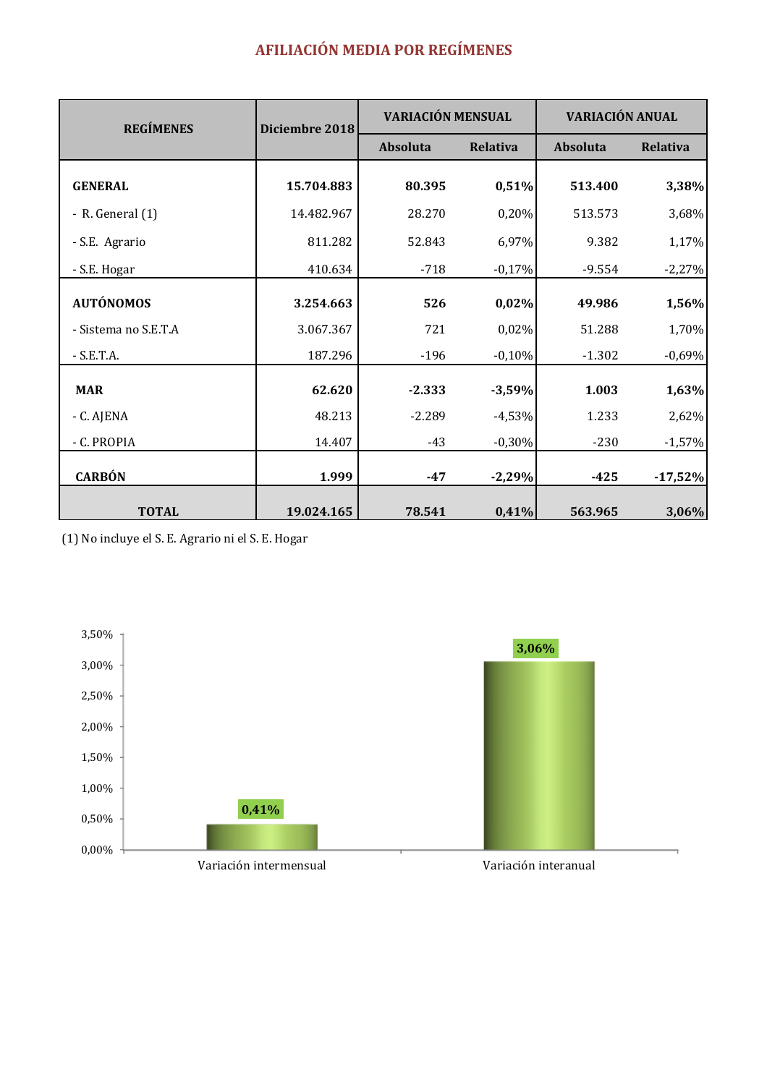# **AFILIACIÓN MEDIA POR REGÍMENES**

| <b>REGÍMENES</b>     |            | <b>VARIACIÓN MENSUAL</b><br>VARIACIÓN ANUAL<br>Diciembre 2018 |          |          |                 |
|----------------------|------------|---------------------------------------------------------------|----------|----------|-----------------|
|                      |            | Absoluta                                                      | Relativa | Absoluta | <b>Relativa</b> |
| <b>GENERAL</b>       | 15.704.883 | 80.395                                                        | 0,51%    | 513.400  | 3,38%           |
| - R. General $(1)$   | 14.482.967 | 28.270                                                        | 0,20%    | 513.573  | 3,68%           |
| - S.E. Agrario       | 811.282    | 52.843                                                        | 6,97%    | 9.382    | 1,17%           |
| - S.E. Hogar         | 410.634    | $-718$                                                        | $-0,17%$ | $-9.554$ | $-2,27%$        |
| <b>AUTÓNOMOS</b>     | 3.254.663  | 526                                                           | 0,02%    | 49.986   | 1,56%           |
| - Sistema no S.E.T.A | 3.067.367  | 721                                                           | 0,02%    | 51.288   | 1,70%           |
| $-S.E.T.A.$          | 187.296    | $-196$                                                        | $-0,10%$ | $-1.302$ | $-0,69%$        |
| <b>MAR</b>           | 62.620     | $-2.333$                                                      | $-3,59%$ | 1.003    | 1,63%           |
| - C. AJENA           | 48.213     | $-2.289$                                                      | $-4,53%$ | 1.233    | 2,62%           |
| - C. PROPIA          | 14.407     | $-43$                                                         | $-0,30%$ | $-230$   | $-1,57%$        |
| <b>CARBÓN</b>        | 1.999      | $-47$                                                         | $-2,29%$ | $-425$   | $-17,52%$       |
| <b>TOTAL</b>         | 19.024.165 | 78.541                                                        | 0,41%    | 563.965  | 3,06%           |

(1) No incluye el S. E. Agrario ni el S. E. Hogar

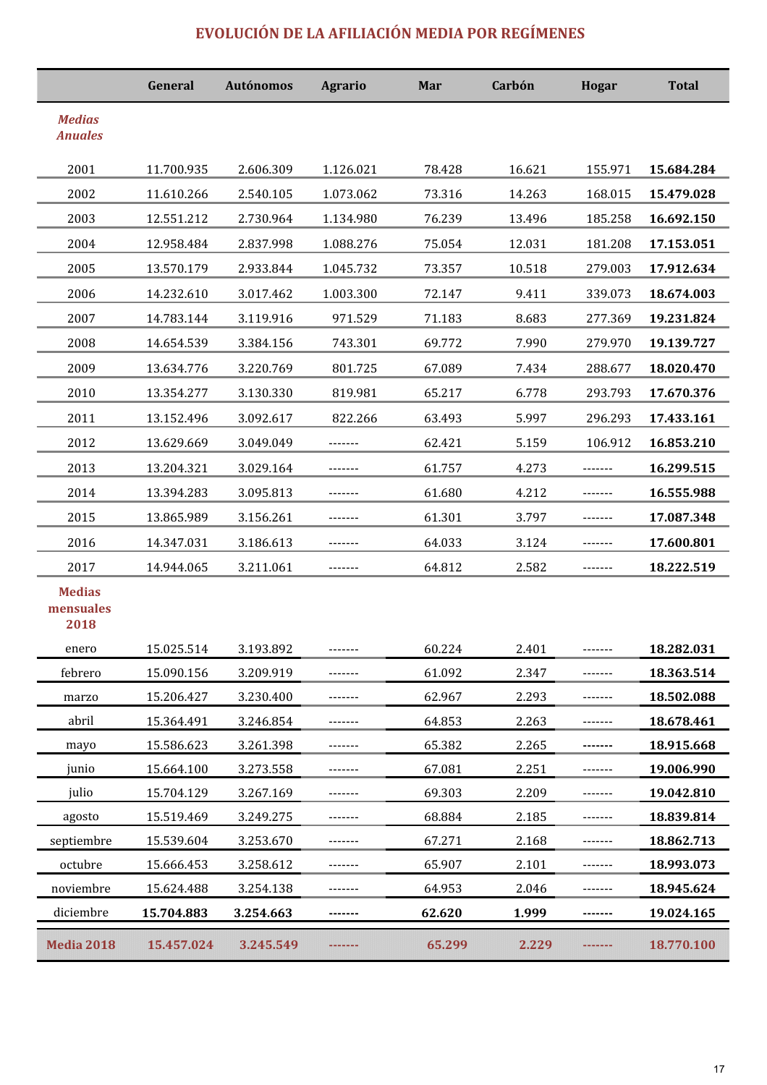# EVOLUCIÓN DE LA AFILIACIÓN MEDIA POR REGÍMENES

|                                    | General    | <b>Autónomos</b> | <b>Agrario</b> | Mar    | Carbón | <b>Hogar</b> | <b>Total</b> |
|------------------------------------|------------|------------------|----------------|--------|--------|--------------|--------------|
| <b>Medias</b><br><b>Anuales</b>    |            |                  |                |        |        |              |              |
| 2001                               | 11.700.935 | 2.606.309        | 1.126.021      | 78.428 | 16.621 | 155.971      | 15.684.284   |
| 2002                               | 11.610.266 | 2.540.105        | 1.073.062      | 73.316 | 14.263 | 168.015      | 15.479.028   |
| 2003                               | 12.551.212 | 2.730.964        | 1.134.980      | 76.239 | 13.496 | 185.258      | 16.692.150   |
| 2004                               | 12.958.484 | 2.837.998        | 1.088.276      | 75.054 | 12.031 | 181.208      | 17.153.051   |
| 2005                               | 13.570.179 | 2.933.844        | 1.045.732      | 73.357 | 10.518 | 279.003      | 17.912.634   |
| 2006                               | 14.232.610 | 3.017.462        | 1.003.300      | 72.147 | 9.411  | 339.073      | 18.674.003   |
| 2007                               | 14.783.144 | 3.119.916        | 971.529        | 71.183 | 8.683  | 277.369      | 19.231.824   |
| 2008                               | 14.654.539 | 3.384.156        | 743.301        | 69.772 | 7.990  | 279.970      | 19.139.727   |
| 2009                               | 13.634.776 | 3.220.769        | 801.725        | 67.089 | 7.434  | 288.677      | 18.020.470   |
| 2010                               | 13.354.277 | 3.130.330        | 819.981        | 65.217 | 6.778  | 293.793      | 17.670.376   |
| 2011                               | 13.152.496 | 3.092.617        | 822.266        | 63.493 | 5.997  | 296.293      | 17.433.161   |
| 2012                               | 13.629.669 | 3.049.049        | -------        | 62.421 | 5.159  | 106.912      | 16.853.210   |
| 2013                               | 13.204.321 | 3.029.164        |                | 61.757 | 4.273  |              | 16.299.515   |
| 2014                               | 13.394.283 | 3.095.813        |                | 61.680 | 4.212  |              | 16.555.988   |
| 2015                               | 13.865.989 | 3.156.261        |                | 61.301 | 3.797  |              | 17.087.348   |
| 2016                               | 14.347.031 | 3.186.613        | -------        | 64.033 | 3.124  |              | 17.600.801   |
| 2017                               | 14.944.065 | 3.211.061        | -------        | 64.812 | 2.582  | -------      | 18.222.519   |
| <b>Medias</b><br>mensuales<br>2018 |            |                  |                |        |        |              |              |
| enero                              | 15.025.514 | 3.193.892        |                | 60.224 | 2.401  |              | 18.282.031   |
| febrero                            | 15.090.156 | 3.209.919        | -------        | 61.092 | 2.347  | -------      | 18.363.514   |
| marzo                              | 15.206.427 | 3.230.400        | -------        | 62.967 | 2.293  | -------      | 18.502.088   |
| abril                              | 15.364.491 | 3.246.854        | -------        | 64.853 | 2.263  | -------      | 18.678.461   |
| mayo                               | 15.586.623 | 3.261.398        | -------        | 65.382 | 2.265  |              | 18.915.668   |
| junio                              | 15.664.100 | 3.273.558        | -------        | 67.081 | 2.251  |              | 19.006.990   |
| julio                              | 15.704.129 | 3.267.169        |                | 69.303 | 2.209  |              | 19.042.810   |
| agosto                             | 15.519.469 | 3.249.275        |                | 68.884 | 2.185  |              | 18.839.814   |
| septiembre                         | 15.539.604 | 3.253.670        | -------        | 67.271 | 2.168  | -------      | 18.862.713   |
| octubre                            | 15.666.453 | 3.258.612        |                | 65.907 | 2.101  |              | 18.993.073   |
| noviembre                          | 15.624.488 | 3.254.138        |                | 64.953 | 2.046  | -------      | 18.945.624   |
| diciembre                          | 15.704.883 | 3.254.663        | -------        | 62.620 | 1.999  | -------      | 19.024.165   |
| <b>Media 2018</b>                  | 15.457.024 | 3.245.549        |                | 65.299 | 2.229  |              | 18.770.100   |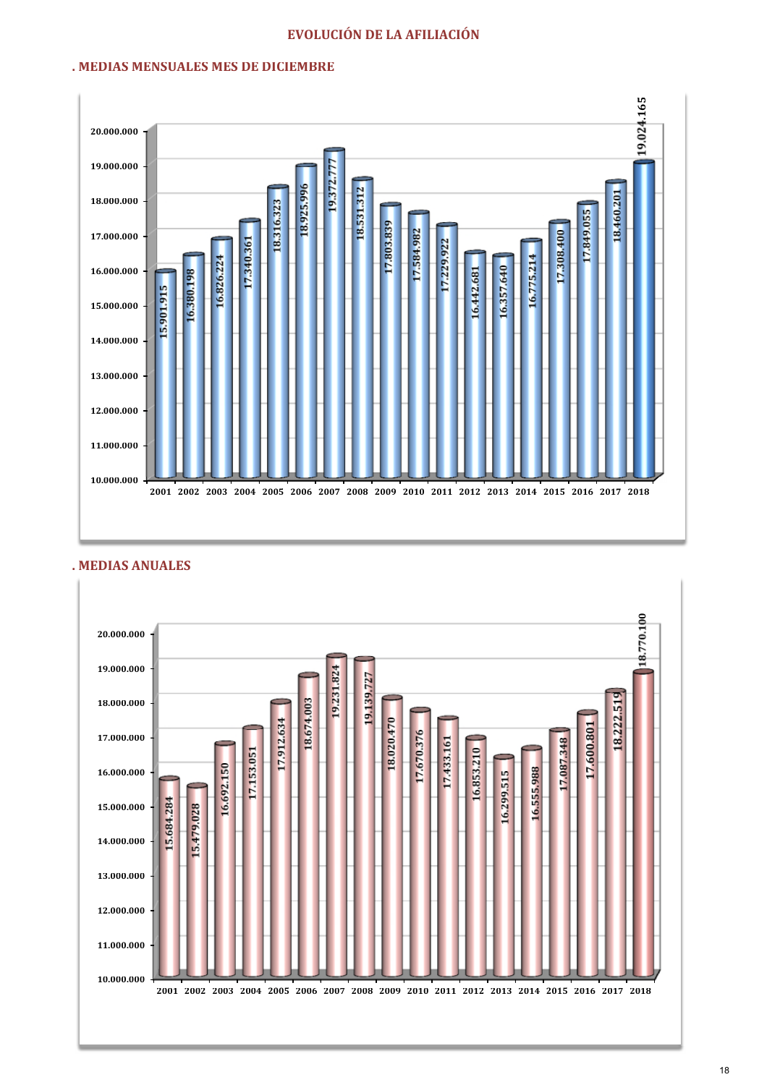### EVOLUCIÓN DE LA AFILIACIÓN

### . MEDIAS MENSUALES MES DE DICIEMBRE



### . MEDIAS ANUALES

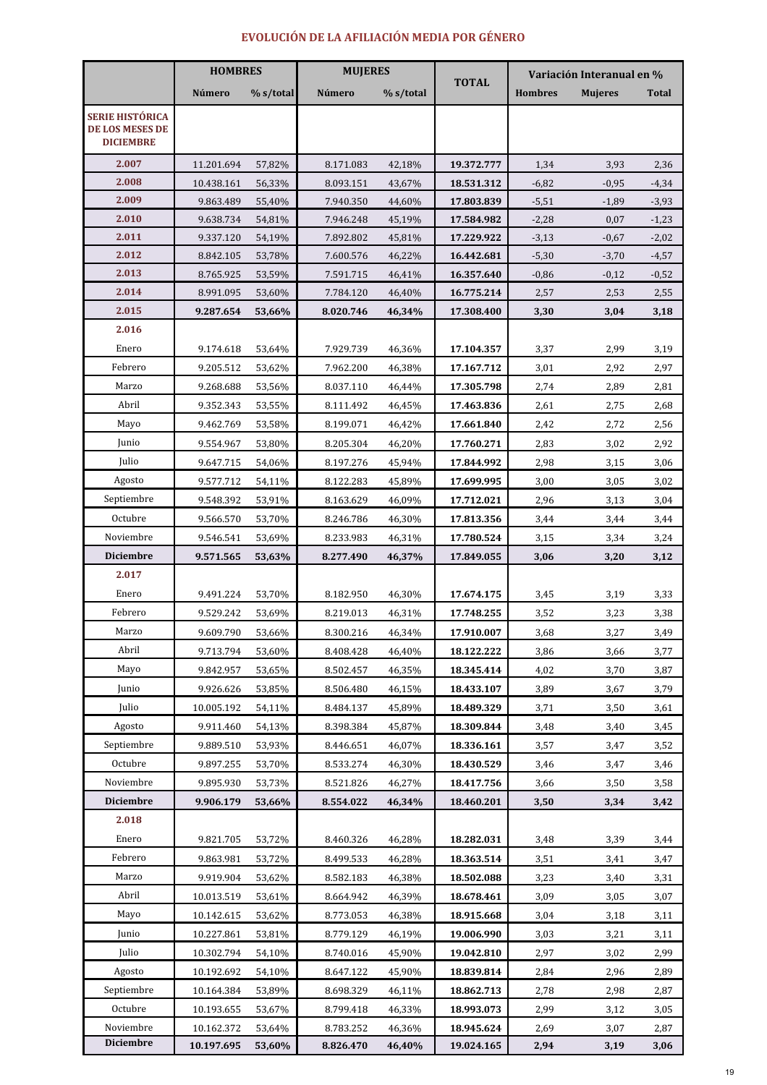### EVOLUCIÓN DE LA AFILIACIÓN MEDIA POR GÉNERO

|                                                                      | <b>HOMBRES</b> |           | <b>MUJERES</b> |           |              | Variación Interanual en % |                |              |
|----------------------------------------------------------------------|----------------|-----------|----------------|-----------|--------------|---------------------------|----------------|--------------|
|                                                                      | Número         | % s/total | Número         | % s/total | <b>TOTAL</b> | <b>Hombres</b>            | <b>Mujeres</b> | <b>Total</b> |
| <b>SERIE HISTÓRICA</b><br><b>DE LOS MESES DE</b><br><b>DICIEMBRE</b> |                |           |                |           |              |                           |                |              |
| 2.007                                                                | 11.201.694     | 57,82%    | 8.171.083      | 42,18%    | 19.372.777   | 1,34                      | 3,93           | 2,36         |
| 2.008                                                                | 10.438.161     | 56,33%    | 8.093.151      | 43,67%    | 18.531.312   | $-6,82$                   | $-0,95$        | $-4,34$      |
| 2.009                                                                | 9.863.489      | 55,40%    | 7.940.350      | 44,60%    | 17.803.839   | $-5,51$                   | $-1,89$        | $-3,93$      |
| 2.010                                                                | 9.638.734      | 54,81%    | 7.946.248      | 45,19%    | 17.584.982   | $-2,28$                   | 0,07           | $-1,23$      |
| 2.011                                                                | 9.337.120      | 54,19%    | 7.892.802      | 45,81%    | 17.229.922   | $-3,13$                   | $-0,67$        | $-2,02$      |
| 2.012                                                                | 8.842.105      | 53,78%    | 7.600.576      | 46,22%    | 16.442.681   | $-5,30$                   | $-3,70$        | $-4,57$      |
| 2.013                                                                | 8.765.925      | 53,59%    | 7.591.715      | 46,41%    | 16.357.640   | $-0,86$                   | $-0,12$        | $-0,52$      |
| 2.014                                                                | 8.991.095      | 53,60%    | 7.784.120      | 46,40%    | 16.775.214   | 2,57                      | 2,53           | 2,55         |
| 2.015                                                                | 9.287.654      | 53,66%    | 8.020.746      | 46,34%    | 17.308.400   | 3,30                      | 3,04           | 3,18         |
| 2.016                                                                |                |           |                |           |              |                           |                |              |
| Enero                                                                | 9.174.618      | 53,64%    | 7.929.739      | 46,36%    | 17.104.357   | 3,37                      | 2,99           | 3,19         |
| Febrero                                                              | 9.205.512      | 53,62%    | 7.962.200      | 46,38%    | 17.167.712   | 3,01                      | 2,92           | 2,97         |
| Marzo                                                                | 9.268.688      | 53,56%    | 8.037.110      | 46,44%    | 17.305.798   | 2,74                      | 2,89           | 2,81         |
| Abril                                                                | 9.352.343      | 53,55%    | 8.111.492      | 46,45%    | 17.463.836   | 2,61                      | 2,75           | 2,68         |
| Mayo                                                                 | 9.462.769      | 53,58%    | 8.199.071      | 46,42%    | 17.661.840   | 2,42                      | 2,72           | 2,56         |
| Junio                                                                | 9.554.967      | 53,80%    | 8.205.304      | 46,20%    | 17.760.271   | 2,83                      | 3,02           | 2,92         |
| Julio                                                                | 9.647.715      | 54,06%    | 8.197.276      | 45,94%    | 17.844.992   | 2,98                      | 3,15           | 3,06         |
| Agosto                                                               | 9.577.712      | 54,11%    | 8.122.283      | 45,89%    | 17.699.995   | 3,00                      | 3,05           | 3,02         |
| Septiembre                                                           | 9.548.392      | 53,91%    | 8.163.629      | 46,09%    | 17.712.021   | 2,96                      | 3,13           | 3,04         |
| Octubre                                                              | 9.566.570      | 53,70%    | 8.246.786      | 46,30%    | 17.813.356   | 3,44                      | 3,44           | 3,44         |
| Noviembre                                                            | 9.546.541      | 53,69%    | 8.233.983      | 46,31%    | 17.780.524   | 3,15                      | 3,34           | 3,24         |
| <b>Diciembre</b>                                                     | 9.571.565      | 53,63%    | 8.277.490      | 46,37%    | 17.849.055   | 3,06                      | 3,20           | 3,12         |
| 2.017                                                                |                |           |                |           |              |                           |                |              |
| Enero                                                                | 9.491.224      | 53,70%    | 8.182.950      | 46,30%    | 17.674.175   | 3,45                      | 3,19           | 3,33         |
| Febrero                                                              | 9.529.242      | 53,69%    | 8.219.013      | 46,31%    | 17.748.255   | 3,52                      | 3,23           | 3,38         |
| Marzo                                                                | 9.609.790      | 53,66%    | 8.300.216      | 46,34%    | 17.910.007   | 3,68                      | 3,27           | 3,49         |
| Abril                                                                | 9.713.794      | 53,60%    | 8.408.428      | 46,40%    | 18.122.222   | 3,86                      | 3,66           | 3,77         |
| Mayo                                                                 | 9.842.957      | 53,65%    | 8.502.457      | 46,35%    | 18.345.414   | 4,02                      | 3,70           | 3,87         |
| Junio                                                                | 9.926.626      | 53,85%    | 8.506.480      | 46,15%    | 18.433.107   | 3,89                      | 3,67           | 3,79         |
| Julio                                                                | 10.005.192     | 54,11%    | 8.484.137      | 45,89%    | 18.489.329   | 3,71                      | 3,50           | 3,61         |
| Agosto                                                               | 9.911.460      | 54,13%    | 8.398.384      | 45,87%    | 18.309.844   | 3,48                      | 3,40           | 3,45         |
| Septiembre                                                           | 9.889.510      | 53,93%    | 8.446.651      | 46,07%    | 18.336.161   | 3,57                      | 3,47           | 3,52         |
| Octubre                                                              | 9.897.255      | 53,70%    | 8.533.274      | 46,30%    | 18.430.529   | 3,46                      | 3,47           | 3,46         |
| Noviembre                                                            | 9.895.930      | 53,73%    | 8.521.826      | 46,27%    | 18.417.756   | 3,66                      | 3,50           | 3,58         |
| <b>Diciembre</b>                                                     | 9.906.179      | 53,66%    | 8.554.022      | 46,34%    | 18.460.201   | 3,50                      | 3,34           | 3,42         |
| 2.018                                                                |                |           |                |           |              |                           |                |              |
| Enero                                                                | 9.821.705      | 53,72%    | 8.460.326      | 46,28%    | 18.282.031   | 3,48                      | 3,39           | 3,44         |
| Febrero                                                              | 9.863.981      | 53,72%    | 8.499.533      | 46,28%    | 18.363.514   | 3,51                      | 3,41           | 3,47         |
| Marzo                                                                | 9.919.904      | 53,62%    | 8.582.183      | 46,38%    | 18.502.088   | 3,23                      | 3,40           | 3,31         |
| Abril                                                                | 10.013.519     | 53,61%    | 8.664.942      | 46,39%    | 18.678.461   | 3,09                      | 3,05           | 3,07         |
| Mayo                                                                 | 10.142.615     | 53,62%    | 8.773.053      | 46,38%    | 18.915.668   | 3,04                      | 3,18           | 3,11         |
| Junio                                                                | 10.227.861     | 53,81%    | 8.779.129      | 46,19%    | 19.006.990   | 3,03                      | 3,21           | 3,11         |
| Julio                                                                | 10.302.794     | 54,10%    | 8.740.016      | 45,90%    | 19.042.810   | 2,97                      | 3,02           | 2,99         |
| Agosto                                                               | 10.192.692     | 54,10%    | 8.647.122      | 45,90%    | 18.839.814   | 2,84                      | 2,96           | 2,89         |
| Septiembre                                                           | 10.164.384     | 53,89%    | 8.698.329      | 46,11%    | 18.862.713   | 2,78                      | 2,98           | 2,87         |
| Octubre                                                              | 10.193.655     | 53,67%    | 8.799.418      | 46,33%    | 18.993.073   | 2,99                      | 3,12           | 3,05         |
| Noviembre                                                            | 10.162.372     | 53,64%    | 8.783.252      | 46,36%    | 18.945.624   | 2,69                      | 3,07           | 2,87         |
| <b>Diciembre</b>                                                     | 10.197.695     | 53,60%    | 8.826.470      | 46,40%    | 19.024.165   | 2,94                      | 3,19           | 3,06         |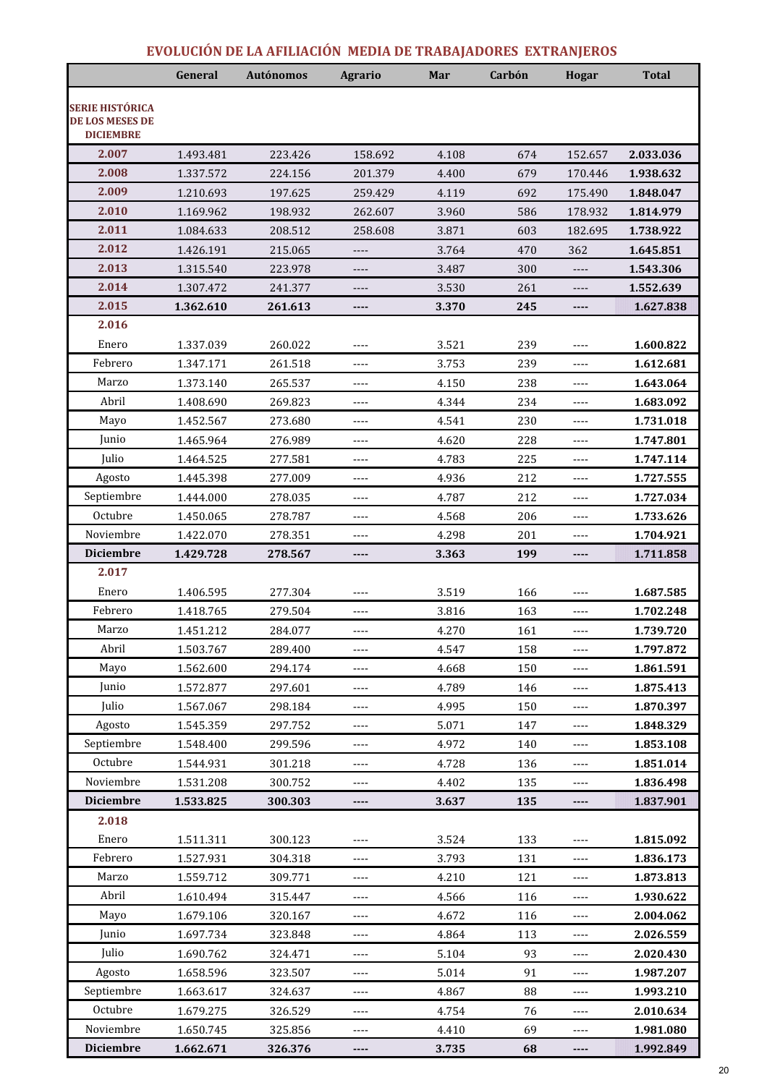### EVOLUCIÓN DE LA AFILIACIÓN MEDIA DE TRABAJADORES EXTRANJEROS

|                                                                      | General   | <b>Autónomos</b> | <b>Agrario</b> | Mar   | Carbón | <b>Hogar</b>             | <b>Total</b> |
|----------------------------------------------------------------------|-----------|------------------|----------------|-------|--------|--------------------------|--------------|
| <b>SERIE HISTÓRICA</b><br><b>DE LOS MESES DE</b><br><b>DICIEMBRE</b> |           |                  |                |       |        |                          |              |
| 2.007                                                                | 1.493.481 | 223.426          | 158.692        | 4.108 | 674    | 152.657                  | 2.033.036    |
| 2.008                                                                | 1.337.572 | 224.156          | 201.379        | 4.400 | 679    | 170.446                  | 1.938.632    |
| 2.009                                                                | 1.210.693 | 197.625          | 259.429        | 4.119 | 692    | 175.490                  | 1.848.047    |
| 2.010                                                                | 1.169.962 | 198.932          | 262.607        | 3.960 | 586    | 178.932                  | 1.814.979    |
| 2.011                                                                | 1.084.633 | 208.512          | 258.608        | 3.871 | 603    | 182.695                  | 1.738.922    |
| 2.012                                                                | 1.426.191 | 215.065          | $---$          | 3.764 | 470    | 362                      | 1.645.851    |
| 2.013                                                                | 1.315.540 | 223.978          | $---$          | 3.487 | 300    | ----                     | 1.543.306    |
| 2.014                                                                | 1.307.472 | 241.377          | $---$          | 3.530 | 261    | ----                     | 1.552.639    |
| 2.015                                                                | 1.362.610 | 261.613          | ----           | 3.370 | 245    | ----                     | 1.627.838    |
| 2.016                                                                |           |                  |                |       |        |                          |              |
| Enero                                                                | 1.337.039 | 260.022          | $---$          | 3.521 | 239    | $---$                    | 1.600.822    |
| Febrero                                                              | 1.347.171 | 261.518          | $---$          | 3.753 | 239    | $- - - -$                | 1.612.681    |
| Marzo                                                                | 1.373.140 | 265.537          | $- - - -$      | 4.150 | 238    | ----                     | 1.643.064    |
| Abril                                                                | 1.408.690 | 269.823          | $---$          | 4.344 | 234    | ----                     | 1.683.092    |
| Mayo                                                                 | 1.452.567 | 273.680          | $- - - -$      | 4.541 | 230    | ----                     | 1.731.018    |
| Junio                                                                | 1.465.964 | 276.989          | ----           | 4.620 | 228    | $---$                    | 1.747.801    |
| Julio                                                                | 1.464.525 | 277.581          | ----           | 4.783 | 225    | ----                     | 1.747.114    |
| Agosto                                                               | 1.445.398 | 277.009          | $---$          | 4.936 | 212    | ----                     | 1.727.555    |
| Septiembre                                                           | 1.444.000 | 278.035          | $- - - -$      | 4.787 | 212    | ----                     | 1.727.034    |
| Octubre                                                              | 1.450.065 | 278.787          | $---$          | 4.568 | 206    | ----                     | 1.733.626    |
| Noviembre                                                            | 1.422.070 | 278.351          | $- - - -$      | 4.298 | 201    | ----                     | 1.704.921    |
| <b>Diciembre</b>                                                     | 1.429.728 | 278.567          | ----           | 3.363 | 199    | ----                     | 1.711.858    |
| 2.017                                                                |           |                  |                |       |        |                          |              |
| Enero                                                                | 1.406.595 | 277.304          | $---$          | 3.519 | 166    | ----                     | 1.687.585    |
| Febrero                                                              | 1.418.765 | 279.504          | $---$          | 3.816 | 163    | $- - - -$                | 1.702.248    |
| Marzo                                                                | 1.451.212 | 284.077          | $---$          | 4.270 | 161    | ----                     | 1.739.720    |
| Abril                                                                | 1.503.767 | 289.400          | $\cdots$       | 4.547 | 158    | $---$                    | 1.797.872    |
| Mayo                                                                 | 1.562.600 | 294.174          | ----           | 4.668 | 150    | ----                     | 1.861.591    |
| Junio                                                                | 1.572.877 | 297.601          | $\cdots$       | 4.789 | 146    | ----                     | 1.875.413    |
| Julio                                                                | 1.567.067 | 298.184          | ----           | 4.995 | 150    | ----                     | 1.870.397    |
| Agosto                                                               | 1.545.359 | 297.752          | ----           | 5.071 | 147    | ----                     | 1.848.329    |
| Septiembre                                                           | 1.548.400 | 299.596          | ----           | 4.972 | 140    | $---$                    | 1.853.108    |
| Octubre                                                              | 1.544.931 | 301.218          | $\cdots$       | 4.728 | 136    | ----                     | 1.851.014    |
| Noviembre                                                            | 1.531.208 | 300.752          | $\cdots$       | 4.402 | 135    | ----                     | 1.836.498    |
| <b>Diciembre</b>                                                     | 1.533.825 | 300.303          | ----           | 3.637 | 135    | ----                     | 1.837.901    |
| 2.018                                                                |           |                  |                |       |        |                          |              |
| Enero                                                                | 1.511.311 | 300.123          | ----           | 3.524 | 133    | ----                     | 1.815.092    |
| Febrero                                                              | 1.527.931 | 304.318          | $\overline{a}$ | 3.793 | 131    | $\overline{\phantom{a}}$ | 1.836.173    |
| Marzo                                                                | 1.559.712 | 309.771          | $- - - -$      | 4.210 | 121    | ----                     | 1.873.813    |
| Abril                                                                | 1.610.494 | 315.447          | $\cdots$       | 4.566 | 116    | $---$                    | 1.930.622    |
| Mayo                                                                 | 1.679.106 | 320.167          | ----           | 4.672 | 116    | ----                     | 2.004.062    |
| Junio                                                                | 1.697.734 | 323.848          | ----           | 4.864 | 113    | ----                     | 2.026.559    |
| Julio                                                                | 1.690.762 | 324.471          | $\cdots$       | 5.104 | 93     | ----                     | 2.020.430    |
| Agosto                                                               | 1.658.596 | 323.507          | $\cdots$       | 5.014 | 91     | ----                     | 1.987.207    |
| Septiembre                                                           | 1.663.617 | 324.637          | ----           | 4.867 | 88     | ----                     | 1.993.210    |
| Octubre                                                              | 1.679.275 | 326.529          | $\cdots$       | 4.754 | 76     | ----                     | 2.010.634    |
| Noviembre                                                            | 1.650.745 | 325.856          | $\cdots$       | 4.410 | 69     | ----                     | 1.981.080    |
| <b>Diciembre</b>                                                     | 1.662.671 | 326.376          | ----           | 3.735 | 68     | ----                     | 1.992.849    |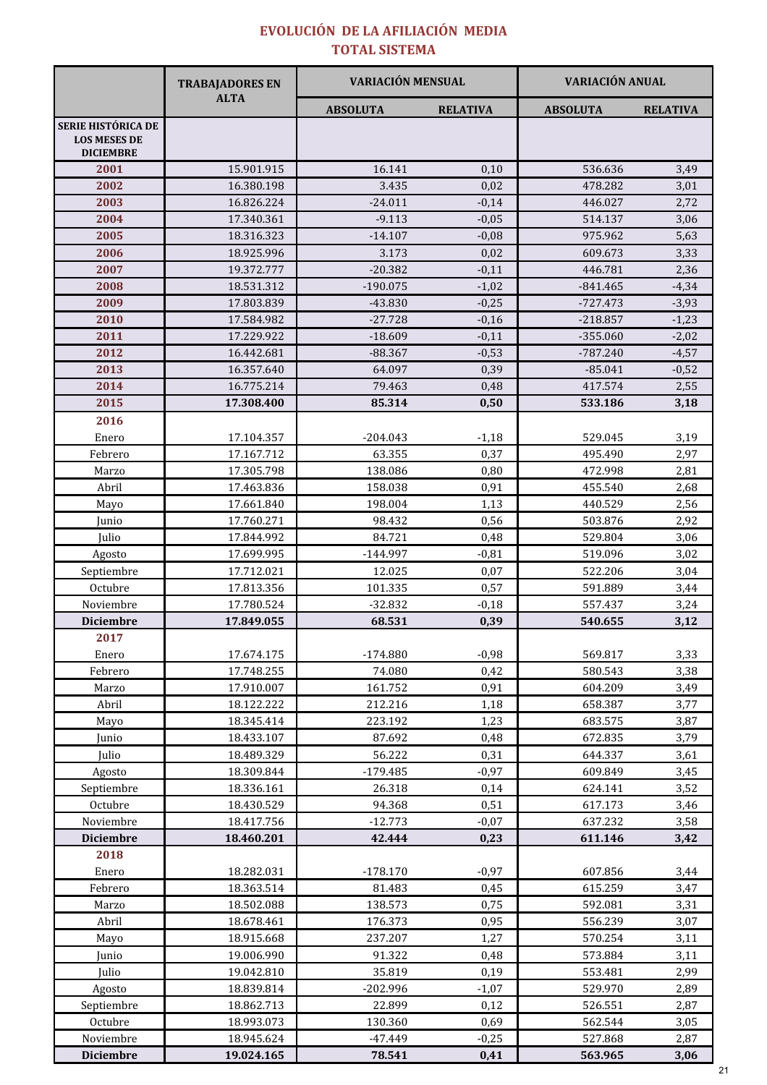### EVOLUCIÓN DE LA AFILIACIÓN MEDIA TOTAL SISTEMA

| <b>SERIE HISTÓRICA DE</b><br><b>LOS MESES DE</b><br><b>DICIEMBRE</b><br>2001<br>2002<br>2003<br>2004<br>2005<br>2006<br>2007<br>2008<br>2009<br>2010<br>2011<br>2012<br>2013<br>2014<br>2015<br>2016<br>Enero<br>Febrero<br>Marzo<br>Abril<br>Mayo<br>Junio<br>Julio<br>Agosto<br>Septiembre | <b>ALTA</b>              | <b>ABSOLUTA</b>      | <b>RELATIVA</b> | <b>ABSOLUTA</b>    | <b>RELATIVA</b> |
|----------------------------------------------------------------------------------------------------------------------------------------------------------------------------------------------------------------------------------------------------------------------------------------------|--------------------------|----------------------|-----------------|--------------------|-----------------|
|                                                                                                                                                                                                                                                                                              |                          |                      |                 |                    |                 |
|                                                                                                                                                                                                                                                                                              |                          |                      |                 |                    |                 |
|                                                                                                                                                                                                                                                                                              | 15.901.915               | 16.141               | 0,10            | 536.636            | 3,49            |
|                                                                                                                                                                                                                                                                                              | 16.380.198               | 3.435                | 0,02            | 478.282            | 3,01            |
|                                                                                                                                                                                                                                                                                              | 16.826.224               | $-24.011$            | $-0.14$         | 446.027            | 2,72            |
|                                                                                                                                                                                                                                                                                              | 17.340.361               | $-9.113$             | $-0,05$         | 514.137            | 3,06            |
|                                                                                                                                                                                                                                                                                              | 18.316.323               | $-14.107$            | $-0,08$         | 975.962            | 5,63            |
|                                                                                                                                                                                                                                                                                              | 18.925.996               | 3.173                | 0,02            | 609.673            | 3,33            |
|                                                                                                                                                                                                                                                                                              | 19.372.777               | $-20.382$            | $-0,11$         | 446.781            | 2,36            |
|                                                                                                                                                                                                                                                                                              | 18.531.312               | $-190.075$           | $-1,02$         | $-841.465$         | $-4,34$         |
|                                                                                                                                                                                                                                                                                              | 17.803.839               | $-43.830$            | $-0,25$         | -727.473           | $-3,93$         |
|                                                                                                                                                                                                                                                                                              | 17.584.982               | $-27.728$            | $-0,16$         | $-218.857$         | $-1,23$         |
|                                                                                                                                                                                                                                                                                              | 17.229.922               | $-18.609$            | $-0,11$         | $-355.060$         | $-2,02$         |
|                                                                                                                                                                                                                                                                                              | 16.442.681               | $-88.367$            | $-0,53$         | $-787.240$         | $-4,57$         |
|                                                                                                                                                                                                                                                                                              | 16.357.640               | 64.097               | 0,39            | $-85.041$          | $-0,52$         |
|                                                                                                                                                                                                                                                                                              | 16.775.214               | 79.463               | 0,48            | 417.574            | 2,55            |
|                                                                                                                                                                                                                                                                                              | 17.308.400               | 85.314               | 0,50            | 533.186            | 3,18            |
|                                                                                                                                                                                                                                                                                              |                          |                      |                 |                    |                 |
|                                                                                                                                                                                                                                                                                              | 17.104.357               | $-204.043$           | $-1,18$         | 529.045            | 3,19            |
|                                                                                                                                                                                                                                                                                              | 17.167.712               | 63.355               | 0,37            | 495.490            | 2,97            |
|                                                                                                                                                                                                                                                                                              | 17.305.798               | 138.086              | 0,80            | 472.998            | 2,81            |
|                                                                                                                                                                                                                                                                                              | 17.463.836               | 158.038              | 0,91            | 455.540            | 2,68            |
|                                                                                                                                                                                                                                                                                              | 17.661.840               | 198.004              | 1,13            | 440.529            | 2,56            |
|                                                                                                                                                                                                                                                                                              | 17.760.271               | 98.432               | 0,56            | 503.876            | 2,92            |
|                                                                                                                                                                                                                                                                                              | 17.844.992               | 84.721               | 0,48            | 529.804            | 3,06            |
|                                                                                                                                                                                                                                                                                              | 17.699.995               | $-144.997$           | $-0,81$         | 519.096            | 3,02            |
|                                                                                                                                                                                                                                                                                              | 17.712.021               | 12.025               | 0,07            | 522.206            | 3,04            |
| Octubre                                                                                                                                                                                                                                                                                      | 17.813.356               | 101.335              | 0,57            | 591.889            | 3,44            |
| Noviembre                                                                                                                                                                                                                                                                                    | 17.780.524               | $-32.832$            | $-0,18$         | 557.437            | 3,24            |
| <b>Diciembre</b>                                                                                                                                                                                                                                                                             | 17.849.055               | 68.531               | 0,39            | 540.655            | 3,12            |
| 2017                                                                                                                                                                                                                                                                                         |                          |                      |                 |                    |                 |
| Enero                                                                                                                                                                                                                                                                                        | 17.674.175               | $-174.880$           | $-0,98$         | 569.817            | 3,33            |
| Febrero                                                                                                                                                                                                                                                                                      | 17.748.255               | 74.080               | 0,42            | 580.543            | 3,38            |
| Marzo                                                                                                                                                                                                                                                                                        | 17.910.007               | 161.752              | 0,91            | 604.209            | 3,49            |
| Abril                                                                                                                                                                                                                                                                                        | 18.122.222               | 212.216              | 1,18            | 658.387            | 3,77            |
| Mayo                                                                                                                                                                                                                                                                                         | 18.345.414               | 223.192              | 1,23            | 683.575            | 3,87            |
| Junio                                                                                                                                                                                                                                                                                        | 18.433.107               | 87.692               | 0,48            | 672.835            | 3,79            |
| Julio                                                                                                                                                                                                                                                                                        | 18.489.329               | 56.222               | 0,31            | 644.337            | 3,61            |
| Agosto                                                                                                                                                                                                                                                                                       | 18.309.844               | $-179.485$           | $-0,97$         | 609.849            | 3,45            |
| Septiembre                                                                                                                                                                                                                                                                                   | 18.336.161               | 26.318               | 0,14            | 624.141            | 3,52            |
| Octubre                                                                                                                                                                                                                                                                                      | 18.430.529               | 94.368               | 0,51            | 617.173            | 3,46            |
| Noviembre                                                                                                                                                                                                                                                                                    | 18.417.756               | $-12.773$            | $-0,07$         | 637.232            | 3,58            |
| <b>Diciembre</b>                                                                                                                                                                                                                                                                             | 18.460.201               | 42.444               | 0,23            | 611.146            | 3,42            |
| 2018                                                                                                                                                                                                                                                                                         |                          |                      |                 |                    |                 |
| Enero                                                                                                                                                                                                                                                                                        | 18.282.031               | $-178.170$<br>81.483 | $-0,97$         | 607.856<br>615.259 | 3,44            |
| Febrero                                                                                                                                                                                                                                                                                      | 18.363.514<br>18.502.088 | 138.573              | 0,45            | 592.081            | 3,47            |
| Marzo<br>Abril                                                                                                                                                                                                                                                                               | 18.678.461               | 176.373              | 0,75<br>0,95    | 556.239            | 3,31<br>3,07    |
|                                                                                                                                                                                                                                                                                              | 18.915.668               | 237.207              | 1,27            | 570.254            | 3,11            |
| Mayo                                                                                                                                                                                                                                                                                         | 19.006.990               | 91.322               |                 | 573.884            |                 |
| Junio                                                                                                                                                                                                                                                                                        |                          | 35.819               | 0,48            |                    | 3,11            |
| Julio                                                                                                                                                                                                                                                                                        | 19.042.810<br>18.839.814 |                      | 0,19            | 553.481            | 2,99            |
| Agosto<br>Septiembre                                                                                                                                                                                                                                                                         |                          | $-202.996$           | $-1,07$         | 529.970<br>526.551 | 2,89<br>2,87    |
| Octubre                                                                                                                                                                                                                                                                                      |                          |                      |                 |                    |                 |
| Noviembre                                                                                                                                                                                                                                                                                    | 18.862.713               | 22.899               | 0,12            |                    |                 |
| <b>Diciembre</b>                                                                                                                                                                                                                                                                             | 18.993.073<br>18.945.624 | 130.360<br>$-47.449$ | 0,69<br>$-0,25$ | 562.544<br>527.868 | 3,05<br>2,87    |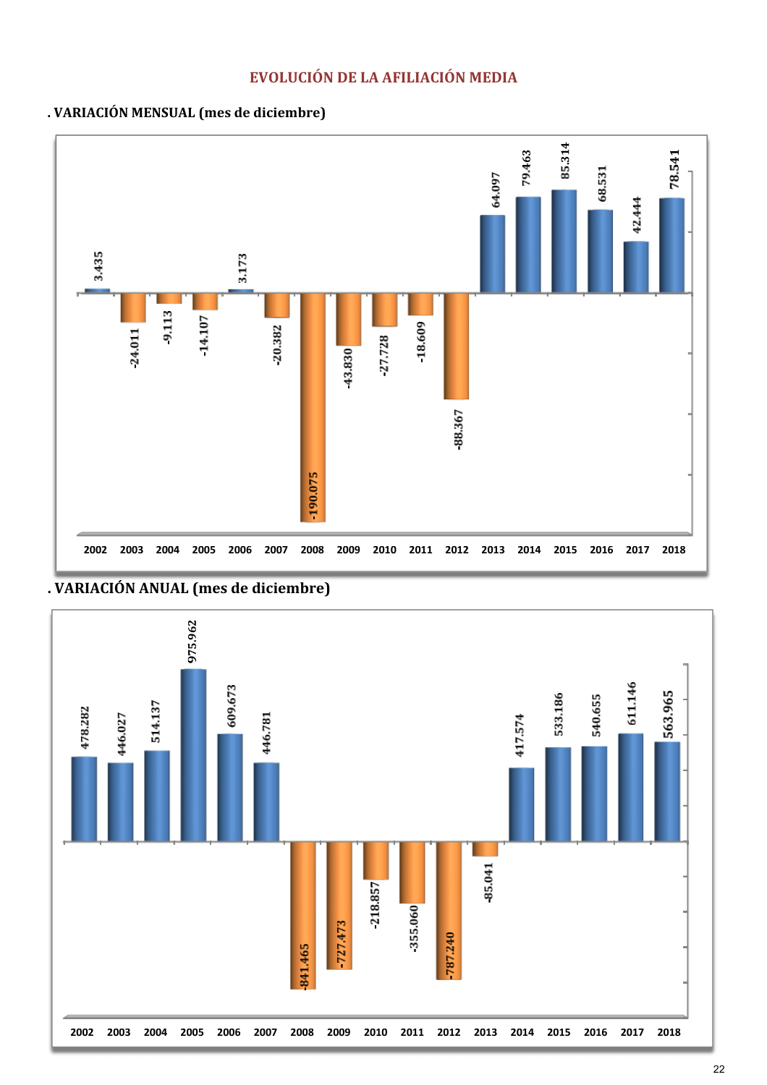



. VARIACIÓN ANUAL (mes de diciembre)

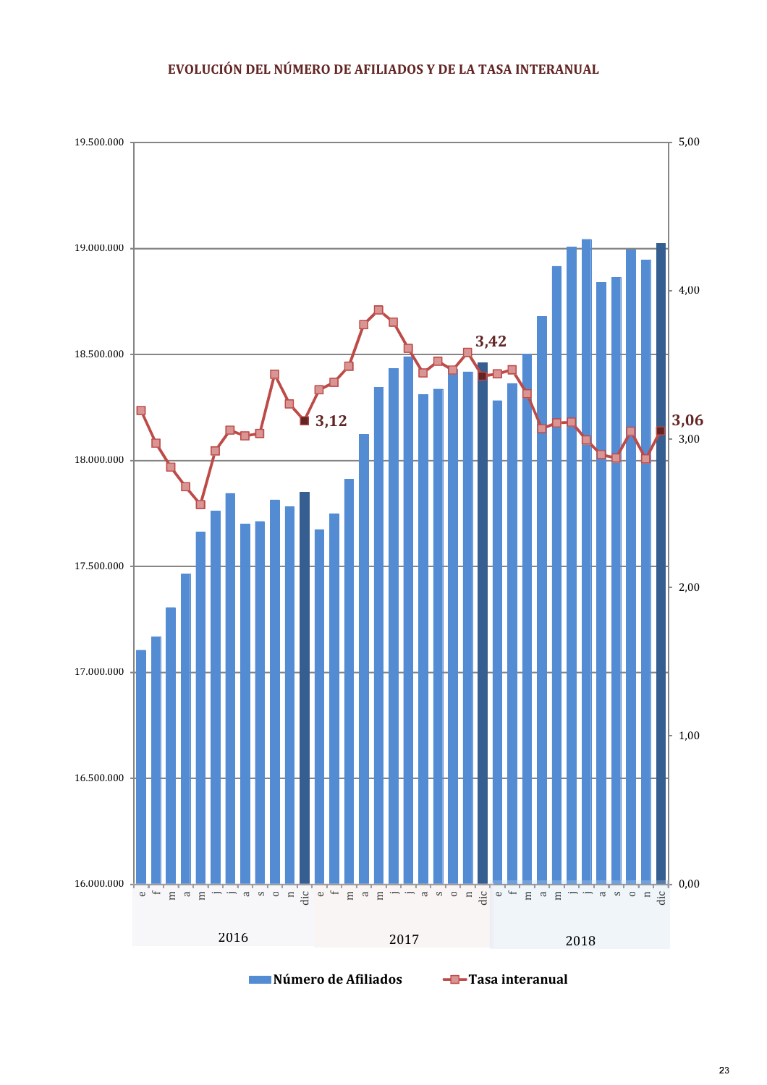### EVOLUCIÓN DEL NÚMERO DE AFILIADOS Y DE LA TASA INTERANUAL

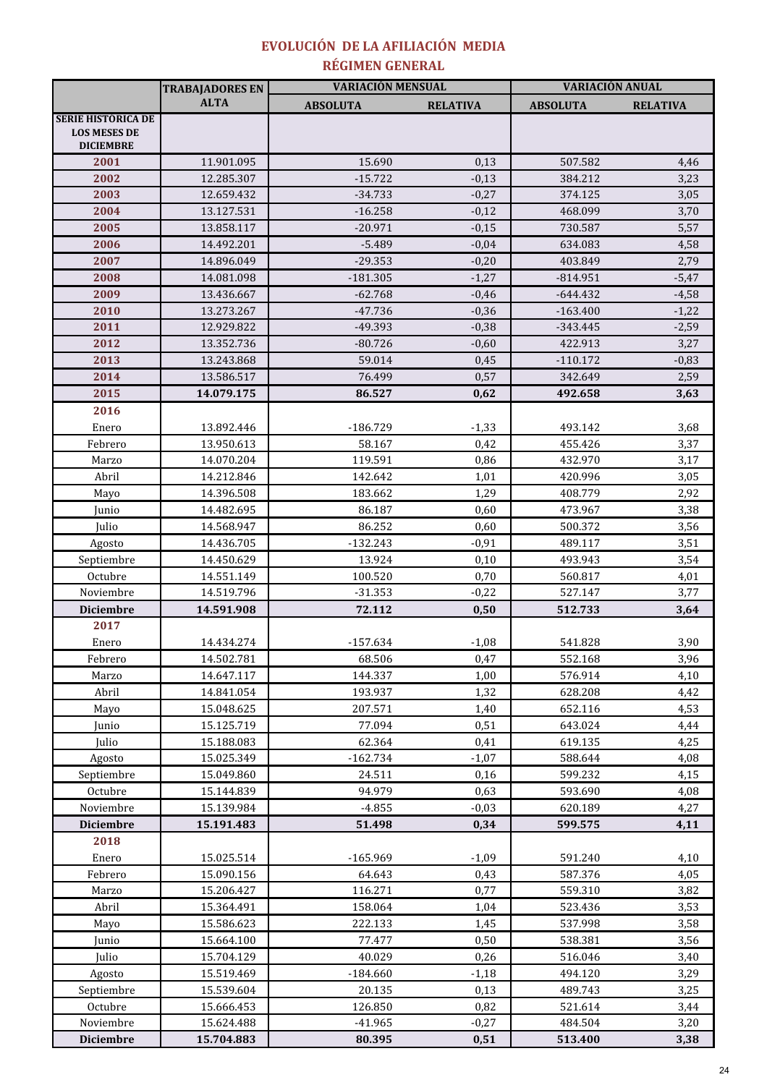### RÉGIMEN GENERAL EVOLUCIÓN DE LA AFILIACIÓN MEDIA

|                                                                      | <b>TRABAJADORES EN</b> | <b>VARIACIÓN MENSUAL</b> |                 | VARIACIÓN ANUAL |                 |  |
|----------------------------------------------------------------------|------------------------|--------------------------|-----------------|-----------------|-----------------|--|
|                                                                      | <b>ALTA</b>            | <b>ABSOLUTA</b>          | <b>RELATIVA</b> | <b>ABSOLUTA</b> | <b>RELATIVA</b> |  |
| <b>SERIE HISTÓRICA DE</b><br><b>LOS MESES DE</b><br><b>DICIEMBRE</b> |                        |                          |                 |                 |                 |  |
| 2001                                                                 | 11.901.095             | 15.690                   | 0,13            | 507.582         | 4,46            |  |
| 2002                                                                 | 12.285.307             | $-15.722$                | $-0,13$         | 384.212         | 3,23            |  |
| 2003                                                                 | 12.659.432             | $-34.733$                | $-0,27$         | 374.125         | 3,05            |  |
| 2004                                                                 | 13.127.531             | $-16.258$                | $-0,12$         | 468.099         | 3,70            |  |
| 2005                                                                 | 13.858.117             | $-20.971$                | $-0,15$         | 730.587         | 5,57            |  |
| 2006                                                                 | 14.492.201             | $-5.489$                 | $-0,04$         | 634.083         | 4,58            |  |
| 2007                                                                 | 14.896.049             | $-29.353$                | $-0,20$         | 403.849         | 2,79            |  |
| 2008                                                                 | 14.081.098             | $-181.305$               | $-1,27$         | $-814.951$      | $-5,47$         |  |
| 2009                                                                 | 13.436.667             | $-62.768$                | $-0,46$         | $-644.432$      | $-4,58$         |  |
| 2010                                                                 | 13.273.267             | $-47.736$                | $-0,36$         | $-163.400$      | $-1,22$         |  |
| 2011                                                                 | 12.929.822             | -49.393                  | $-0,38$         | $-343.445$      | $-2,59$         |  |
| 2012                                                                 | 13.352.736             | $-80.726$                | $-0,60$         | 422.913         | 3,27            |  |
| 2013                                                                 | 13.243.868             | 59.014                   | 0,45            | $-110.172$      | $-0,83$         |  |
| 2014                                                                 | 13.586.517             | 76.499                   | 0,57            | 342.649         | 2,59            |  |
| 2015                                                                 | 14.079.175             | 86.527                   | 0,62            | 492.658         | 3,63            |  |
| 2016                                                                 |                        |                          |                 |                 |                 |  |
| Enero                                                                | 13.892.446             | $-186.729$               | $-1,33$         | 493.142         | 3,68            |  |
| Febrero                                                              | 13.950.613             | 58.167                   | 0,42            | 455.426         | 3,37            |  |
| Marzo                                                                | 14.070.204             | 119.591                  | 0,86            | 432.970         | 3,17            |  |
| Abril                                                                | 14.212.846             | 142.642                  | 1,01            | 420.996         | 3,05            |  |
| Mayo                                                                 | 14.396.508             | 183.662                  | 1,29            | 408.779         | 2,92            |  |
| Junio                                                                | 14.482.695             | 86.187                   | 0,60            | 473.967         | 3,38            |  |
| Julio                                                                | 14.568.947             | 86.252                   | 0,60            | 500.372         | 3,56            |  |
| Agosto                                                               | 14.436.705             | $-132.243$               | $-0,91$         | 489.117         | 3,51            |  |
| Septiembre                                                           | 14.450.629             | 13.924                   | 0,10            | 493.943         | 3,54            |  |
| Octubre                                                              | 14.551.149             | 100.520                  | 0,70            | 560.817         | 4,01            |  |
| Noviembre                                                            | 14.519.796             | $-31.353$                | $-0,22$         | 527.147         | 3,77            |  |
| <b>Diciembre</b>                                                     | 14.591.908             | 72.112                   | 0,50            | 512.733         | 3,64            |  |
| 2017                                                                 |                        |                          |                 |                 |                 |  |
| Enero                                                                | 14.434.274             | $-157.634$               | $-1,08$         | 541.828         | 3,90            |  |
| Febrero                                                              | 14.502.781             | 68.506                   | 0,47            | 552.168         | 3,96            |  |
| Marzo                                                                | 14.647.117             | 144.337                  | 1,00            | 576.914         | 4,10            |  |
| Abril                                                                | 14.841.054             | 193.937                  | 1,32            | 628.208         | 4,42            |  |
| Mayo                                                                 | 15.048.625             | 207.571                  | 1,40            | 652.116         | 4,53            |  |
| Junio                                                                | 15.125.719             | 77.094                   | 0,51            | 643.024         | 4,44            |  |
| Julio                                                                | 15.188.083             | 62.364                   | 0,41            | 619.135         | 4,25            |  |
| Agosto                                                               | 15.025.349             | $-162.734$               | $-1,07$         | 588.644         | 4,08            |  |
| Septiembre                                                           | 15.049.860             | 24.511                   | 0,16            | 599.232         | 4,15            |  |
| Octubre                                                              | 15.144.839             | 94.979                   | 0,63            | 593.690         | 4,08            |  |
| Noviembre                                                            | 15.139.984             | $-4.855$                 | $-0,03$         | 620.189         | 4,27            |  |
| <b>Diciembre</b>                                                     | 15.191.483             | 51.498                   | 0,34            | 599.575         | 4,11            |  |
| 2018                                                                 |                        |                          |                 |                 |                 |  |
| Enero                                                                | 15.025.514             | $-165.969$               | $-1,09$         | 591.240         | 4,10            |  |
| Febrero                                                              | 15.090.156             | 64.643                   | 0,43            | 587.376         | 4,05            |  |
| Marzo                                                                | 15.206.427             | 116.271                  | 0,77            | 559.310         | 3,82            |  |
| Abril                                                                | 15.364.491             | 158.064                  | 1,04            | 523.436         | 3,53            |  |
| Mayo                                                                 | 15.586.623             | 222.133                  | 1,45            | 537.998         | 3,58            |  |
| Junio                                                                | 15.664.100             | 77.477                   | 0,50            | 538.381         | 3,56            |  |
| Julio                                                                | 15.704.129             | 40.029                   | 0,26            | 516.046         | 3,40            |  |
| Agosto                                                               | 15.519.469             | $-184.660$               | $-1,18$         | 494.120         | 3,29            |  |
| Septiembre                                                           | 15.539.604             | 20.135                   | 0,13            | 489.743         | 3,25            |  |
| Octubre                                                              | 15.666.453             | 126.850                  | 0,82            | 521.614         | 3,44            |  |
| Noviembre                                                            | 15.624.488             | $-41.965$                | $-0,27$         | 484.504         | 3,20            |  |
| <b>Diciembre</b>                                                     | 15.704.883             | 80.395                   | 0,51            | 513.400         | 3,38            |  |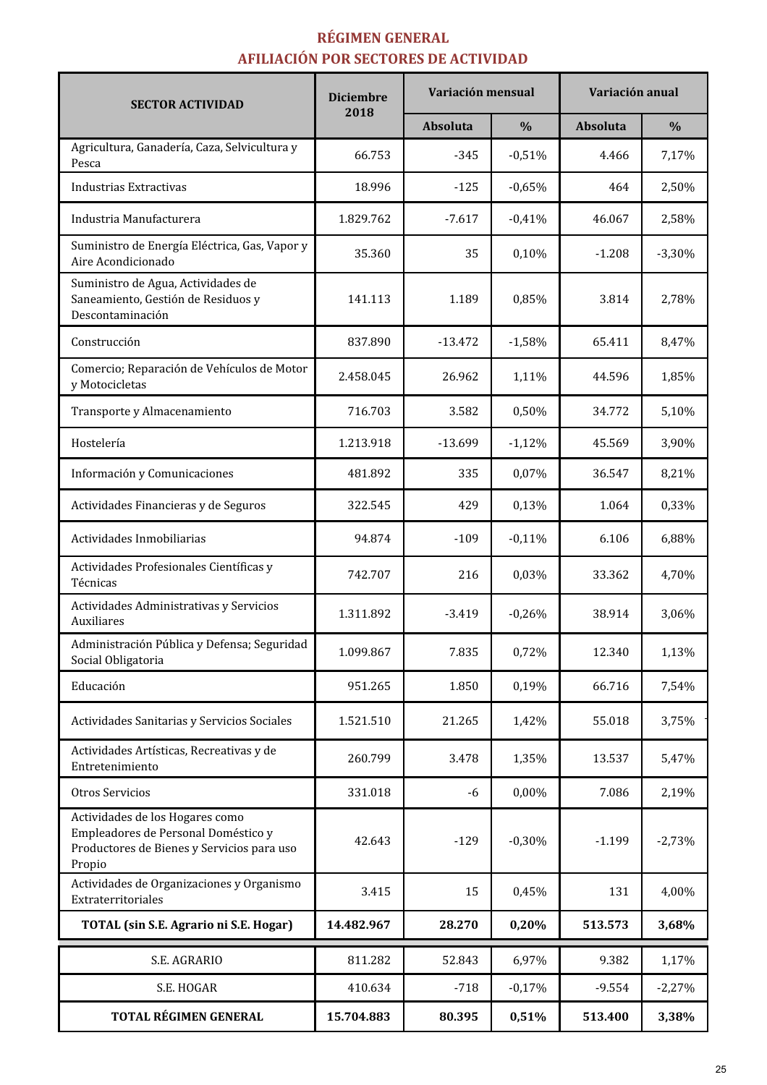# RÉGIMEN GENERAL AFILIACIÓN POR SECTORES DE ACTIVIDAD

| <b>SECTOR ACTIVIDAD</b>                                                                                                        | <b>Diciembre</b> | Variación mensual |               | Variación anual |               |  |
|--------------------------------------------------------------------------------------------------------------------------------|------------------|-------------------|---------------|-----------------|---------------|--|
|                                                                                                                                | 2018             | Absoluta          | $\frac{0}{0}$ | Absoluta        | $\frac{0}{0}$ |  |
| Agricultura, Ganadería, Caza, Selvicultura y<br>Pesca                                                                          | 66.753           | $-345$            | $-0,51%$      | 4.466           | 7,17%         |  |
| Industrias Extractivas                                                                                                         | 18.996           | $-125$            | $-0,65%$      | 464             | 2,50%         |  |
| Industria Manufacturera                                                                                                        | 1.829.762        | $-7.617$          | $-0,41%$      | 46.067          | 2,58%         |  |
| Suministro de Energía Eléctrica, Gas, Vapor y<br>Aire Acondicionado                                                            | 35.360           | 35                | 0,10%         | $-1.208$        | $-3,30%$      |  |
| Suministro de Agua, Actividades de<br>Saneamiento, Gestión de Residuos y<br>Descontaminación                                   | 141.113          | 1.189             | 0,85%         | 3.814           | 2,78%         |  |
| Construcción                                                                                                                   | 837.890          | $-13.472$         | $-1,58%$      | 65.411          | 8,47%         |  |
| Comercio; Reparación de Vehículos de Motor<br>y Motocicletas                                                                   | 2.458.045        | 26.962            | 1,11%         | 44.596          | 1,85%         |  |
| Transporte y Almacenamiento                                                                                                    | 716.703          | 3.582             | 0,50%         | 34.772          | 5,10%         |  |
| Hostelería                                                                                                                     | 1.213.918        | $-13.699$         | $-1,12%$      | 45.569          | 3,90%         |  |
| Información y Comunicaciones                                                                                                   | 481.892          | 335               | 0,07%         | 36.547          | 8,21%         |  |
| Actividades Financieras y de Seguros                                                                                           | 322.545          | 429               | 0,13%         | 1.064           | 0,33%         |  |
| Actividades Inmobiliarias                                                                                                      | 94.874           | $-109$            | $-0,11%$      | 6.106           | 6,88%         |  |
| Actividades Profesionales Científicas y<br>Técnicas                                                                            | 742.707          | 216               | 0,03%         | 33.362          | 4,70%         |  |
| Actividades Administrativas y Servicios<br>Auxiliares                                                                          | 1.311.892        | $-3.419$          | $-0,26%$      | 38.914          | 3,06%         |  |
| Administración Pública y Defensa; Seguridad<br>Social Obligatoria                                                              | 1.099.867        | 7.835             | 0,72%         | 12.340          | 1,13%         |  |
| Educación                                                                                                                      | 951.265          | 1.850             | 0,19%         | 66.716          | 7,54%         |  |
| Actividades Sanitarias y Servicios Sociales                                                                                    | 1.521.510        | 21.265            | 1,42%         | 55.018          | 3,75%         |  |
| Actividades Artísticas, Recreativas y de<br>Entretenimiento                                                                    | 260.799          | 3.478             | 1,35%         | 13.537          | 5,47%         |  |
| Otros Servicios                                                                                                                | 331.018          | -6                | 0,00%         | 7.086           | 2,19%         |  |
| Actividades de los Hogares como<br>Empleadores de Personal Doméstico y<br>Productores de Bienes y Servicios para uso<br>Propio | 42.643           | $-129$            | $-0,30%$      | $-1.199$        | $-2,73%$      |  |
| Actividades de Organizaciones y Organismo<br>Extraterritoriales                                                                | 3.415            | 15                | 0,45%         | 131             | 4,00%         |  |
| TOTAL (sin S.E. Agrario ni S.E. Hogar)                                                                                         | 14.482.967       | 28.270            | 0,20%         | 513.573         | 3,68%         |  |
| S.E. AGRARIO                                                                                                                   | 811.282          | 52.843            | 6,97%         | 9.382           | 1,17%         |  |
| S.E. HOGAR                                                                                                                     | 410.634          | $-718$            | $-0,17%$      | $-9.554$        | $-2,27%$      |  |
| TOTAL RÉGIMEN GENERAL                                                                                                          | 15.704.883       | 80.395            | 0,51%         | 513.400         | 3,38%         |  |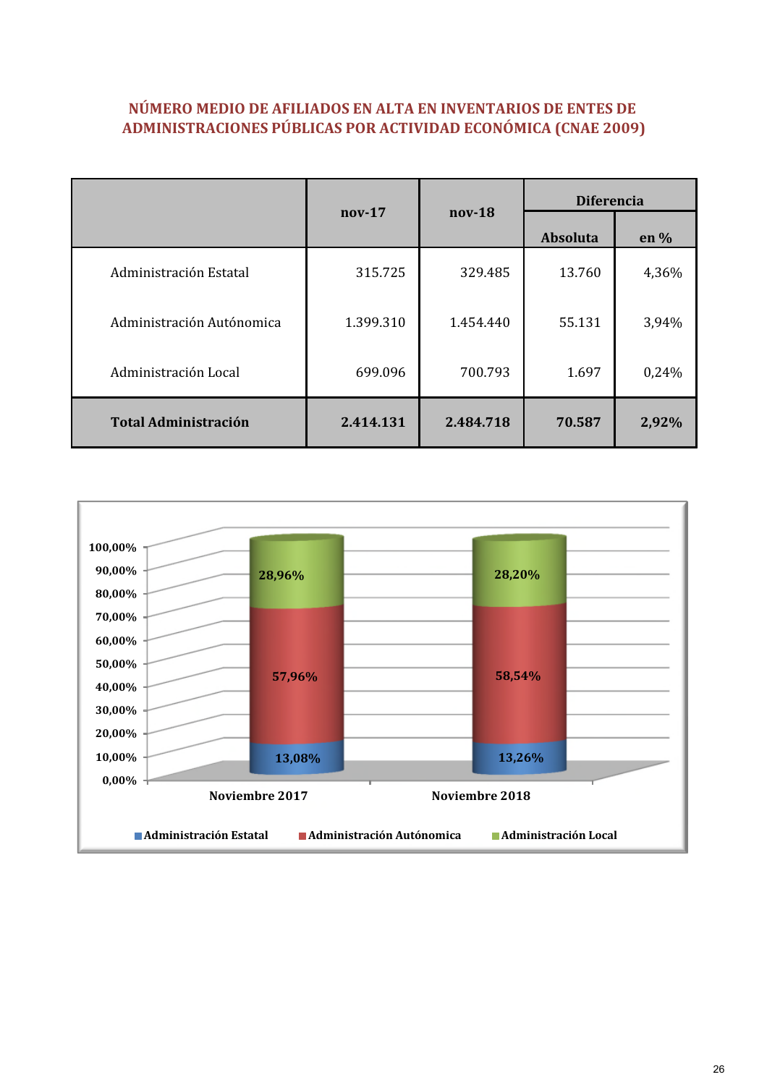# NÚMERO MEDIO DE AFILIADOS EN ALTA EN INVENTARIOS DE ENTES DE ADMINISTRACIONES PÚBLICAS POR ACTIVIDAD ECONÓMICA (CNAE 2009)

|                             | nov-18<br>$nov-17$ |           | <b>Diferencia</b> |        |  |
|-----------------------------|--------------------|-----------|-------------------|--------|--|
|                             |                    |           | Absoluta          | en $%$ |  |
| Administración Estatal      | 315.725            | 329.485   | 13.760            | 4,36%  |  |
| Administración Autónomica   | 1.399.310          | 1.454.440 | 55.131            | 3,94%  |  |
| Administración Local        | 699.096            | 700.793   | 1.697             | 0,24%  |  |
| <b>Total Administración</b> | 2.414.131          | 2.484.718 | 70.587            | 2,92%  |  |

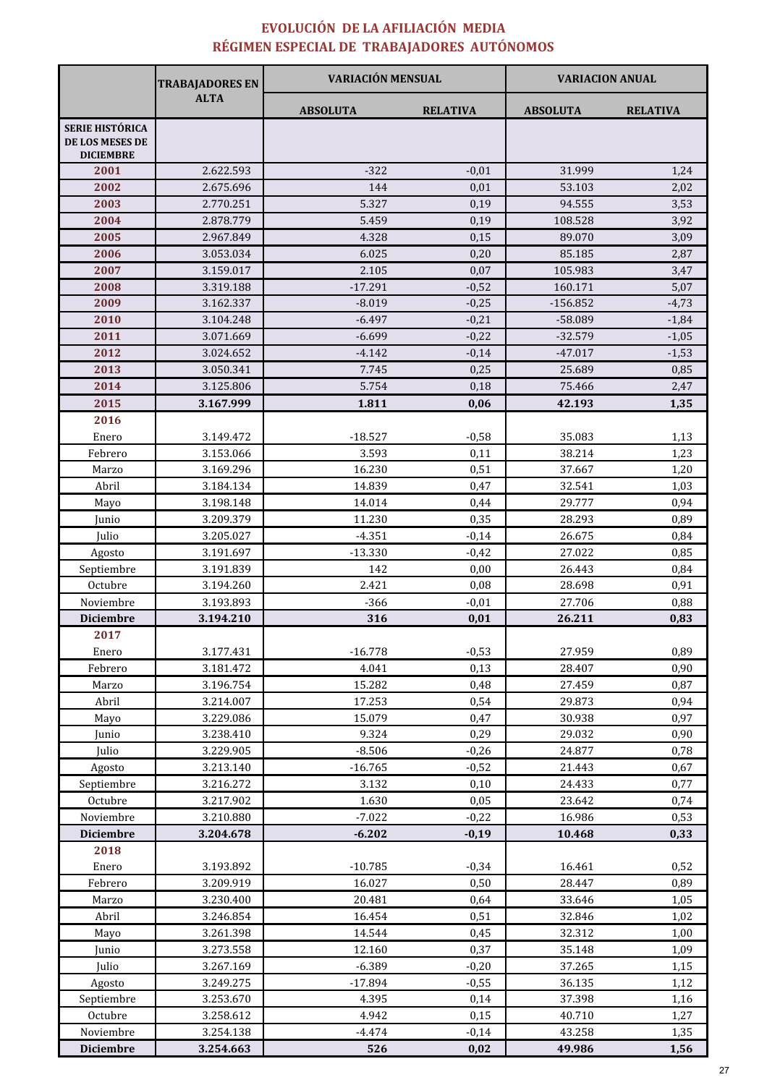# EVOLUCIÓN DE LA AFILIACIÓN MEDIA RÉGIMEN ESPECIAL DE TRABAJADORES AUTÓNOMOS

| <b>ALTA</b><br><b>ABSOLUTA</b><br><b>RELATIVA</b><br><b>ABSOLUTA</b><br><b>RELATIVA</b><br><b>SERIE HISTÓRICA</b><br>DE LOS MESES DE<br><b>DICIEMBRE</b><br>2001<br>2.622.593<br>$-322$<br>$-0,01$<br>31.999<br>1,24<br>2002<br>2.675.696<br>144<br>0,01<br>53.103<br>2,02<br>5.327<br>2003<br>2.770.251<br>0,19<br>94.555<br>3,53<br>2.878.779<br>5.459<br>2004<br>0,19<br>108.528<br>3,92<br>2005<br>3,09<br>2.967.849<br>4.328<br>0,15<br>89.070<br>2006<br>6.025<br>3.053.034<br>0,20<br>85.185<br>2,87<br>2007<br>2.105<br>105.983<br>3.159.017<br>0,07<br>3,47<br>2008<br>3.319.188<br>$-17.291$<br>$-0,52$<br>160.171<br>5,07<br>2009<br>3.162.337<br>$-8.019$<br>$-0,25$<br>$-156.852$<br>$-4,73$<br>2010<br>$-6.497$<br>3.104.248<br>$-0,21$<br>$-58.089$<br>$-1,84$<br>2011<br>$-6.699$<br>$-32.579$<br>3.071.669<br>$-0,22$<br>$-1,05$<br>2012<br>3.024.652<br>$-4.142$<br>$-0,14$<br>$-47.017$<br>$-1,53$<br>2013<br>3.050.341<br>7.745<br>0,25<br>25.689<br>0,85<br>5.754<br>2014<br>3.125.806<br>0,18<br>75.466<br>2,47<br>2015<br>3.167.999<br>1.811<br>0,06<br>42.193<br>1,35<br>2016<br>$-18.527$<br>$-0,58$<br>35.083<br>1,13<br>Enero<br>3.149.472<br>3.593<br>3.153.066<br>0,11<br>38.214<br>1,23<br>Febrero<br>16.230<br>0,51<br>1,20<br>3.169.296<br>37.667<br>Marzo<br>Abril<br>3.184.134<br>14.839<br>0,47<br>32.541<br>1,03<br>Mayo<br>3.198.148<br>14.014<br>0,44<br>29.777<br>0,94<br>3.209.379<br>11.230<br>0,35<br>28.293<br>0,89<br>Junio<br>Julio<br>3.205.027<br>$-4.351$<br>$-0,14$<br>26.675<br>0,84<br>27.022<br>0,85<br>3.191.697<br>$-13.330$<br>$-0,42$<br>Agosto<br>Septiembre<br>3.191.839<br>142<br>0,00<br>26.443<br>0,84<br>2.421<br>Octubre<br>3.194.260<br>0,08<br>28.698<br>0,91<br>Noviembre<br>$-366$<br>0,88<br>3.193.893<br>$-0,01$<br>27.706<br><b>Diciembre</b><br>3.194.210<br>316<br>0,01<br>26.211<br>0,83<br>2017<br>27.959<br>3.177.431<br>$-16.778$<br>$-0,53$<br>0,89<br>Enero<br>0,90<br>Febrero<br>3.181.472<br>4.041<br>0,13<br>28.407<br>3.196.754<br>15.282<br>0,48<br>27.459<br>0,87<br>Marzo<br>0,54<br>Abril<br>3.214.007<br>17.253<br>29.873<br>0,94<br>15.079<br>0,97<br>Mayo<br>3.229.086<br>0,47<br>30.938<br>3.238.410<br>9.324<br>0,29<br>29.032<br>Junio<br>0,90<br>Julio<br>3.229.905<br>$-8.506$<br>$-0,26$<br>24.877<br>0,78<br>3.213.140<br>$-16.765$<br>$-0,52$<br>21.443<br>0,67<br>Agosto<br>0,77<br>Septiembre<br>3.132<br>0,10<br>24.433<br>3.216.272<br>Octubre<br>1.630<br>0,05<br>23.642<br>0,74<br>3.217.902<br>$-7.022$<br>Noviembre<br>3.210.880<br>$-0,22$<br>16.986<br>0,53<br><b>Diciembre</b><br>3.204.678<br>$-6.202$<br>$-0,19$<br>10.468<br>0,33<br>2018<br>3.193.892<br>$-10.785$<br>$-0,34$<br>16.461<br>0,52<br>Enero<br>Febrero<br>3.209.919<br>16.027<br>0,50<br>28.447<br>0,89<br>Marzo<br>3.230.400<br>20.481<br>0,64<br>33.646<br>1,05<br>Abril<br>16.454<br>0,51<br>32.846<br>1,02<br>3.246.854<br>14.544<br>3.261.398<br>0,45<br>32.312<br>1,00<br>Mayo<br>12.160<br>0,37<br>Junio<br>3.273.558<br>35.148<br>1,09<br>$-6.389$<br>Julio<br>3.267.169<br>$-0,20$<br>37.265<br>1,15<br>3.249.275<br>$-17.894$<br>$-0,55$<br>36.135<br>Agosto<br>1,12<br>Septiembre<br>3.253.670<br>4.395<br>0,14<br>37.398<br>1,16<br>Octubre<br>4.942<br>3.258.612<br>0,15<br>40.710<br>1,27<br>Noviembre<br>3.254.138<br>$-4.474$<br>43.258<br>$-0,14$<br>1,35 |                  | <b>TRABAJADORES EN</b> | <b>VARIACIÓN MENSUAL</b> |      | <b>VARIACION ANUAL</b> |      |
|---------------------------------------------------------------------------------------------------------------------------------------------------------------------------------------------------------------------------------------------------------------------------------------------------------------------------------------------------------------------------------------------------------------------------------------------------------------------------------------------------------------------------------------------------------------------------------------------------------------------------------------------------------------------------------------------------------------------------------------------------------------------------------------------------------------------------------------------------------------------------------------------------------------------------------------------------------------------------------------------------------------------------------------------------------------------------------------------------------------------------------------------------------------------------------------------------------------------------------------------------------------------------------------------------------------------------------------------------------------------------------------------------------------------------------------------------------------------------------------------------------------------------------------------------------------------------------------------------------------------------------------------------------------------------------------------------------------------------------------------------------------------------------------------------------------------------------------------------------------------------------------------------------------------------------------------------------------------------------------------------------------------------------------------------------------------------------------------------------------------------------------------------------------------------------------------------------------------------------------------------------------------------------------------------------------------------------------------------------------------------------------------------------------------------------------------------------------------------------------------------------------------------------------------------------------------------------------------------------------------------------------------------------------------------------------------------------------------------------------------------------------------------------------------------------------------------------------------------------------------------------------------------------------------------------------------------------------------------------------------------------------------------------------------------------------------------------------------------------------------------------------------------------------------------------------------------------------------------------------------------------------------------------------------------------------------------------------------------------|------------------|------------------------|--------------------------|------|------------------------|------|
|                                                                                                                                                                                                                                                                                                                                                                                                                                                                                                                                                                                                                                                                                                                                                                                                                                                                                                                                                                                                                                                                                                                                                                                                                                                                                                                                                                                                                                                                                                                                                                                                                                                                                                                                                                                                                                                                                                                                                                                                                                                                                                                                                                                                                                                                                                                                                                                                                                                                                                                                                                                                                                                                                                                                                                                                                                                                                                                                                                                                                                                                                                                                                                                                                                                                                                                                                         |                  |                        |                          |      |                        |      |
|                                                                                                                                                                                                                                                                                                                                                                                                                                                                                                                                                                                                                                                                                                                                                                                                                                                                                                                                                                                                                                                                                                                                                                                                                                                                                                                                                                                                                                                                                                                                                                                                                                                                                                                                                                                                                                                                                                                                                                                                                                                                                                                                                                                                                                                                                                                                                                                                                                                                                                                                                                                                                                                                                                                                                                                                                                                                                                                                                                                                                                                                                                                                                                                                                                                                                                                                                         |                  |                        |                          |      |                        |      |
|                                                                                                                                                                                                                                                                                                                                                                                                                                                                                                                                                                                                                                                                                                                                                                                                                                                                                                                                                                                                                                                                                                                                                                                                                                                                                                                                                                                                                                                                                                                                                                                                                                                                                                                                                                                                                                                                                                                                                                                                                                                                                                                                                                                                                                                                                                                                                                                                                                                                                                                                                                                                                                                                                                                                                                                                                                                                                                                                                                                                                                                                                                                                                                                                                                                                                                                                                         |                  |                        |                          |      |                        |      |
|                                                                                                                                                                                                                                                                                                                                                                                                                                                                                                                                                                                                                                                                                                                                                                                                                                                                                                                                                                                                                                                                                                                                                                                                                                                                                                                                                                                                                                                                                                                                                                                                                                                                                                                                                                                                                                                                                                                                                                                                                                                                                                                                                                                                                                                                                                                                                                                                                                                                                                                                                                                                                                                                                                                                                                                                                                                                                                                                                                                                                                                                                                                                                                                                                                                                                                                                                         |                  |                        |                          |      |                        |      |
|                                                                                                                                                                                                                                                                                                                                                                                                                                                                                                                                                                                                                                                                                                                                                                                                                                                                                                                                                                                                                                                                                                                                                                                                                                                                                                                                                                                                                                                                                                                                                                                                                                                                                                                                                                                                                                                                                                                                                                                                                                                                                                                                                                                                                                                                                                                                                                                                                                                                                                                                                                                                                                                                                                                                                                                                                                                                                                                                                                                                                                                                                                                                                                                                                                                                                                                                                         |                  |                        |                          |      |                        |      |
|                                                                                                                                                                                                                                                                                                                                                                                                                                                                                                                                                                                                                                                                                                                                                                                                                                                                                                                                                                                                                                                                                                                                                                                                                                                                                                                                                                                                                                                                                                                                                                                                                                                                                                                                                                                                                                                                                                                                                                                                                                                                                                                                                                                                                                                                                                                                                                                                                                                                                                                                                                                                                                                                                                                                                                                                                                                                                                                                                                                                                                                                                                                                                                                                                                                                                                                                                         |                  |                        |                          |      |                        |      |
|                                                                                                                                                                                                                                                                                                                                                                                                                                                                                                                                                                                                                                                                                                                                                                                                                                                                                                                                                                                                                                                                                                                                                                                                                                                                                                                                                                                                                                                                                                                                                                                                                                                                                                                                                                                                                                                                                                                                                                                                                                                                                                                                                                                                                                                                                                                                                                                                                                                                                                                                                                                                                                                                                                                                                                                                                                                                                                                                                                                                                                                                                                                                                                                                                                                                                                                                                         |                  |                        |                          |      |                        |      |
|                                                                                                                                                                                                                                                                                                                                                                                                                                                                                                                                                                                                                                                                                                                                                                                                                                                                                                                                                                                                                                                                                                                                                                                                                                                                                                                                                                                                                                                                                                                                                                                                                                                                                                                                                                                                                                                                                                                                                                                                                                                                                                                                                                                                                                                                                                                                                                                                                                                                                                                                                                                                                                                                                                                                                                                                                                                                                                                                                                                                                                                                                                                                                                                                                                                                                                                                                         |                  |                        |                          |      |                        |      |
|                                                                                                                                                                                                                                                                                                                                                                                                                                                                                                                                                                                                                                                                                                                                                                                                                                                                                                                                                                                                                                                                                                                                                                                                                                                                                                                                                                                                                                                                                                                                                                                                                                                                                                                                                                                                                                                                                                                                                                                                                                                                                                                                                                                                                                                                                                                                                                                                                                                                                                                                                                                                                                                                                                                                                                                                                                                                                                                                                                                                                                                                                                                                                                                                                                                                                                                                                         |                  |                        |                          |      |                        |      |
|                                                                                                                                                                                                                                                                                                                                                                                                                                                                                                                                                                                                                                                                                                                                                                                                                                                                                                                                                                                                                                                                                                                                                                                                                                                                                                                                                                                                                                                                                                                                                                                                                                                                                                                                                                                                                                                                                                                                                                                                                                                                                                                                                                                                                                                                                                                                                                                                                                                                                                                                                                                                                                                                                                                                                                                                                                                                                                                                                                                                                                                                                                                                                                                                                                                                                                                                                         |                  |                        |                          |      |                        |      |
|                                                                                                                                                                                                                                                                                                                                                                                                                                                                                                                                                                                                                                                                                                                                                                                                                                                                                                                                                                                                                                                                                                                                                                                                                                                                                                                                                                                                                                                                                                                                                                                                                                                                                                                                                                                                                                                                                                                                                                                                                                                                                                                                                                                                                                                                                                                                                                                                                                                                                                                                                                                                                                                                                                                                                                                                                                                                                                                                                                                                                                                                                                                                                                                                                                                                                                                                                         |                  |                        |                          |      |                        |      |
|                                                                                                                                                                                                                                                                                                                                                                                                                                                                                                                                                                                                                                                                                                                                                                                                                                                                                                                                                                                                                                                                                                                                                                                                                                                                                                                                                                                                                                                                                                                                                                                                                                                                                                                                                                                                                                                                                                                                                                                                                                                                                                                                                                                                                                                                                                                                                                                                                                                                                                                                                                                                                                                                                                                                                                                                                                                                                                                                                                                                                                                                                                                                                                                                                                                                                                                                                         |                  |                        |                          |      |                        |      |
|                                                                                                                                                                                                                                                                                                                                                                                                                                                                                                                                                                                                                                                                                                                                                                                                                                                                                                                                                                                                                                                                                                                                                                                                                                                                                                                                                                                                                                                                                                                                                                                                                                                                                                                                                                                                                                                                                                                                                                                                                                                                                                                                                                                                                                                                                                                                                                                                                                                                                                                                                                                                                                                                                                                                                                                                                                                                                                                                                                                                                                                                                                                                                                                                                                                                                                                                                         |                  |                        |                          |      |                        |      |
|                                                                                                                                                                                                                                                                                                                                                                                                                                                                                                                                                                                                                                                                                                                                                                                                                                                                                                                                                                                                                                                                                                                                                                                                                                                                                                                                                                                                                                                                                                                                                                                                                                                                                                                                                                                                                                                                                                                                                                                                                                                                                                                                                                                                                                                                                                                                                                                                                                                                                                                                                                                                                                                                                                                                                                                                                                                                                                                                                                                                                                                                                                                                                                                                                                                                                                                                                         |                  |                        |                          |      |                        |      |
|                                                                                                                                                                                                                                                                                                                                                                                                                                                                                                                                                                                                                                                                                                                                                                                                                                                                                                                                                                                                                                                                                                                                                                                                                                                                                                                                                                                                                                                                                                                                                                                                                                                                                                                                                                                                                                                                                                                                                                                                                                                                                                                                                                                                                                                                                                                                                                                                                                                                                                                                                                                                                                                                                                                                                                                                                                                                                                                                                                                                                                                                                                                                                                                                                                                                                                                                                         |                  |                        |                          |      |                        |      |
|                                                                                                                                                                                                                                                                                                                                                                                                                                                                                                                                                                                                                                                                                                                                                                                                                                                                                                                                                                                                                                                                                                                                                                                                                                                                                                                                                                                                                                                                                                                                                                                                                                                                                                                                                                                                                                                                                                                                                                                                                                                                                                                                                                                                                                                                                                                                                                                                                                                                                                                                                                                                                                                                                                                                                                                                                                                                                                                                                                                                                                                                                                                                                                                                                                                                                                                                                         |                  |                        |                          |      |                        |      |
|                                                                                                                                                                                                                                                                                                                                                                                                                                                                                                                                                                                                                                                                                                                                                                                                                                                                                                                                                                                                                                                                                                                                                                                                                                                                                                                                                                                                                                                                                                                                                                                                                                                                                                                                                                                                                                                                                                                                                                                                                                                                                                                                                                                                                                                                                                                                                                                                                                                                                                                                                                                                                                                                                                                                                                                                                                                                                                                                                                                                                                                                                                                                                                                                                                                                                                                                                         |                  |                        |                          |      |                        |      |
|                                                                                                                                                                                                                                                                                                                                                                                                                                                                                                                                                                                                                                                                                                                                                                                                                                                                                                                                                                                                                                                                                                                                                                                                                                                                                                                                                                                                                                                                                                                                                                                                                                                                                                                                                                                                                                                                                                                                                                                                                                                                                                                                                                                                                                                                                                                                                                                                                                                                                                                                                                                                                                                                                                                                                                                                                                                                                                                                                                                                                                                                                                                                                                                                                                                                                                                                                         |                  |                        |                          |      |                        |      |
|                                                                                                                                                                                                                                                                                                                                                                                                                                                                                                                                                                                                                                                                                                                                                                                                                                                                                                                                                                                                                                                                                                                                                                                                                                                                                                                                                                                                                                                                                                                                                                                                                                                                                                                                                                                                                                                                                                                                                                                                                                                                                                                                                                                                                                                                                                                                                                                                                                                                                                                                                                                                                                                                                                                                                                                                                                                                                                                                                                                                                                                                                                                                                                                                                                                                                                                                                         |                  |                        |                          |      |                        |      |
|                                                                                                                                                                                                                                                                                                                                                                                                                                                                                                                                                                                                                                                                                                                                                                                                                                                                                                                                                                                                                                                                                                                                                                                                                                                                                                                                                                                                                                                                                                                                                                                                                                                                                                                                                                                                                                                                                                                                                                                                                                                                                                                                                                                                                                                                                                                                                                                                                                                                                                                                                                                                                                                                                                                                                                                                                                                                                                                                                                                                                                                                                                                                                                                                                                                                                                                                                         |                  |                        |                          |      |                        |      |
|                                                                                                                                                                                                                                                                                                                                                                                                                                                                                                                                                                                                                                                                                                                                                                                                                                                                                                                                                                                                                                                                                                                                                                                                                                                                                                                                                                                                                                                                                                                                                                                                                                                                                                                                                                                                                                                                                                                                                                                                                                                                                                                                                                                                                                                                                                                                                                                                                                                                                                                                                                                                                                                                                                                                                                                                                                                                                                                                                                                                                                                                                                                                                                                                                                                                                                                                                         |                  |                        |                          |      |                        |      |
|                                                                                                                                                                                                                                                                                                                                                                                                                                                                                                                                                                                                                                                                                                                                                                                                                                                                                                                                                                                                                                                                                                                                                                                                                                                                                                                                                                                                                                                                                                                                                                                                                                                                                                                                                                                                                                                                                                                                                                                                                                                                                                                                                                                                                                                                                                                                                                                                                                                                                                                                                                                                                                                                                                                                                                                                                                                                                                                                                                                                                                                                                                                                                                                                                                                                                                                                                         |                  |                        |                          |      |                        |      |
|                                                                                                                                                                                                                                                                                                                                                                                                                                                                                                                                                                                                                                                                                                                                                                                                                                                                                                                                                                                                                                                                                                                                                                                                                                                                                                                                                                                                                                                                                                                                                                                                                                                                                                                                                                                                                                                                                                                                                                                                                                                                                                                                                                                                                                                                                                                                                                                                                                                                                                                                                                                                                                                                                                                                                                                                                                                                                                                                                                                                                                                                                                                                                                                                                                                                                                                                                         |                  |                        |                          |      |                        |      |
|                                                                                                                                                                                                                                                                                                                                                                                                                                                                                                                                                                                                                                                                                                                                                                                                                                                                                                                                                                                                                                                                                                                                                                                                                                                                                                                                                                                                                                                                                                                                                                                                                                                                                                                                                                                                                                                                                                                                                                                                                                                                                                                                                                                                                                                                                                                                                                                                                                                                                                                                                                                                                                                                                                                                                                                                                                                                                                                                                                                                                                                                                                                                                                                                                                                                                                                                                         |                  |                        |                          |      |                        |      |
|                                                                                                                                                                                                                                                                                                                                                                                                                                                                                                                                                                                                                                                                                                                                                                                                                                                                                                                                                                                                                                                                                                                                                                                                                                                                                                                                                                                                                                                                                                                                                                                                                                                                                                                                                                                                                                                                                                                                                                                                                                                                                                                                                                                                                                                                                                                                                                                                                                                                                                                                                                                                                                                                                                                                                                                                                                                                                                                                                                                                                                                                                                                                                                                                                                                                                                                                                         |                  |                        |                          |      |                        |      |
|                                                                                                                                                                                                                                                                                                                                                                                                                                                                                                                                                                                                                                                                                                                                                                                                                                                                                                                                                                                                                                                                                                                                                                                                                                                                                                                                                                                                                                                                                                                                                                                                                                                                                                                                                                                                                                                                                                                                                                                                                                                                                                                                                                                                                                                                                                                                                                                                                                                                                                                                                                                                                                                                                                                                                                                                                                                                                                                                                                                                                                                                                                                                                                                                                                                                                                                                                         |                  |                        |                          |      |                        |      |
|                                                                                                                                                                                                                                                                                                                                                                                                                                                                                                                                                                                                                                                                                                                                                                                                                                                                                                                                                                                                                                                                                                                                                                                                                                                                                                                                                                                                                                                                                                                                                                                                                                                                                                                                                                                                                                                                                                                                                                                                                                                                                                                                                                                                                                                                                                                                                                                                                                                                                                                                                                                                                                                                                                                                                                                                                                                                                                                                                                                                                                                                                                                                                                                                                                                                                                                                                         |                  |                        |                          |      |                        |      |
|                                                                                                                                                                                                                                                                                                                                                                                                                                                                                                                                                                                                                                                                                                                                                                                                                                                                                                                                                                                                                                                                                                                                                                                                                                                                                                                                                                                                                                                                                                                                                                                                                                                                                                                                                                                                                                                                                                                                                                                                                                                                                                                                                                                                                                                                                                                                                                                                                                                                                                                                                                                                                                                                                                                                                                                                                                                                                                                                                                                                                                                                                                                                                                                                                                                                                                                                                         |                  |                        |                          |      |                        |      |
|                                                                                                                                                                                                                                                                                                                                                                                                                                                                                                                                                                                                                                                                                                                                                                                                                                                                                                                                                                                                                                                                                                                                                                                                                                                                                                                                                                                                                                                                                                                                                                                                                                                                                                                                                                                                                                                                                                                                                                                                                                                                                                                                                                                                                                                                                                                                                                                                                                                                                                                                                                                                                                                                                                                                                                                                                                                                                                                                                                                                                                                                                                                                                                                                                                                                                                                                                         |                  |                        |                          |      |                        |      |
|                                                                                                                                                                                                                                                                                                                                                                                                                                                                                                                                                                                                                                                                                                                                                                                                                                                                                                                                                                                                                                                                                                                                                                                                                                                                                                                                                                                                                                                                                                                                                                                                                                                                                                                                                                                                                                                                                                                                                                                                                                                                                                                                                                                                                                                                                                                                                                                                                                                                                                                                                                                                                                                                                                                                                                                                                                                                                                                                                                                                                                                                                                                                                                                                                                                                                                                                                         |                  |                        |                          |      |                        |      |
|                                                                                                                                                                                                                                                                                                                                                                                                                                                                                                                                                                                                                                                                                                                                                                                                                                                                                                                                                                                                                                                                                                                                                                                                                                                                                                                                                                                                                                                                                                                                                                                                                                                                                                                                                                                                                                                                                                                                                                                                                                                                                                                                                                                                                                                                                                                                                                                                                                                                                                                                                                                                                                                                                                                                                                                                                                                                                                                                                                                                                                                                                                                                                                                                                                                                                                                                                         |                  |                        |                          |      |                        |      |
|                                                                                                                                                                                                                                                                                                                                                                                                                                                                                                                                                                                                                                                                                                                                                                                                                                                                                                                                                                                                                                                                                                                                                                                                                                                                                                                                                                                                                                                                                                                                                                                                                                                                                                                                                                                                                                                                                                                                                                                                                                                                                                                                                                                                                                                                                                                                                                                                                                                                                                                                                                                                                                                                                                                                                                                                                                                                                                                                                                                                                                                                                                                                                                                                                                                                                                                                                         |                  |                        |                          |      |                        |      |
|                                                                                                                                                                                                                                                                                                                                                                                                                                                                                                                                                                                                                                                                                                                                                                                                                                                                                                                                                                                                                                                                                                                                                                                                                                                                                                                                                                                                                                                                                                                                                                                                                                                                                                                                                                                                                                                                                                                                                                                                                                                                                                                                                                                                                                                                                                                                                                                                                                                                                                                                                                                                                                                                                                                                                                                                                                                                                                                                                                                                                                                                                                                                                                                                                                                                                                                                                         |                  |                        |                          |      |                        |      |
|                                                                                                                                                                                                                                                                                                                                                                                                                                                                                                                                                                                                                                                                                                                                                                                                                                                                                                                                                                                                                                                                                                                                                                                                                                                                                                                                                                                                                                                                                                                                                                                                                                                                                                                                                                                                                                                                                                                                                                                                                                                                                                                                                                                                                                                                                                                                                                                                                                                                                                                                                                                                                                                                                                                                                                                                                                                                                                                                                                                                                                                                                                                                                                                                                                                                                                                                                         |                  |                        |                          |      |                        |      |
|                                                                                                                                                                                                                                                                                                                                                                                                                                                                                                                                                                                                                                                                                                                                                                                                                                                                                                                                                                                                                                                                                                                                                                                                                                                                                                                                                                                                                                                                                                                                                                                                                                                                                                                                                                                                                                                                                                                                                                                                                                                                                                                                                                                                                                                                                                                                                                                                                                                                                                                                                                                                                                                                                                                                                                                                                                                                                                                                                                                                                                                                                                                                                                                                                                                                                                                                                         |                  |                        |                          |      |                        |      |
|                                                                                                                                                                                                                                                                                                                                                                                                                                                                                                                                                                                                                                                                                                                                                                                                                                                                                                                                                                                                                                                                                                                                                                                                                                                                                                                                                                                                                                                                                                                                                                                                                                                                                                                                                                                                                                                                                                                                                                                                                                                                                                                                                                                                                                                                                                                                                                                                                                                                                                                                                                                                                                                                                                                                                                                                                                                                                                                                                                                                                                                                                                                                                                                                                                                                                                                                                         |                  |                        |                          |      |                        |      |
|                                                                                                                                                                                                                                                                                                                                                                                                                                                                                                                                                                                                                                                                                                                                                                                                                                                                                                                                                                                                                                                                                                                                                                                                                                                                                                                                                                                                                                                                                                                                                                                                                                                                                                                                                                                                                                                                                                                                                                                                                                                                                                                                                                                                                                                                                                                                                                                                                                                                                                                                                                                                                                                                                                                                                                                                                                                                                                                                                                                                                                                                                                                                                                                                                                                                                                                                                         |                  |                        |                          |      |                        |      |
|                                                                                                                                                                                                                                                                                                                                                                                                                                                                                                                                                                                                                                                                                                                                                                                                                                                                                                                                                                                                                                                                                                                                                                                                                                                                                                                                                                                                                                                                                                                                                                                                                                                                                                                                                                                                                                                                                                                                                                                                                                                                                                                                                                                                                                                                                                                                                                                                                                                                                                                                                                                                                                                                                                                                                                                                                                                                                                                                                                                                                                                                                                                                                                                                                                                                                                                                                         |                  |                        |                          |      |                        |      |
|                                                                                                                                                                                                                                                                                                                                                                                                                                                                                                                                                                                                                                                                                                                                                                                                                                                                                                                                                                                                                                                                                                                                                                                                                                                                                                                                                                                                                                                                                                                                                                                                                                                                                                                                                                                                                                                                                                                                                                                                                                                                                                                                                                                                                                                                                                                                                                                                                                                                                                                                                                                                                                                                                                                                                                                                                                                                                                                                                                                                                                                                                                                                                                                                                                                                                                                                                         |                  |                        |                          |      |                        |      |
|                                                                                                                                                                                                                                                                                                                                                                                                                                                                                                                                                                                                                                                                                                                                                                                                                                                                                                                                                                                                                                                                                                                                                                                                                                                                                                                                                                                                                                                                                                                                                                                                                                                                                                                                                                                                                                                                                                                                                                                                                                                                                                                                                                                                                                                                                                                                                                                                                                                                                                                                                                                                                                                                                                                                                                                                                                                                                                                                                                                                                                                                                                                                                                                                                                                                                                                                                         |                  |                        |                          |      |                        |      |
|                                                                                                                                                                                                                                                                                                                                                                                                                                                                                                                                                                                                                                                                                                                                                                                                                                                                                                                                                                                                                                                                                                                                                                                                                                                                                                                                                                                                                                                                                                                                                                                                                                                                                                                                                                                                                                                                                                                                                                                                                                                                                                                                                                                                                                                                                                                                                                                                                                                                                                                                                                                                                                                                                                                                                                                                                                                                                                                                                                                                                                                                                                                                                                                                                                                                                                                                                         |                  |                        |                          |      |                        |      |
|                                                                                                                                                                                                                                                                                                                                                                                                                                                                                                                                                                                                                                                                                                                                                                                                                                                                                                                                                                                                                                                                                                                                                                                                                                                                                                                                                                                                                                                                                                                                                                                                                                                                                                                                                                                                                                                                                                                                                                                                                                                                                                                                                                                                                                                                                                                                                                                                                                                                                                                                                                                                                                                                                                                                                                                                                                                                                                                                                                                                                                                                                                                                                                                                                                                                                                                                                         |                  |                        |                          |      |                        |      |
|                                                                                                                                                                                                                                                                                                                                                                                                                                                                                                                                                                                                                                                                                                                                                                                                                                                                                                                                                                                                                                                                                                                                                                                                                                                                                                                                                                                                                                                                                                                                                                                                                                                                                                                                                                                                                                                                                                                                                                                                                                                                                                                                                                                                                                                                                                                                                                                                                                                                                                                                                                                                                                                                                                                                                                                                                                                                                                                                                                                                                                                                                                                                                                                                                                                                                                                                                         |                  |                        |                          |      |                        |      |
|                                                                                                                                                                                                                                                                                                                                                                                                                                                                                                                                                                                                                                                                                                                                                                                                                                                                                                                                                                                                                                                                                                                                                                                                                                                                                                                                                                                                                                                                                                                                                                                                                                                                                                                                                                                                                                                                                                                                                                                                                                                                                                                                                                                                                                                                                                                                                                                                                                                                                                                                                                                                                                                                                                                                                                                                                                                                                                                                                                                                                                                                                                                                                                                                                                                                                                                                                         |                  |                        |                          |      |                        |      |
|                                                                                                                                                                                                                                                                                                                                                                                                                                                                                                                                                                                                                                                                                                                                                                                                                                                                                                                                                                                                                                                                                                                                                                                                                                                                                                                                                                                                                                                                                                                                                                                                                                                                                                                                                                                                                                                                                                                                                                                                                                                                                                                                                                                                                                                                                                                                                                                                                                                                                                                                                                                                                                                                                                                                                                                                                                                                                                                                                                                                                                                                                                                                                                                                                                                                                                                                                         |                  |                        |                          |      |                        |      |
|                                                                                                                                                                                                                                                                                                                                                                                                                                                                                                                                                                                                                                                                                                                                                                                                                                                                                                                                                                                                                                                                                                                                                                                                                                                                                                                                                                                                                                                                                                                                                                                                                                                                                                                                                                                                                                                                                                                                                                                                                                                                                                                                                                                                                                                                                                                                                                                                                                                                                                                                                                                                                                                                                                                                                                                                                                                                                                                                                                                                                                                                                                                                                                                                                                                                                                                                                         |                  |                        |                          |      |                        |      |
|                                                                                                                                                                                                                                                                                                                                                                                                                                                                                                                                                                                                                                                                                                                                                                                                                                                                                                                                                                                                                                                                                                                                                                                                                                                                                                                                                                                                                                                                                                                                                                                                                                                                                                                                                                                                                                                                                                                                                                                                                                                                                                                                                                                                                                                                                                                                                                                                                                                                                                                                                                                                                                                                                                                                                                                                                                                                                                                                                                                                                                                                                                                                                                                                                                                                                                                                                         |                  |                        |                          |      |                        |      |
|                                                                                                                                                                                                                                                                                                                                                                                                                                                                                                                                                                                                                                                                                                                                                                                                                                                                                                                                                                                                                                                                                                                                                                                                                                                                                                                                                                                                                                                                                                                                                                                                                                                                                                                                                                                                                                                                                                                                                                                                                                                                                                                                                                                                                                                                                                                                                                                                                                                                                                                                                                                                                                                                                                                                                                                                                                                                                                                                                                                                                                                                                                                                                                                                                                                                                                                                                         |                  |                        |                          |      |                        |      |
|                                                                                                                                                                                                                                                                                                                                                                                                                                                                                                                                                                                                                                                                                                                                                                                                                                                                                                                                                                                                                                                                                                                                                                                                                                                                                                                                                                                                                                                                                                                                                                                                                                                                                                                                                                                                                                                                                                                                                                                                                                                                                                                                                                                                                                                                                                                                                                                                                                                                                                                                                                                                                                                                                                                                                                                                                                                                                                                                                                                                                                                                                                                                                                                                                                                                                                                                                         |                  |                        |                          |      |                        |      |
|                                                                                                                                                                                                                                                                                                                                                                                                                                                                                                                                                                                                                                                                                                                                                                                                                                                                                                                                                                                                                                                                                                                                                                                                                                                                                                                                                                                                                                                                                                                                                                                                                                                                                                                                                                                                                                                                                                                                                                                                                                                                                                                                                                                                                                                                                                                                                                                                                                                                                                                                                                                                                                                                                                                                                                                                                                                                                                                                                                                                                                                                                                                                                                                                                                                                                                                                                         |                  |                        |                          |      |                        |      |
|                                                                                                                                                                                                                                                                                                                                                                                                                                                                                                                                                                                                                                                                                                                                                                                                                                                                                                                                                                                                                                                                                                                                                                                                                                                                                                                                                                                                                                                                                                                                                                                                                                                                                                                                                                                                                                                                                                                                                                                                                                                                                                                                                                                                                                                                                                                                                                                                                                                                                                                                                                                                                                                                                                                                                                                                                                                                                                                                                                                                                                                                                                                                                                                                                                                                                                                                                         |                  |                        |                          |      |                        |      |
|                                                                                                                                                                                                                                                                                                                                                                                                                                                                                                                                                                                                                                                                                                                                                                                                                                                                                                                                                                                                                                                                                                                                                                                                                                                                                                                                                                                                                                                                                                                                                                                                                                                                                                                                                                                                                                                                                                                                                                                                                                                                                                                                                                                                                                                                                                                                                                                                                                                                                                                                                                                                                                                                                                                                                                                                                                                                                                                                                                                                                                                                                                                                                                                                                                                                                                                                                         |                  |                        |                          |      |                        |      |
|                                                                                                                                                                                                                                                                                                                                                                                                                                                                                                                                                                                                                                                                                                                                                                                                                                                                                                                                                                                                                                                                                                                                                                                                                                                                                                                                                                                                                                                                                                                                                                                                                                                                                                                                                                                                                                                                                                                                                                                                                                                                                                                                                                                                                                                                                                                                                                                                                                                                                                                                                                                                                                                                                                                                                                                                                                                                                                                                                                                                                                                                                                                                                                                                                                                                                                                                                         |                  |                        |                          |      |                        |      |
|                                                                                                                                                                                                                                                                                                                                                                                                                                                                                                                                                                                                                                                                                                                                                                                                                                                                                                                                                                                                                                                                                                                                                                                                                                                                                                                                                                                                                                                                                                                                                                                                                                                                                                                                                                                                                                                                                                                                                                                                                                                                                                                                                                                                                                                                                                                                                                                                                                                                                                                                                                                                                                                                                                                                                                                                                                                                                                                                                                                                                                                                                                                                                                                                                                                                                                                                                         |                  |                        |                          |      |                        |      |
|                                                                                                                                                                                                                                                                                                                                                                                                                                                                                                                                                                                                                                                                                                                                                                                                                                                                                                                                                                                                                                                                                                                                                                                                                                                                                                                                                                                                                                                                                                                                                                                                                                                                                                                                                                                                                                                                                                                                                                                                                                                                                                                                                                                                                                                                                                                                                                                                                                                                                                                                                                                                                                                                                                                                                                                                                                                                                                                                                                                                                                                                                                                                                                                                                                                                                                                                                         |                  |                        |                          |      |                        |      |
|                                                                                                                                                                                                                                                                                                                                                                                                                                                                                                                                                                                                                                                                                                                                                                                                                                                                                                                                                                                                                                                                                                                                                                                                                                                                                                                                                                                                                                                                                                                                                                                                                                                                                                                                                                                                                                                                                                                                                                                                                                                                                                                                                                                                                                                                                                                                                                                                                                                                                                                                                                                                                                                                                                                                                                                                                                                                                                                                                                                                                                                                                                                                                                                                                                                                                                                                                         | <b>Diciembre</b> | 3.254.663              | 526                      | 0,02 | 49.986                 | 1,56 |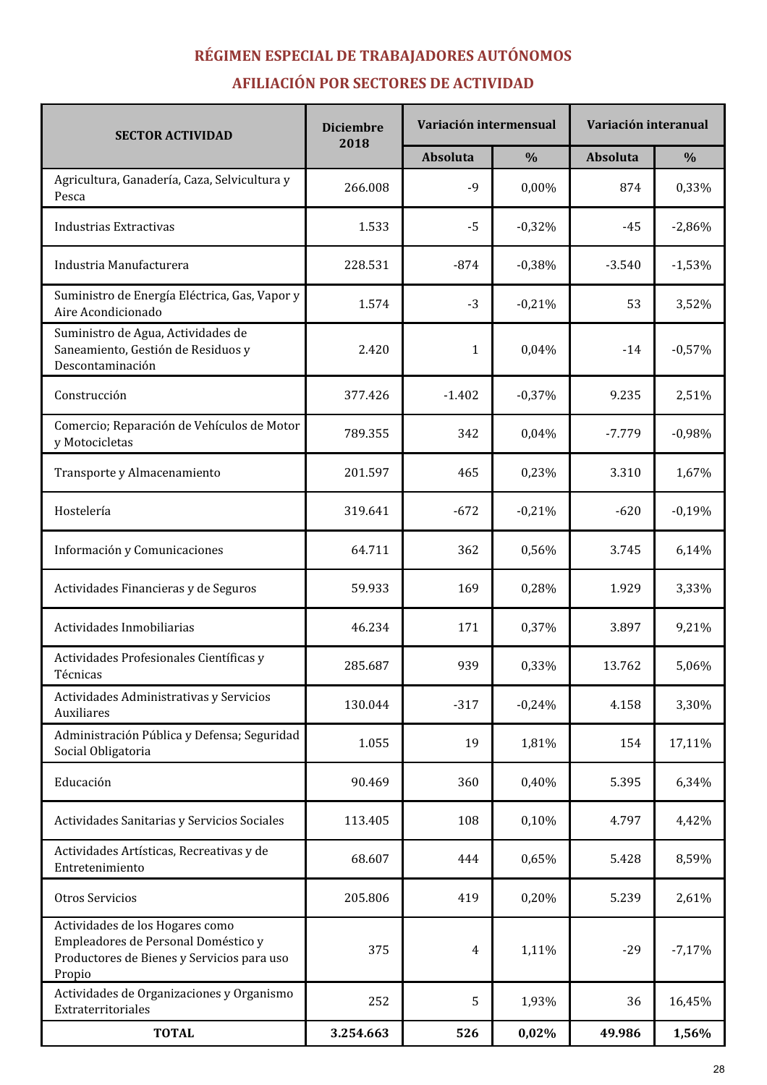# RÉGIMEN ESPECIAL DE TRABAJADORES AUTÓNOMOS

# AFILIACIÓN POR SECTORES DE ACTIVIDAD

| <b>SECTOR ACTIVIDAD</b>                                                                                                        | <b>Diciembre</b> | Variación intermensual |               | Variación interanual |               |
|--------------------------------------------------------------------------------------------------------------------------------|------------------|------------------------|---------------|----------------------|---------------|
|                                                                                                                                | 2018             | Absoluta               | $\frac{0}{0}$ | Absoluta             | $\frac{0}{0}$ |
| Agricultura, Ganadería, Caza, Selvicultura y<br>Pesca                                                                          | 266.008          | $-9$                   | 0,00%         | 874                  | 0,33%         |
| <b>Industrias Extractivas</b>                                                                                                  | 1.533            | $-5$                   | $-0,32%$      | $-45$                | $-2,86%$      |
| Industria Manufacturera                                                                                                        | 228.531          | $-874$                 | $-0,38%$      | $-3.540$             | $-1,53%$      |
| Suministro de Energía Eléctrica, Gas, Vapor y<br>Aire Acondicionado                                                            | 1.574            | $-3$                   | $-0,21%$      | 53                   | 3,52%         |
| Suministro de Agua, Actividades de<br>Saneamiento, Gestión de Residuos y<br>Descontaminación                                   | 2.420            | 1                      | 0,04%         | $-14$                | $-0,57%$      |
| Construcción                                                                                                                   | 377.426          | $-1.402$               | $-0,37%$      | 9.235                | 2,51%         |
| Comercio; Reparación de Vehículos de Motor<br>y Motocicletas                                                                   | 789.355          | 342                    | 0,04%         | $-7.779$             | $-0,98%$      |
| Transporte y Almacenamiento                                                                                                    | 201.597          | 465                    | 0,23%         | 3.310                | 1,67%         |
| Hostelería                                                                                                                     | 319.641          | $-672$                 | $-0,21%$      | $-620$               | $-0,19%$      |
| Información y Comunicaciones                                                                                                   | 64.711           | 362                    | 0,56%         | 3.745                | 6,14%         |
| Actividades Financieras y de Seguros                                                                                           | 59.933           | 169                    | 0,28%         | 1.929                | 3,33%         |
| Actividades Inmobiliarias                                                                                                      | 46.234           | 171                    | 0,37%         | 3.897                | 9,21%         |
| Actividades Profesionales Científicas y<br>Técnicas                                                                            | 285.687          | 939                    | 0,33%         | 13.762               | 5,06%         |
| Actividades Administrativas y Servicios<br>Auxiliares                                                                          | 130.044          | $-317$                 | $-0,24%$      | 4.158                | 3,30%         |
| Administración Pública y Defensa; Seguridad<br>Social Obligatoria                                                              | 1.055            | 19                     | 1,81%         | 154                  | 17,11%        |
| Educación                                                                                                                      | 90.469           | 360                    | 0,40%         | 5.395                | 6,34%         |
| Actividades Sanitarias y Servicios Sociales                                                                                    | 113.405          | 108                    | 0,10%         | 4.797                | 4,42%         |
| Actividades Artísticas, Recreativas y de<br>Entretenimiento                                                                    | 68.607           | 444                    | 0,65%         | 5.428                | 8,59%         |
| Otros Servicios                                                                                                                | 205.806          | 419                    | 0,20%         | 5.239                | 2,61%         |
| Actividades de los Hogares como<br>Empleadores de Personal Doméstico y<br>Productores de Bienes y Servicios para uso<br>Propio | 375              | 4                      | 1,11%         | $-29$                | $-7,17%$      |
| Actividades de Organizaciones y Organismo<br>Extraterritoriales                                                                | 252              | 5                      | 1,93%         | 36                   | 16,45%        |
| <b>TOTAL</b>                                                                                                                   | 3.254.663        | 526                    | 0,02%         | 49.986               | 1,56%         |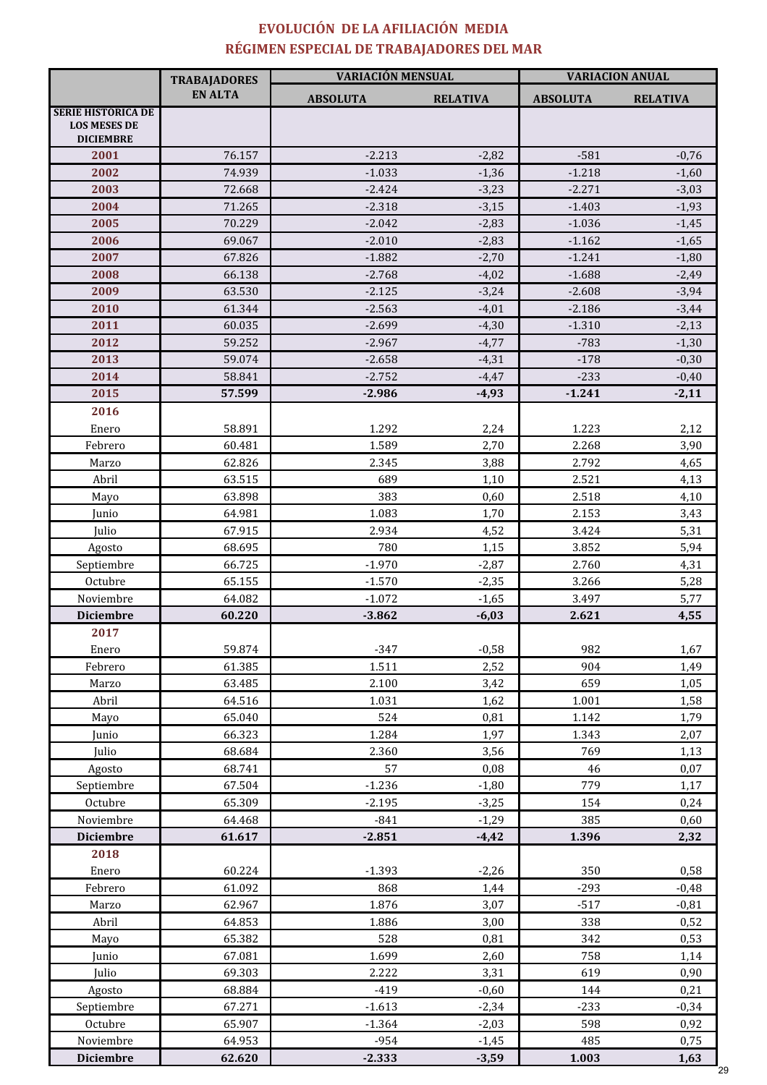# EVOLUCIÓN DE LA AFILIACIÓN MEDIA RÉGIMEN ESPECIAL DE TRABAJADORES DEL MAR

|                                                                      | <b>TRABAJADORES</b> | <b>VARIACIÓN MENSUAL</b> |                 | <b>VARIACION ANUAL</b> |                 |  |
|----------------------------------------------------------------------|---------------------|--------------------------|-----------------|------------------------|-----------------|--|
|                                                                      | <b>EN ALTA</b>      | <b>ABSOLUTA</b>          | <b>RELATIVA</b> | <b>ABSOLUTA</b>        | <b>RELATIVA</b> |  |
| <b>SERIE HISTÓRICA DE</b><br><b>LOS MESES DE</b><br><b>DICIEMBRE</b> |                     |                          |                 |                        |                 |  |
| 2001                                                                 | 76.157              | $-2.213$                 | $-2,82$         | $-581$                 | $-0,76$         |  |
| 2002                                                                 | 74.939              | $-1.033$                 | $-1,36$         | $-1.218$               | $-1,60$         |  |
| 2003                                                                 | 72.668              | $-2.424$                 | $-3,23$         | $-2.271$               | $-3,03$         |  |
| 2004                                                                 | 71.265              | $-2.318$                 | $-3,15$         | $-1.403$               | $-1,93$         |  |
| 2005                                                                 | 70.229              | $-2.042$                 | $-2,83$         | $-1.036$               | $-1,45$         |  |
| 2006                                                                 | 69.067              | $-2.010$                 | $-2,83$         | $-1.162$               | $-1,65$         |  |
| 2007                                                                 | 67.826              | $-1.882$                 | $-2,70$         | $-1.241$               | $-1,80$         |  |
| 2008                                                                 | 66.138              | $-2.768$                 | $-4,02$         | $-1.688$               | $-2,49$         |  |
| 2009                                                                 | 63.530              | $-2.125$                 | $-3,24$         | $-2.608$               | $-3,94$         |  |
| 2010                                                                 | 61.344              | $-2.563$                 | $-4,01$         | $-2.186$               | $-3,44$         |  |
| 2011                                                                 | 60.035              | $-2.699$                 | $-4,30$         | $-1.310$               | $-2,13$         |  |
| 2012                                                                 | 59.252              | $-2.967$                 | $-4,77$         | $-783$                 | $-1,30$         |  |
| 2013                                                                 | 59.074              | $-2.658$                 | $-4,31$         | $-178$                 | $-0,30$         |  |
| 2014                                                                 | 58.841              | $-2.752$                 | $-4,47$         | $-233$                 | $-0,40$         |  |
| 2015                                                                 | 57.599              | $-2.986$                 | $-4,93$         | $-1.241$               | $-2,11$         |  |
| 2016                                                                 |                     |                          |                 |                        |                 |  |
| Enero                                                                | 58.891              | 1.292                    | 2,24            | 1.223                  | 2,12            |  |
| Febrero                                                              | 60.481              | 1.589                    | 2,70            | 2.268                  | 3,90            |  |
| Marzo                                                                | 62.826              | 2.345                    | 3,88            | 2.792                  | 4,65            |  |
| Abril                                                                | 63.515              | 689                      | 1,10            | 2.521                  | 4,13            |  |
| Mayo                                                                 | 63.898              | 383                      | 0,60            | 2.518                  | 4,10            |  |
| Junio                                                                | 64.981              | 1.083                    | 1,70            | 2.153                  | 3,43            |  |
| Julio                                                                | 67.915              | 2.934                    | 4,52            | 3.424                  | 5,31            |  |
| Agosto                                                               | 68.695              | 780                      | 1,15            | 3.852                  | 5,94            |  |
| Septiembre                                                           | 66.725              | $-1.970$                 | $-2,87$         | 2.760                  | 4,31            |  |
| Octubre                                                              | 65.155              | $-1.570$                 | $-2,35$         | 3.266                  | 5,28            |  |
| Noviembre                                                            | 64.082              | $-1.072$                 | $-1,65$         | 3.497                  | 5,77            |  |
| <b>Diciembre</b>                                                     | 60.220              | $-3.862$                 | $-6,03$         | 2.621                  | 4,55            |  |
| 2017                                                                 |                     |                          |                 |                        |                 |  |
| Enero                                                                | 59.874              | $-347$                   | $-0,58$         | 982                    | 1,67            |  |
| Febrero                                                              | 61.385              | 1.511                    | 2,52            | 904                    | 1,49            |  |
| Marzo                                                                | 63.485              | 2.100                    | 3,42            | 659                    | 1,05            |  |
| Abril                                                                | 64.516              | 1.031                    | 1,62            | 1.001                  | 1,58            |  |
| Mayo                                                                 | 65.040              | 524                      | 0,81            | 1.142                  | 1,79            |  |
| Junio                                                                | 66.323              | 1.284                    | 1,97            | 1.343                  | 2,07            |  |
| Julio                                                                | 68.684              | 2.360                    | 3,56            | 769                    | 1,13            |  |
| Agosto                                                               | 68.741              | 57                       | 0,08            | 46                     | 0,07            |  |
| Septiembre                                                           | 67.504              | $-1.236$                 | $-1,80$         | 779                    | 1,17            |  |
| Octubre                                                              | 65.309              | $-2.195$                 | $-3,25$         | 154                    | 0,24            |  |
| Noviembre                                                            | 64.468              | $-841$                   | $-1,29$         | 385                    | 0,60            |  |
| <b>Diciembre</b>                                                     | 61.617              | $-2.851$                 | $-4,42$         | 1.396                  | 2,32            |  |
| 2018                                                                 |                     |                          |                 |                        |                 |  |
| Enero                                                                | 60.224              | $-1.393$                 | $-2,26$         | 350                    | 0,58            |  |
| Febrero                                                              | 61.092              | 868                      | 1,44            | $-293$                 | $-0,48$         |  |
| Marzo                                                                | 62.967              | 1.876                    | 3,07            | $-517$                 | $-0,81$         |  |
| Abril                                                                | 64.853              | 1.886                    | 3,00            | 338                    | 0,52            |  |
| Mayo                                                                 | 65.382              | 528                      | 0,81            | 342                    | 0,53            |  |
| Junio                                                                | 67.081              | 1.699                    | 2,60            | 758                    | 1,14            |  |
| Julio                                                                | 69.303              | 2.222                    | 3,31            | 619                    | 0,90            |  |
|                                                                      |                     |                          |                 |                        |                 |  |
| Agosto                                                               | 68.884              | $-419$                   | $-0,60$         | 144                    | 0,21            |  |
| Septiembre                                                           | 67.271              | $-1.613$                 | $-2,34$         | $-233$                 | $-0,34$         |  |
| Octubre                                                              | 65.907              | $-1.364$                 | $-2,03$         | 598                    | 0,92            |  |
| Noviembre                                                            | 64.953              | $-954$                   | $-1,45$         | 485                    | 0,75            |  |
| <b>Diciembre</b>                                                     | 62.620              | $-2.333$                 | $-3,59$         | 1.003                  | 1,63            |  |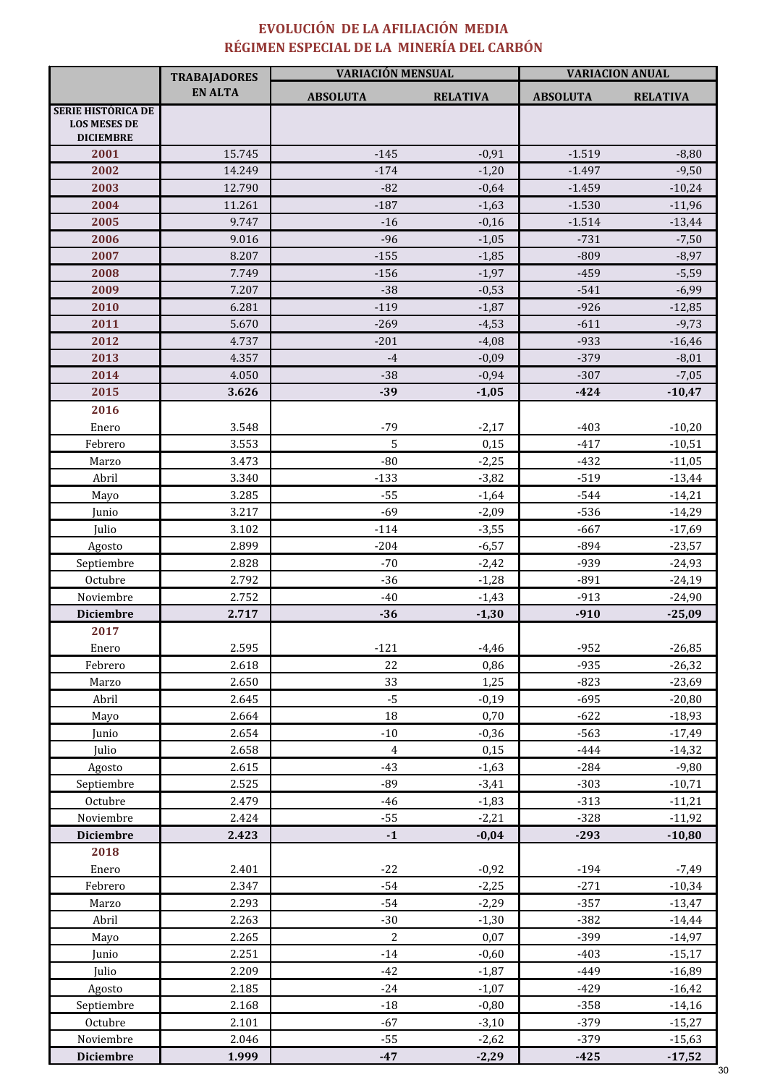### EVOLUCIÓN DE LA AFILIACIÓN MEDIA RÉGIMEN ESPECIAL DE LA MINERÍA DEL CARBÓN

|                                                                      | <b>TRABAJADORES</b> | VARIACIÓN MENSUAL |                 | <b>VARIACION ANUAL</b> |                 |  |
|----------------------------------------------------------------------|---------------------|-------------------|-----------------|------------------------|-----------------|--|
|                                                                      | <b>EN ALTA</b>      | <b>ABSOLUTA</b>   | <b>RELATIVA</b> | <b>ABSOLUTA</b>        | <b>RELATIVA</b> |  |
| <b>SERIE HISTÓRICA DE</b><br><b>LOS MESES DE</b><br><b>DICIEMBRE</b> |                     |                   |                 |                        |                 |  |
| 2001                                                                 | 15.745              | $-145$            | $-0,91$         | $-1.519$               | $-8,80$         |  |
| 2002                                                                 | 14.249              | $-174$            | $-1,20$         | $-1.497$               | $-9,50$         |  |
| 2003                                                                 | 12.790              | $-82$             | $-0,64$         | $-1.459$               | $-10,24$        |  |
| 2004                                                                 | 11.261              | $-187$            | $-1,63$         | $-1.530$               | $-11,96$        |  |
| 2005                                                                 | 9.747               | $-16$             | $-0,16$         | $-1.514$               | $-13,44$        |  |
| 2006                                                                 | 9.016               | $-96$             | $-1,05$         | $-731$                 | $-7,50$         |  |
| 2007                                                                 | 8.207               | $-155$            | $-1,85$         | $-809$                 | $-8,97$         |  |
| 2008                                                                 | 7.749               | $-156$            | $-1,97$         | $-459$                 | $-5,59$         |  |
| 2009                                                                 | 7.207               | $-38$             | $-0,53$         | $-541$                 | $-6,99$         |  |
| 2010                                                                 | 6.281               | $-119$            | $-1,87$         | $-926$                 | $-12,85$        |  |
| 2011                                                                 | 5.670               | $-269$            | $-4,53$         | $-611$                 | $-9,73$         |  |
| 2012                                                                 | 4.737               | $-201$            | $-4,08$         | $-933$                 | $-16,46$        |  |
| 2013                                                                 | 4.357               | $-4$              | $-0,09$         | $-379$                 | $-8,01$         |  |
| 2014                                                                 | 4.050               | $-38$             | $-0,94$         | $-307$                 | $-7,05$         |  |
| 2015                                                                 | 3.626               | $-39$             | $-1,05$         | $-424$                 | $-10,47$        |  |
| 2016                                                                 |                     |                   |                 |                        |                 |  |
| Enero                                                                | 3.548               | $-79$             | $-2,17$         | $-403$                 | $-10,20$        |  |
| Febrero                                                              | 3.553               | 5                 | 0,15            | $-417$                 | $-10,51$        |  |
| Marzo                                                                | 3.473               | $-80$             | $-2,25$         | $-432$                 | $-11,05$        |  |
| Abril                                                                | 3.340               | $-133$            | $-3,82$         | $-519$                 | $-13,44$        |  |
| Mayo                                                                 | 3.285               | $-55$             | $-1,64$         | $-544$                 | $-14,21$        |  |
| Junio                                                                | 3.217               | $-69$             | $-2,09$         | $-536$                 | $-14,29$        |  |
| Julio                                                                | 3.102               | $-114$            | $-3,55$         | $-667$                 | $-17,69$        |  |
| Agosto                                                               | 2.899               | $-204$            | $-6,57$         | $-894$                 | $-23,57$        |  |
| Septiembre                                                           | 2.828               | $-70$             | $-2,42$         | -939                   | $-24,93$        |  |
| Octubre                                                              | 2.792               | $-36$             | $-1,28$         | $-891$                 | $-24,19$        |  |
| Noviembre                                                            | 2.752               | $-40$             | $-1,43$         | $-913$                 | $-24,90$        |  |
| <b>Diciembre</b>                                                     | 2.717               | $-36$             | $-1,30$         | $-910$                 | $-25,09$        |  |
| 2017                                                                 |                     |                   |                 |                        |                 |  |
| Enero                                                                | 2.595               | $-121$            | $-4,46$         | $-952$                 | $-26,85$        |  |
| Febrero                                                              | 2.618               | 22                | 0,86            | $-935$                 | $-26,32$        |  |
| Marzo                                                                | 2.650               | 33                | 1,25            | $-823$                 | $-23,69$        |  |
| Abril                                                                | 2.645               | $-5$              | $-0,19$         | $-695$                 | $-20,80$        |  |
| Mayo                                                                 | 2.664               | 18                | 0,70            | $-622$                 | $-18,93$        |  |
| Junio                                                                | 2.654               | $-10$             | $-0,36$         | $-563$                 | $-17,49$        |  |
| Julio                                                                | 2.658               | $\overline{4}$    | 0,15            | $-444$                 | $-14,32$        |  |
| Agosto                                                               | 2.615               | $-43$             | $-1,63$         | $-284$                 | $-9,80$         |  |
| Septiembre                                                           | 2.525               | $-89$             | $-3,41$         | $-303$                 | $-10,71$        |  |
| Octubre                                                              | 2.479               | $-46$             | $-1,83$         | $-313$                 | $-11,21$        |  |
| Noviembre                                                            | 2.424               | $-55$             | $-2,21$         | $-328$                 | $-11,92$        |  |
| <b>Diciembre</b>                                                     | 2.423               | $\mathbf{-1}$     | $-0,04$         | $-293$                 | $-10,80$        |  |
| 2018                                                                 |                     |                   |                 |                        |                 |  |
| Enero                                                                | 2.401               | $-22$             | $-0,92$         | $-194$                 | $-7,49$         |  |
| Febrero                                                              | 2.347               | $-54$             | $-2,25$         | $-271$                 | $-10,34$        |  |
| Marzo                                                                | 2.293               | $-54$             | $-2,29$         | $-357$                 | $-13,47$        |  |
| Abril                                                                | 2.263               | $-30$             | $-1,30$         | $-382$                 | $-14,44$        |  |
| Mayo                                                                 | 2.265               | $\sqrt{2}$        | 0,07            | $-399$                 | $-14,97$        |  |
| Junio                                                                | 2.251               | $-14$             | $-0,60$         | $-403$                 | $-15,17$        |  |
| Julio                                                                | 2.209               | $-42$             | $-1,87$         | -449                   | $-16,89$        |  |
| Agosto                                                               | 2.185               | $-24$             | $-1,07$         | $-429$                 | $-16,42$        |  |
| Septiembre                                                           | 2.168               | $-18$             | $-0,80$         | $-358$                 | $-14,16$        |  |
| Octubre                                                              | 2.101               | $-67$             | $-3,10$         | $-379$                 | $-15,27$        |  |
| Noviembre                                                            | 2.046               | $-55$             | $-2,62$         | $-379$                 | $-15,63$        |  |
| <b>Diciembre</b>                                                     | 1.999               | $-47$             | $-2,29$         | $-425$                 | $-17,52$        |  |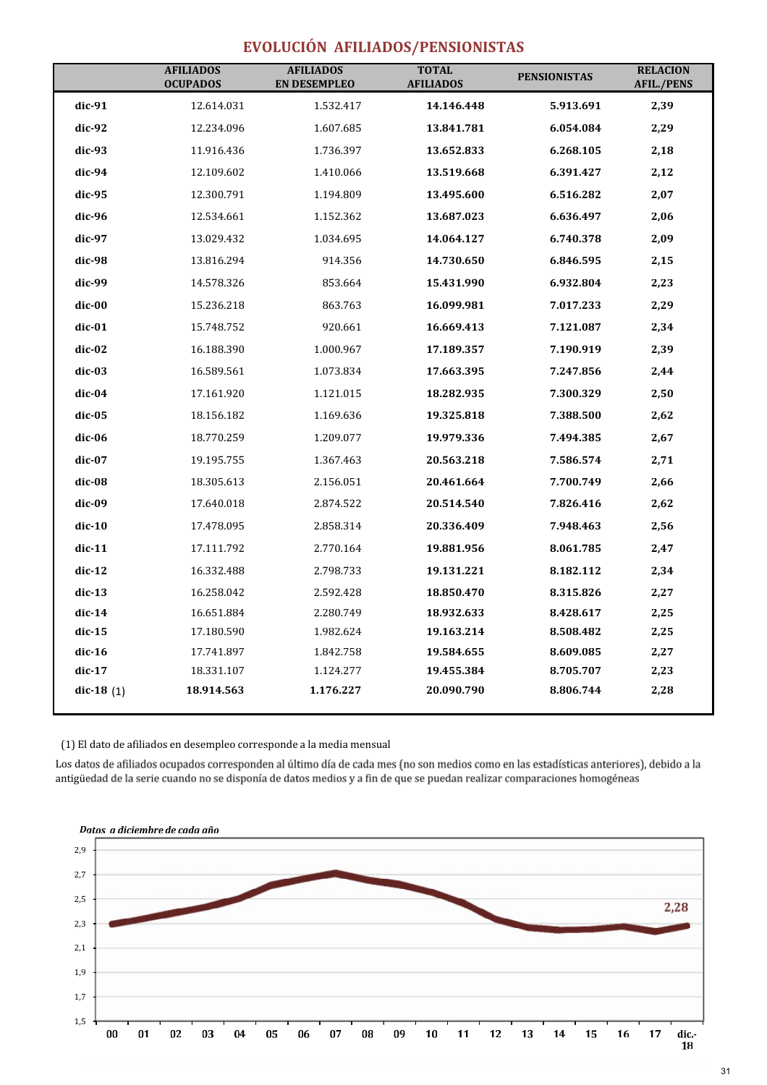# EVOLUCIÓN AFILIADOS/PENSIONISTAS

|              | <b>AFILIADOS</b><br><b>OCUPADOS</b> | <b>AFILIADOS</b><br><b>EN DESEMPLEO</b> | <b>TOTAL</b><br><b>AFILIADOS</b> | <b>PENSIONISTAS</b> | <b>RELACION</b><br><b>AFIL./PENS</b> |
|--------------|-------------------------------------|-----------------------------------------|----------------------------------|---------------------|--------------------------------------|
| dic-91       | 12.614.031                          | 1.532.417                               | 14.146.448                       | 5.913.691           | 2,39                                 |
| dic-92       | 12.234.096                          | 1.607.685                               | 13.841.781                       | 6.054.084           | 2,29                                 |
| dic-93       | 11.916.436                          | 1.736.397                               | 13.652.833                       | 6.268.105           | 2,18                                 |
| dic-94       | 12.109.602                          | 1.410.066                               | 13.519.668                       | 6.391.427           | 2,12                                 |
| dic-95       | 12.300.791                          | 1.194.809                               | 13.495.600                       | 6.516.282           | 2,07                                 |
| dic-96       | 12.534.661                          | 1.152.362                               | 13.687.023                       | 6.636.497           | 2,06                                 |
| dic-97       | 13.029.432                          | 1.034.695                               | 14.064.127                       | 6.740.378           | 2,09                                 |
| dic-98       | 13.816.294                          | 914.356                                 | 14.730.650                       | 6.846.595           | 2,15                                 |
| dic-99       | 14.578.326                          | 853.664                                 | 15.431.990                       | 6.932.804           | 2,23                                 |
| dic-00       | 15.236.218                          | 863.763                                 | 16.099.981                       | 7.017.233           | 2,29                                 |
| dic-01       | 15.748.752                          | 920.661                                 | 16.669.413                       | 7.121.087           | 2,34                                 |
| dic-02       | 16.188.390                          | 1.000.967                               | 17.189.357                       | 7.190.919           | 2,39                                 |
| dic-03       | 16.589.561                          | 1.073.834                               | 17.663.395                       | 7.247.856           | 2,44                                 |
| dic-04       | 17.161.920                          | 1.121.015                               | 18.282.935                       | 7.300.329           | 2,50                                 |
| dic-05       | 18.156.182                          | 1.169.636                               | 19.325.818                       | 7.388.500           | 2,62                                 |
| dic-06       | 18.770.259                          | 1.209.077                               | 19.979.336                       | 7.494.385           | 2,67                                 |
| dic-07       | 19.195.755                          | 1.367.463                               | 20.563.218                       | 7.586.574           | 2,71                                 |
| dic-08       | 18.305.613                          | 2.156.051                               | 20.461.664                       | 7.700.749           | 2,66                                 |
| dic-09       | 17.640.018                          | 2.874.522                               | 20.514.540                       | 7.826.416           | 2,62                                 |
| $dic-10$     | 17.478.095                          | 2.858.314                               | 20.336.409                       | 7.948.463           | 2,56                                 |
| $dic-11$     | 17.111.792                          | 2.770.164                               | 19.881.956                       | 8.061.785           | 2,47                                 |
| dic-12       | 16.332.488                          | 2.798.733                               | 19.131.221                       | 8.182.112           | 2,34                                 |
| $dic-13$     | 16.258.042                          | 2.592.428                               | 18.850.470                       | 8.315.826           | 2,27                                 |
| dic-14       | 16.651.884                          | 2.280.749                               | 18.932.633                       | 8.428.617           | 2,25                                 |
| dic-15       | 17.180.590                          | 1.982.624                               | 19.163.214                       | 8.508.482           | 2,25                                 |
| dic-16       | 17.741.897                          | 1.842.758                               | 19.584.655                       | 8.609.085           | 2,27                                 |
| dic-17       | 18.331.107                          | 1.124.277                               | 19.455.384                       | 8.705.707           | 2,23                                 |
| dic-18 $(1)$ | 18.914.563                          | 1.176.227                               | 20.090.790                       | 8.806.744           | 2,28                                 |

(1) El dato de afiliados en desempleo corresponde a la media mensual

Los datos de afiliados ocupados corresponden al último día de cada mes (no son medios como en las estadísticas anteriores), debido a la antigüedad de la serie cuando no se disponía de datos medios y a fin de que se puedan realizar comparaciones homogéneas

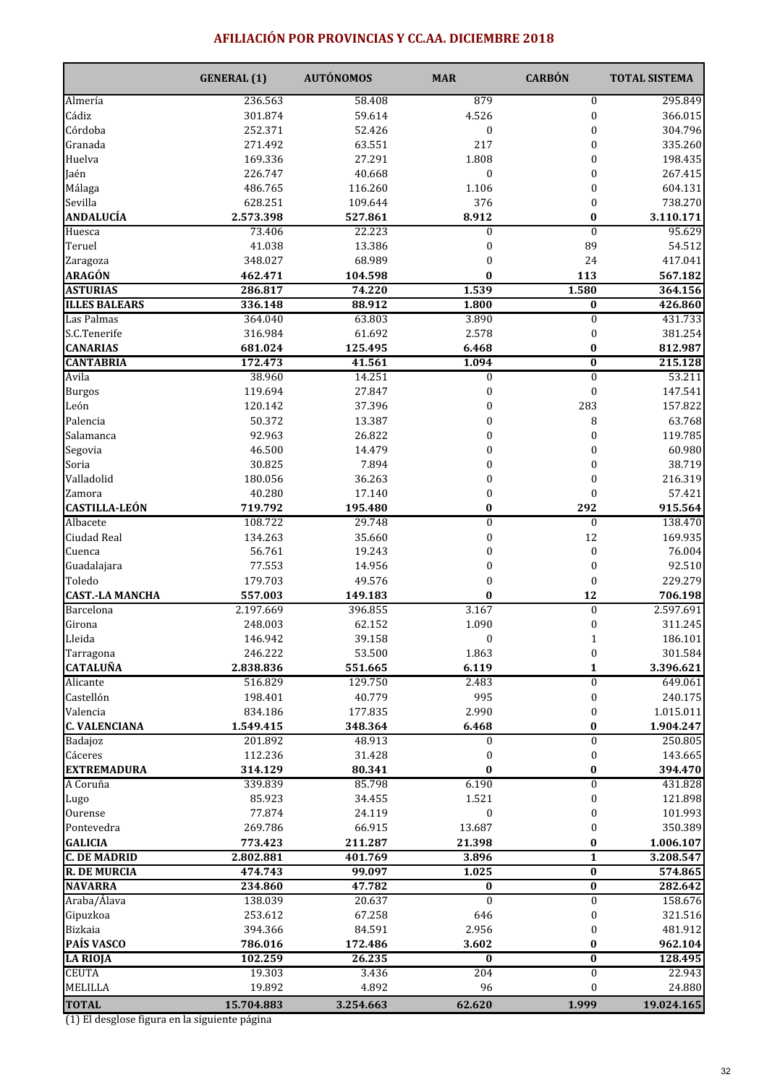### AFILIACIÓN POR PROVINCIAS Y CC.AA. DICIEMBRE 2018

|                        | <b>GENERAL</b> (1) | <b>AUTÓNOMOS</b> | <b>MAR</b>                           | <b>CARBÓN</b>           | <b>TOTAL SISTEMA</b> |
|------------------------|--------------------|------------------|--------------------------------------|-------------------------|----------------------|
| Almería                | 236.563            | 58.408           | 879                                  | $\bf{0}$                | 295.849              |
| Cádiz                  | 301.874            | 59.614           | 4.526                                | $\pmb{0}$               | 366.015              |
| Córdoba                | 252.371            | 52.426           | $\boldsymbol{0}$                     | $\bf{0}$                | 304.796              |
| Granada                | 271.492            | 63.551           | 217                                  | $\pmb{0}$               | 335.260              |
| Huelva                 | 169.336            | 27.291           | 1.808                                | $\bf{0}$                | 198.435              |
| Jaén                   | 226.747            | 40.668           | $\mathbf{0}$                         | $\bf{0}$                | 267.415              |
| Málaga                 | 486.765            | 116.260          | 1.106                                | $\bf{0}$                | 604.131              |
| Sevilla                | 628.251            | 109.644          | 376                                  | $\pmb{0}$               | 738.270              |
| <b>ANDALUCÍA</b>       | 2.573.398          | 527.861          | 8.912                                | 0                       | 3.110.171            |
| Huesca                 | 73.406             | 22.223           | $\mathbf{0}$                         | $\mathbf{0}$            | 95.629               |
| Teruel                 | 41.038             | 13.386           | $\boldsymbol{0}$                     | 89                      | 54.512               |
| Zaragoza               | 348.027            | 68.989           | $\mathbf{0}$                         | 24                      | 417.041              |
| <b>ARAGÓN</b>          | 462.471            | 104.598          | $\bf{0}$                             | 113                     | 567.182              |
| <b>ASTURIAS</b>        | 286.817            | 74.220           | 1.539                                | 1.580                   | 364.156              |
| <b>ILLES BALEARS</b>   | 336.148            | 88.912           | 1.800                                | 0                       | 426.860              |
| Las Palmas             | 364.040            | 63.803           | 3.890                                | $\bf{0}$                | 431.733              |
| S.C.Tenerife           | 316.984            | 61.692           | 2.578                                | $\pmb{0}$               | 381.254              |
| <b>CANARIAS</b>        | 681.024            | 125.495          | 6.468                                | 0                       | 812.987              |
| <b>CANTABRIA</b>       | 172.473            | 41.561           | 1.094                                | $\overline{\mathbf{0}}$ | 215.128              |
| Ávila                  | 38.960             | 14.251           | $\overline{0}$                       | $\overline{0}$          | 53.211               |
| <b>Burgos</b>          | 119.694            | 27.847           | $\boldsymbol{0}$                     | $\bf{0}$                | 147.541              |
| León<br>Palencia       | 120.142            | 37.396           | $\boldsymbol{0}$                     | 283                     | 157.822              |
|                        | 50.372             | 13.387           | $\boldsymbol{0}$                     | 8                       | 63.768               |
| Salamanca              | 92.963             | 26.822           | $\boldsymbol{0}$<br>$\boldsymbol{0}$ | $\pmb{0}$               | 119.785              |
| Segovia<br>Soria       | 46.500<br>30.825   | 14.479<br>7.894  | $\mathbf{0}$                         | $\pmb{0}$<br>0          | 60.980<br>38.719     |
| Valladolid             | 180.056            | 36.263           | $\boldsymbol{0}$                     | $\boldsymbol{0}$        | 216.319              |
| Zamora                 | 40.280             | 17.140           | $\boldsymbol{0}$                     | 0                       | 57.421               |
| <b>CASTILLA-LEÓN</b>   | 719.792            | 195.480          | $\bf{0}$                             | 292                     | 915.564              |
| Albacete               | 108.722            | 29.748           | $\boldsymbol{0}$                     | $\boldsymbol{0}$        | 138.470              |
| Ciudad Real            | 134.263            | 35.660           | $\boldsymbol{0}$                     | 12                      | 169.935              |
| Cuenca                 | 56.761             | 19.243           | $\boldsymbol{0}$                     | $\boldsymbol{0}$        | 76.004               |
| Guadalajara            | 77.553             | 14.956           | $\boldsymbol{0}$                     | $\boldsymbol{0}$        | 92.510               |
| Toledo                 | 179.703            | 49.576           | $\boldsymbol{0}$                     | $\bf{0}$                | 229.279              |
| <b>CAST.-LA MANCHA</b> | 557.003            | 149.183          | $\bf{0}$                             | 12                      | 706.198              |
| Barcelona              | 2.197.669          | 396.855          | 3.167                                | $\boldsymbol{0}$        | 2.597.691            |
| Girona                 | 248.003            | 62.152           | 1.090                                | $\pmb{0}$               | 311.245              |
| Lleida                 | 146.942            | 39.158           | $\mathbf{0}$                         | 1                       | 186.101              |
| Tarragona              | 246.222            | 53.500           | 1.863                                | $\boldsymbol{0}$        | 301.584              |
| <b>CATALUÑA</b>        | 2.838.836          | 551.665          | 6.119                                | 1                       | 3.396.621            |
| Alicante               | 516.829            | 129.750          | 2.483                                | $\boldsymbol{0}$        | 649.061              |
| Castellón              | 198.401            | 40.779           | 995                                  | $\boldsymbol{0}$        | 240.175              |
| Valencia               | 834.186            | 177.835          | 2.990                                | 0                       | 1.015.011            |
| <b>C. VALENCIANA</b>   | 1.549.415          | 348.364          | 6.468                                | 0                       | 1.904.247            |
| Badajoz                | 201.892            | 48.913           | 0                                    | $\overline{0}$          | 250.805              |
| Cáceres                | 112.236            | 31.428           | 0                                    | $\boldsymbol{0}$        | 143.665              |
| <b>EXTREMADURA</b>     | 314.129            | 80.341           | 0                                    | 0                       | 394.470              |
| A Coruña               | 339.839            | 85.798           | 6.190                                | $\boldsymbol{0}$        | 431.828              |
| Lugo                   | 85.923             | 34.455           | 1.521                                | 0                       | 121.898              |
| Ourense                | 77.874             | 24.119           | $\boldsymbol{0}$                     | 0                       | 101.993              |
| Pontevedra             | 269.786            | 66.915           | 13.687                               | 0                       | 350.389              |
| <b>GALICIA</b>         | 773.423            | 211.287          | 21.398                               | 0                       | 1.006.107            |
| <b>C. DE MADRID</b>    | 2.802.881          | 401.769          | 3.896                                | $\mathbf{1}$            | 3.208.547            |
| <b>R. DE MURCIA</b>    | 474.743            | 99.097           | 1.025                                | $\overline{\mathbf{0}}$ | 574.865              |
| <b>NAVARRA</b>         | 234.860            | 47.782           | 0                                    | $\bf{0}$                | 282.642              |
| Araba/Álava            | 138.039            | 20.637           | $\bf{0}$                             | 0                       | 158.676              |
| Gipuzkoa               | 253.612            | 67.258           | 646                                  | 0                       | 321.516              |
| Bizkaia                | 394.366            | 84.591           | 2.956                                | 0                       | 481.912              |
| PAÍS VASCO             | 786.016            | 172.486          | 3.602                                | 0                       | 962.104              |
| LA RIOJA               | 102.259            | 26.235           | $\bf{0}$                             | 0                       | 128.495              |
| <b>CEUTA</b>           | 19.303             | 3.436            | 204                                  | $\bf{0}$                | 22.943               |
| <b>MELILLA</b>         | 19.892             | 4.892            | 96                                   | 0                       | 24.880               |
| <b>TOTAL</b>           | 15.704.883         | 3.254.663        | 62.620                               | 1.999                   | 19.024.165           |

(1) El desglose figura en la siguiente página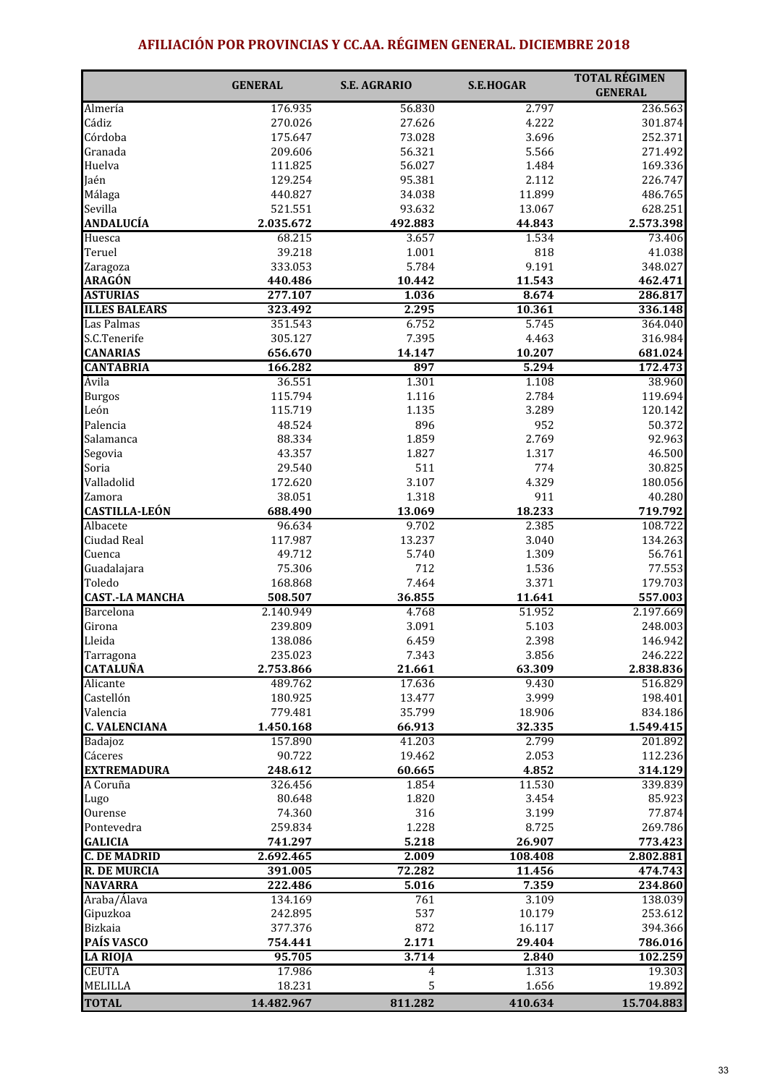# AFILIACIÓN POR PROVINCIAS Y CC.AA. RÉGIMEN GENERAL. DICIEMBRE 2018

|                                  | <b>GENERAL</b>       | <b>S.E. AGRARIO</b> | <b>S.E.HOGAR</b> | <b>TOTAL RÉGIMEN</b><br><b>GENERAL</b> |
|----------------------------------|----------------------|---------------------|------------------|----------------------------------------|
| Almería                          | 176.935              | 56.830              | 2.797            | 236.563                                |
| Cádiz                            | 270.026              | 27.626              | 4.222            | 301.874                                |
| Córdoba                          | 175.647              | 73.028              | 3.696            | 252.371                                |
| Granada                          | 209.606              | 56.321              | 5.566            | 271.492                                |
| Huelva                           | 111.825              | 56.027              | 1.484            | 169.336                                |
| Jaén                             | 129.254              | 95.381              | 2.112            | 226.747                                |
| Málaga                           | 440.827              | 34.038              | 11.899           | 486.765                                |
| Sevilla                          | 521.551              | 93.632              | 13.067           | 628.251                                |
| <b>ANDALUCÍA</b>                 | 2.035.672            | 492.883             | 44.843           | 2.573.398                              |
| Huesca                           | 68.215               | 3.657               | 1.534            | 73.406                                 |
| Teruel                           | 39.218               | 1.001               | 818              | 41.038                                 |
| Zaragoza                         | 333.053              | 5.784               | 9.191            | 348.027                                |
| <b>ARAGÓN</b>                    | 440.486              | 10.442              | 11.543           | 462.471                                |
| <b>ASTURIAS</b>                  | 277.107              | 1.036               | 8.674            | 286.817                                |
| <b>ILLES BALEARS</b>             | 323.492              | 2.295               | 10.361           | 336.148                                |
| Las Palmas                       | 351.543              | 6.752               | 5.745            | 364.040                                |
| S.C.Tenerife                     | 305.127              | 7.395               | 4.463            | 316.984                                |
| <b>CANARIAS</b>                  | 656.670              | 14.147              | 10.207           | 681.024                                |
| <b>CANTABRIA</b>                 | 166.282              | 897                 | 5.294            | 172.473                                |
| Ávila                            | 36.551               | 1.301               | 1.108            | 38.960                                 |
| <b>Burgos</b>                    | 115.794              | 1.116               | 2.784            | 119.694                                |
| León                             | 115.719              | 1.135               | 3.289            | 120.142                                |
| Palencia                         | 48.524               | 896                 | 952              | 50.372                                 |
| Salamanca                        | 88.334               | 1.859               | 2.769            | 92.963                                 |
| Segovia                          | 43.357               | 1.827               | 1.317            | 46.500                                 |
| Soria                            | 29.540               | 511                 | 774              | 30.825                                 |
| Valladolid                       | 172.620              | 3.107               | 4.329            | 180.056                                |
| Zamora                           | 38.051               | 1.318               | 911              | 40.280                                 |
| <b>CASTILLA-LEÓN</b>             | 688.490              | 13.069              | 18.233           | 719.792                                |
| Albacete                         | 96.634               | 9.702               | 2.385            | 108.722                                |
| Ciudad Real                      | 117.987              | 13.237              | 3.040            | 134.263                                |
| Cuenca                           | 49.712               | 5.740               | 1.309            | 56.761                                 |
| Guadalajara                      | 75.306               | 712                 | 1.536            | 77.553                                 |
| Toledo                           | 168.868              | 7.464               | 3.371            | 179.703                                |
| <b>CAST.-LA MANCHA</b>           | 508.507              | 36.855              | 11.641           | 557.003                                |
| Barcelona                        | 2.140.949            | 4.768               | 51.952           | 2.197.669                              |
| Girona                           | 239.809              | 3.091               | 5.103            | 248.003                                |
| Lleida                           | 138.086              | 6.459               | 2.398            | 146.942                                |
| Tarragona                        | 235.023              | 7.343               | 3.856            | 246.222                                |
| <b>CATALUÑA</b>                  | 2.753.866            | 21.661              | 63.309           | 2.838.836                              |
| Alicante                         | 489.762              | 17.636              | 9.430            | 516.829                                |
| Castellón                        | 180.925              | 13.477              | 3.999            | 198.401                                |
| Valencia<br><b>C. VALENCIANA</b> | 779.481<br>1.450.168 | 35.799              | 18.906<br>32.335 | 834.186                                |
| Badajoz                          | 157.890              | 66.913<br>41.203    | 2.799            | 1.549.415<br>201.892                   |
| Cáceres                          | 90.722               |                     |                  | 112.236                                |
| <b>EXTREMADURA</b>               | 248.612              | 19.462<br>60.665    | 2.053<br>4.852   | 314.129                                |
| A Coruña                         | 326.456              | 1.854               | 11.530           | 339.839                                |
| Lugo                             | 80.648               | 1.820               | 3.454            | 85.923                                 |
| Ourense                          | 74.360               | 316                 | 3.199            | 77.874                                 |
| Pontevedra                       | 259.834              | 1.228               | 8.725            | 269.786                                |
| <b>GALICIA</b>                   | 741.297              | 5.218               | 26.907           | 773.423                                |
| <b>C. DE MADRID</b>              | 2.692.465            | 2.009               | 108.408          | 2.802.881                              |
| <b>R. DE MURCIA</b>              | 391.005              | 72.282              | 11.456           | 474.743                                |
| <b>NAVARRA</b>                   | 222.486              | 5.016               | 7.359            | 234.860                                |
| Araba/Álava                      | 134.169              | 761                 | 3.109            | 138.039                                |
| Gipuzkoa                         | 242.895              | 537                 | 10.179           | 253.612                                |
| Bizkaia                          | 377.376              | 872                 | 16.117           | 394.366                                |
| <b>PAÍS VASCO</b>                | 754.441              | 2.171               | 29.404           | 786.016                                |
| <b>LA RIOJA</b>                  | 95.705               | 3.714               | 2.840            | 102.259                                |
| <b>CEUTA</b>                     | 17.986               | $\overline{4}$      | 1.313            | 19.303                                 |
| <b>MELILLA</b>                   | 18.231               | 5                   | 1.656            | 19.892                                 |
| <b>TOTAL</b>                     | 14.482.967           | 811.282             | 410.634          | 15.704.883                             |